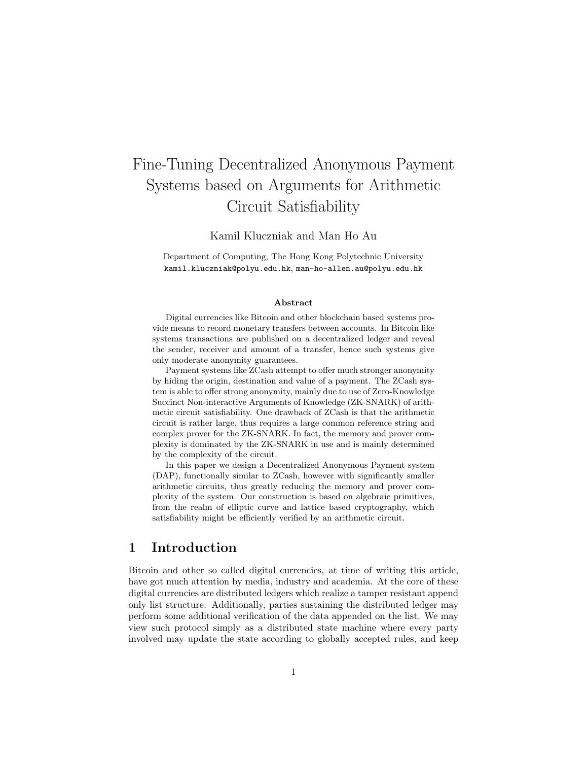# Fine-Tuning Decentralized Anonymous Payment Systems based on Arguments for Arithmetic Circuit Satisfiability

Kamil Kluczniak and Man Ho Au

Department of Computing, The Hong Kong Polytechnic University kamil.kluczniak@polyu.edu.hk, man-ho-allen.au@polyu.edu.hk

#### Abstract

Digital currencies like Bitcoin and other blockchain based systems provide means to record monetary transfers between accounts. In Bitcoin like systems transactions are published on a decentralized ledger and reveal the sender, receiver and amount of a transfer, hence such systems give only moderate anonymity guarantees.

Payment systems like ZCash attempt to offer much stronger anonymity by hiding the origin, destination and value of a payment. The ZCash system is able to offer strong anonymity, mainly due to use of Zero-Knowledge Succinct Non-interactive Arguments of Knowledge (ZK-SNARK) of arithmetic circuit satisfiability. One drawback of ZCash is that the arithmetic circuit is rather large, thus requires a large common reference string and complex prover for the ZK-SNARK. In fact, the memory and prover complexity is dominated by the ZK-SNARK in use and is mainly determined by the complexity of the circuit.

In this paper we design a Decentralized Anonymous Payment system (DAP), functionally similar to ZCash, however with significantly smaller arithmetic circuits, thus greatly reducing the memory and prover complexity of the system. Our construction is based on algebraic primitives, from the realm of elliptic curve and lattice based cryptography, which satisfiability might be efficiently verified by an arithmetic circuit.

### 1 Introduction

Bitcoin and other so called digital currencies, at time of writing this article, have got much attention by media, industry and academia. At the core of these digital currencies are distributed ledgers which realize a tamper resistant append only list structure. Additionally, parties sustaining the distributed ledger may perform some additional verification of the data appended on the list. We may view such protocol simply as a distributed state machine where every party involved may update the state according to globally accepted rules, and keep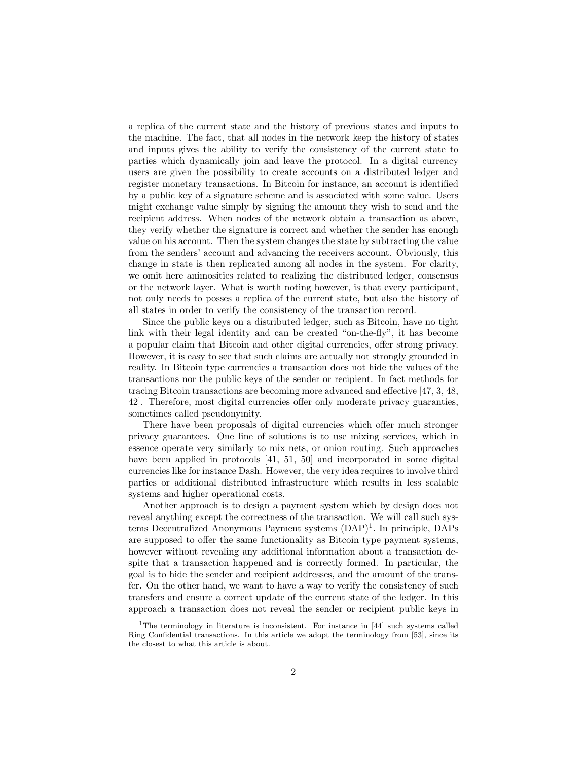a replica of the current state and the history of previous states and inputs to the machine. The fact, that all nodes in the network keep the history of states and inputs gives the ability to verify the consistency of the current state to parties which dynamically join and leave the protocol. In a digital currency users are given the possibility to create accounts on a distributed ledger and register monetary transactions. In Bitcoin for instance, an account is identified by a public key of a signature scheme and is associated with some value. Users might exchange value simply by signing the amount they wish to send and the recipient address. When nodes of the network obtain a transaction as above, they verify whether the signature is correct and whether the sender has enough value on his account. Then the system changes the state by subtracting the value from the senders' account and advancing the receivers account. Obviously, this change in state is then replicated among all nodes in the system. For clarity, we omit here animosities related to realizing the distributed ledger, consensus or the network layer. What is worth noting however, is that every participant, not only needs to posses a replica of the current state, but also the history of all states in order to verify the consistency of the transaction record.

Since the public keys on a distributed ledger, such as Bitcoin, have no tight link with their legal identity and can be created "on-the-fly", it has become a popular claim that Bitcoin and other digital currencies, offer strong privacy. However, it is easy to see that such claims are actually not strongly grounded in reality. In Bitcoin type currencies a transaction does not hide the values of the transactions nor the public keys of the sender or recipient. In fact methods for tracing Bitcoin transactions are becoming more advanced and effective [47, 3, 48, 42]. Therefore, most digital currencies offer only moderate privacy guaranties, sometimes called pseudonymity.

There have been proposals of digital currencies which offer much stronger privacy guarantees. One line of solutions is to use mixing services, which in essence operate very similarly to mix nets, or onion routing. Such approaches have been applied in protocols [41, 51, 50] and incorporated in some digital currencies like for instance Dash. However, the very idea requires to involve third parties or additional distributed infrastructure which results in less scalable systems and higher operational costs.

Another approach is to design a payment system which by design does not reveal anything except the correctness of the transaction. We will call such systems Decentralized Anonymous Payment systems  $(DAP)^1$ . In principle, DAPs are supposed to offer the same functionality as Bitcoin type payment systems, however without revealing any additional information about a transaction despite that a transaction happened and is correctly formed. In particular, the goal is to hide the sender and recipient addresses, and the amount of the transfer. On the other hand, we want to have a way to verify the consistency of such transfers and ensure a correct update of the current state of the ledger. In this approach a transaction does not reveal the sender or recipient public keys in

<sup>&</sup>lt;sup>1</sup>The terminology in literature is inconsistent. For instance in  $[44]$  such systems called Ring Confidential transactions. In this article we adopt the terminology from [53], since its the closest to what this article is about.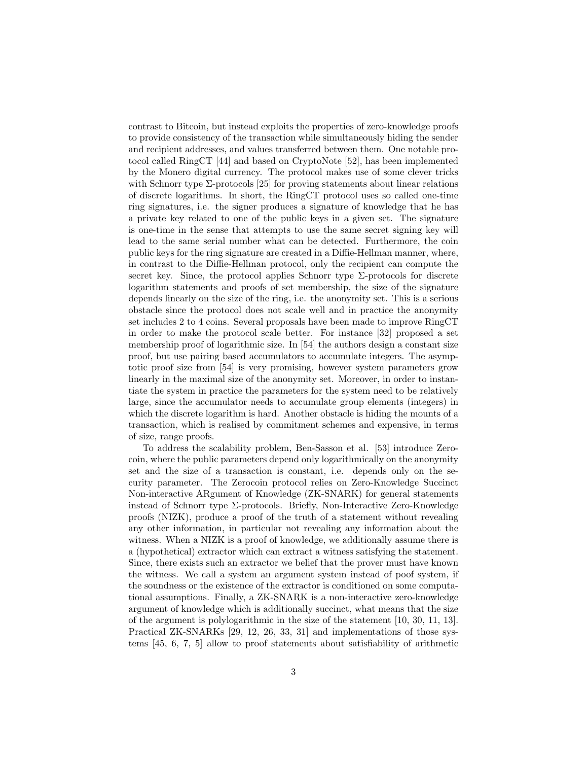contrast to Bitcoin, but instead exploits the properties of zero-knowledge proofs to provide consistency of the transaction while simultaneously hiding the sender and recipient addresses, and values transferred between them. One notable protocol called RingCT [44] and based on CryptoNote [52], has been implemented by the Monero digital currency. The protocol makes use of some clever tricks with Schnorr type  $\Sigma$ -protocols [25] for proving statements about linear relations of discrete logarithms. In short, the RingCT protocol uses so called one-time ring signatures, i.e. the signer produces a signature of knowledge that he has a private key related to one of the public keys in a given set. The signature is one-time in the sense that attempts to use the same secret signing key will lead to the same serial number what can be detected. Furthermore, the coin public keys for the ring signature are created in a Diffie-Hellman manner, where, in contrast to the Diffie-Hellman protocol, only the recipient can compute the secret key. Since, the protocol applies Schnorr type  $\Sigma$ -protocols for discrete logarithm statements and proofs of set membership, the size of the signature depends linearly on the size of the ring, i.e. the anonymity set. This is a serious obstacle since the protocol does not scale well and in practice the anonymity set includes 2 to 4 coins. Several proposals have been made to improve RingCT in order to make the protocol scale better. For instance [32] proposed a set membership proof of logarithmic size. In [54] the authors design a constant size proof, but use pairing based accumulators to accumulate integers. The asymptotic proof size from [54] is very promising, however system parameters grow linearly in the maximal size of the anonymity set. Moreover, in order to instantiate the system in practice the parameters for the system need to be relatively large, since the accumulator needs to accumulate group elements (integers) in which the discrete logarithm is hard. Another obstacle is hiding the mounts of a transaction, which is realised by commitment schemes and expensive, in terms of size, range proofs.

To address the scalability problem, Ben-Sasson et al. [53] introduce Zerocoin, where the public parameters depend only logarithmically on the anonymity set and the size of a transaction is constant, i.e. depends only on the security parameter. The Zerocoin protocol relies on Zero-Knowledge Succinct Non-interactive ARgument of Knowledge (ZK-SNARK) for general statements instead of Schnorr type Σ-protocols. Briefly, Non-Interactive Zero-Knowledge proofs (NIZK), produce a proof of the truth of a statement without revealing any other information, in particular not revealing any information about the witness. When a NIZK is a proof of knowledge, we additionally assume there is a (hypothetical) extractor which can extract a witness satisfying the statement. Since, there exists such an extractor we belief that the prover must have known the witness. We call a system an argument system instead of poof system, if the soundness or the existence of the extractor is conditioned on some computational assumptions. Finally, a ZK-SNARK is a non-interactive zero-knowledge argument of knowledge which is additionally succinct, what means that the size of the argument is polylogarithmic in the size of the statement [10, 30, 11, 13]. Practical ZK-SNARKs [29, 12, 26, 33, 31] and implementations of those systems [45, 6, 7, 5] allow to proof statements about satisfiability of arithmetic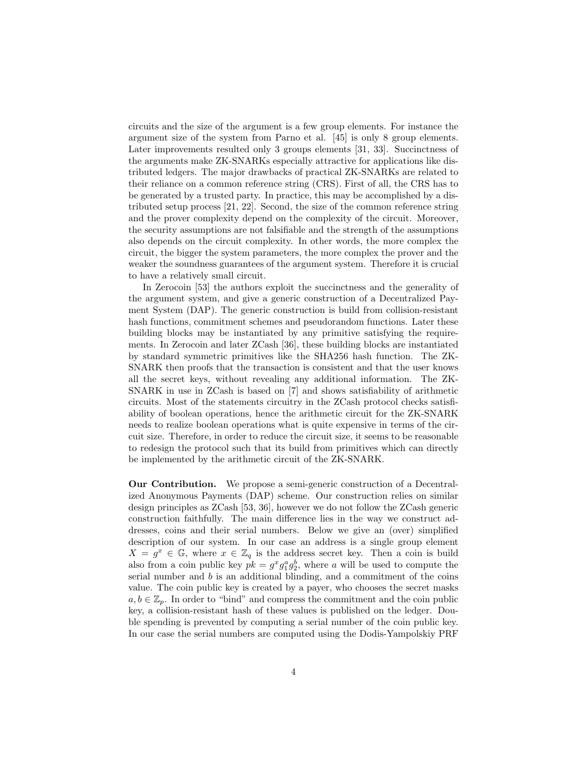circuits and the size of the argument is a few group elements. For instance the argument size of the system from Parno et al. [45] is only 8 group elements. Later improvements resulted only 3 groups elements [31, 33]. Succinctness of the arguments make ZK-SNARKs especially attractive for applications like distributed ledgers. The major drawbacks of practical ZK-SNARKs are related to their reliance on a common reference string (CRS). First of all, the CRS has to be generated by a trusted party. In practice, this may be accomplished by a distributed setup process [21, 22]. Second, the size of the common reference string and the prover complexity depend on the complexity of the circuit. Moreover, the security assumptions are not falsifiable and the strength of the assumptions also depends on the circuit complexity. In other words, the more complex the circuit, the bigger the system parameters, the more complex the prover and the weaker the soundness guarantees of the argument system. Therefore it is crucial to have a relatively small circuit.

In Zerocoin [53] the authors exploit the succinctness and the generality of the argument system, and give a generic construction of a Decentralized Payment System (DAP). The generic construction is build from collision-resistant hash functions, commitment schemes and pseudorandom functions. Later these building blocks may be instantiated by any primitive satisfying the requirements. In Zerocoin and later ZCash [36], these building blocks are instantiated by standard symmetric primitives like the SHA256 hash function. The ZK-SNARK then proofs that the transaction is consistent and that the user knows all the secret keys, without revealing any additional information. The ZK-SNARK in use in ZCash is based on [7] and shows satisfiability of arithmetic circuits. Most of the statements circuitry in the ZCash protocol checks satisfiability of boolean operations, hence the arithmetic circuit for the ZK-SNARK needs to realize boolean operations what is quite expensive in terms of the circuit size. Therefore, in order to reduce the circuit size, it seems to be reasonable to redesign the protocol such that its build from primitives which can directly be implemented by the arithmetic circuit of the ZK-SNARK.

Our Contribution. We propose a semi-generic construction of a Decentralized Anonymous Payments (DAP) scheme. Our construction relies on similar design principles as ZCash [53, 36], however we do not follow the ZCash generic construction faithfully. The main difference lies in the way we construct addresses, coins and their serial numbers. Below we give an (over) simplified description of our system. In our case an address is a single group element  $X = g^x \in \mathbb{G}$ , where  $x \in \mathbb{Z}_q$  is the address secret key. Then a coin is build also from a coin public key  $pk = g^x g_1^a g_2^b$ , where a will be used to compute the serial number and  $b$  is an additional blinding, and a commitment of the coins value. The coin public key is created by a payer, who chooses the secret masks  $a, b \in \mathbb{Z}_p$ . In order to "bind" and compress the commitment and the coin public key, a collision-resistant hash of these values is published on the ledger. Double spending is prevented by computing a serial number of the coin public key. In our case the serial numbers are computed using the Dodis-Yampolskiy PRF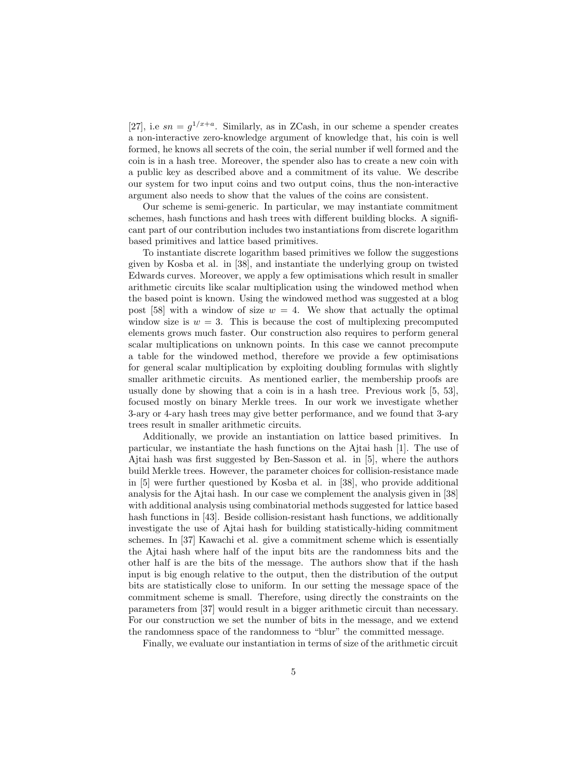[27], i.e  $sn = g^{1/x+a}$ . Similarly, as in ZCash, in our scheme a spender creates a non-interactive zero-knowledge argument of knowledge that, his coin is well formed, he knows all secrets of the coin, the serial number if well formed and the coin is in a hash tree. Moreover, the spender also has to create a new coin with a public key as described above and a commitment of its value. We describe our system for two input coins and two output coins, thus the non-interactive argument also needs to show that the values of the coins are consistent.

Our scheme is semi-generic. In particular, we may instantiate commitment schemes, hash functions and hash trees with different building blocks. A significant part of our contribution includes two instantiations from discrete logarithm based primitives and lattice based primitives.

To instantiate discrete logarithm based primitives we follow the suggestions given by Kosba et al. in [38], and instantiate the underlying group on twisted Edwards curves. Moreover, we apply a few optimisations which result in smaller arithmetic circuits like scalar multiplication using the windowed method when the based point is known. Using the windowed method was suggested at a blog post [58] with a window of size  $w = 4$ . We show that actually the optimal window size is  $w = 3$ . This is because the cost of multiplexing precomputed elements grows much faster. Our construction also requires to perform general scalar multiplications on unknown points. In this case we cannot precompute a table for the windowed method, therefore we provide a few optimisations for general scalar multiplication by exploiting doubling formulas with slightly smaller arithmetic circuits. As mentioned earlier, the membership proofs are usually done by showing that a coin is in a hash tree. Previous work [5, 53], focused mostly on binary Merkle trees. In our work we investigate whether 3-ary or 4-ary hash trees may give better performance, and we found that 3-ary trees result in smaller arithmetic circuits.

Additionally, we provide an instantiation on lattice based primitives. In particular, we instantiate the hash functions on the Ajtai hash [1]. The use of Ajtai hash was first suggested by Ben-Sasson et al. in [5], where the authors build Merkle trees. However, the parameter choices for collision-resistance made in [5] were further questioned by Kosba et al. in [38], who provide additional analysis for the Ajtai hash. In our case we complement the analysis given in [38] with additional analysis using combinatorial methods suggested for lattice based hash functions in [43]. Beside collision-resistant hash functions, we additionally investigate the use of Ajtai hash for building statistically-hiding commitment schemes. In [37] Kawachi et al. give a commitment scheme which is essentially the Ajtai hash where half of the input bits are the randomness bits and the other half is are the bits of the message. The authors show that if the hash input is big enough relative to the output, then the distribution of the output bits are statistically close to uniform. In our setting the message space of the commitment scheme is small. Therefore, using directly the constraints on the parameters from [37] would result in a bigger arithmetic circuit than necessary. For our construction we set the number of bits in the message, and we extend the randomness space of the randomness to "blur" the committed message.

Finally, we evaluate our instantiation in terms of size of the arithmetic circuit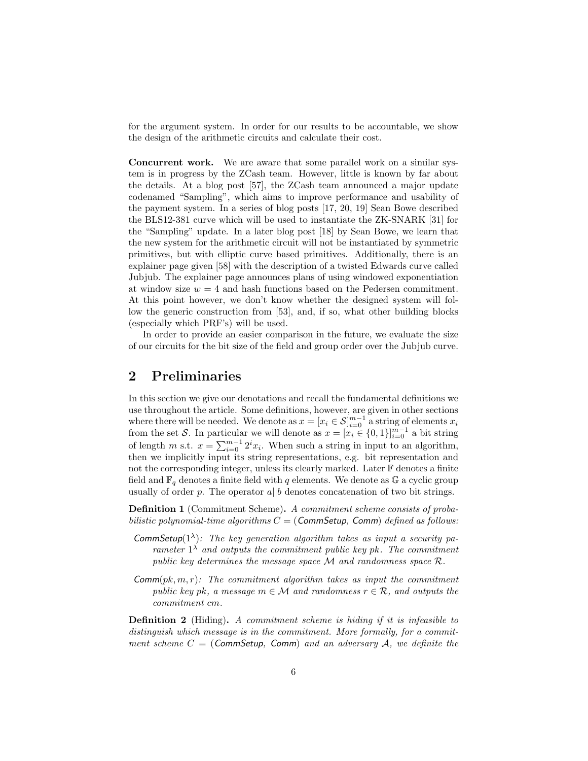for the argument system. In order for our results to be accountable, we show the design of the arithmetic circuits and calculate their cost.

Concurrent work. We are aware that some parallel work on a similar system is in progress by the ZCash team. However, little is known by far about the details. At a blog post [57], the ZCash team announced a major update codenamed "Sampling", which aims to improve performance and usability of the payment system. In a series of blog posts [17, 20, 19] Sean Bowe described the BLS12-381 curve which will be used to instantiate the ZK-SNARK [31] for the "Sampling" update. In a later blog post [18] by Sean Bowe, we learn that the new system for the arithmetic circuit will not be instantiated by symmetric primitives, but with elliptic curve based primitives. Additionally, there is an explainer page given [58] with the description of a twisted Edwards curve called Jubjub. The explainer page announces plans of using windowed exponentiation at window size  $w = 4$  and hash functions based on the Pedersen commitment. At this point however, we don't know whether the designed system will follow the generic construction from [53], and, if so, what other building blocks (especially which PRF's) will be used.

In order to provide an easier comparison in the future, we evaluate the size of our circuits for the bit size of the field and group order over the Jubjub curve.

# 2 Preliminaries

In this section we give our denotations and recall the fundamental definitions we use throughout the article. Some definitions, however, are given in other sections where there will be needed. We denote as  $x = [x_i \in \mathcal{S}]_{i=0}^{m-1}$  a string of elements  $x_i$ from the set S. In particular we will denote as  $x = [x_i \in \{0, 1\}]_{i=0}^{m-1}$  a bit string of length m s.t.  $x = \sum_{i=0}^{m-1} 2^i x_i$ . When such a string in input to an algorithm, then we implicitly input its string representations, e.g. bit representation and not the corresponding integer, unless its clearly marked. Later F denotes a finite field and  $\mathbb{F}_q$  denotes a finite field with q elements. We denote as G a cyclic group usually of order p. The operator  $a||b$  denotes concatenation of two bit strings.

Definition 1 (Commitment Scheme). A commitment scheme consists of probabilistic polynomial-time algorithms  $C = (CommSetup, Comm)$  defined as follows:

- CommSetup( $1^{\lambda}$ ): The key generation algorithm takes as input a security parameter  $1^{\lambda}$  and outputs the commitment public key pk. The commitment public key determines the message space M and randomness space R.
- $\mathsf{Comm}(pk, m, r)$ : The commitment algorithm takes as input the commitment public key pk, a message  $m \in \mathcal{M}$  and randomness  $r \in \mathcal{R}$ , and outputs the commitment cm.

Definition 2 (Hiding). A commitment scheme is hiding if it is infeasible to distinguish which message is in the commitment. More formally, for a commitment scheme  $C = (CommSetup, Comm)$  and an adversary A, we definite the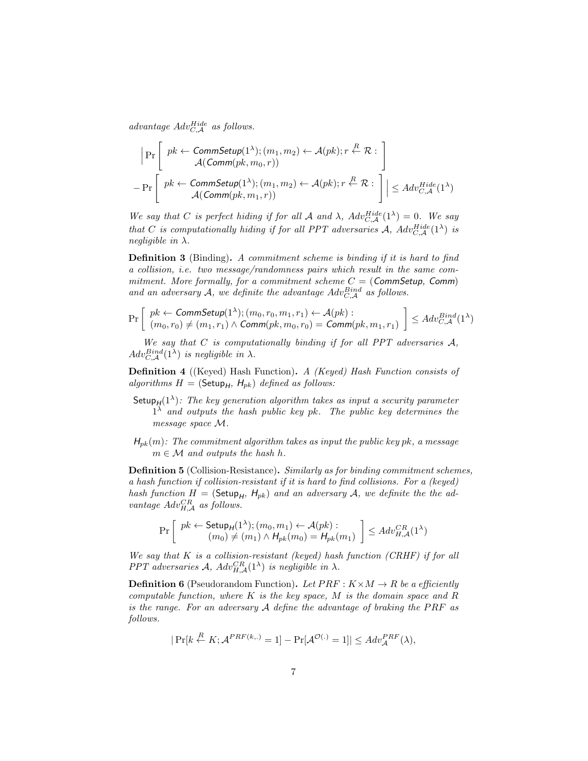advantage  $Adv_{C,\mathcal{A}}^{Hide}$  as follows.

$$
\left| \Pr \left[ \begin{array}{c} pk \leftarrow \text{CommSetup}(1^{\lambda}); (m_1, m_2) \leftarrow \mathcal{A}(pk); r \stackrel{R}{\leftarrow} \mathcal{R}: \\ \mathcal{A}(\text{Comm}(pk, m_0, r)) \end{array} \right] \right. \\ - \Pr \left[ \begin{array}{c} pk \leftarrow \text{CommSetup}(1^{\lambda}); (m_1, m_2) \leftarrow \mathcal{A}(pk); r \stackrel{R}{\leftarrow} \mathcal{R}: \\ \mathcal{A}(\text{Comm}(pk, m_1, r)) \end{array} \right] \right| \leq Adv_{C, \mathcal{A}}^{Hide}(1^{\lambda})
$$

We say that C is perfect hiding if for all A and  $\lambda$ ,  $Adv_{C,A}^{Hide}(1^{\lambda}) = 0$ . We say that C is computationally hiding if for all PPT adversaries A,  $Adv_{C,A}^{Hide}(1^{\lambda})$  is negligible in  $\lambda$ .

Definition 3 (Binding). A commitment scheme is binding if it is hard to find a collision, i.e. two message/randomness pairs which result in the same commitment. More formally, for a commitment scheme  $C = (CommSetup, Comm)$ and an adversary A, we definite the advantage  $Adv_{C,\mathcal{A}}^{Bind}$  as follows.

$$
\Pr\left[\begin{array}{l}pk \leftarrow \mathit{CommSetup}(1^{\lambda});(m_0,r_0,m_1,r_1) \leftarrow \mathcal{A}(pk): \\ (m_0,r_0) \neq (m_1,r_1) \wedge \mathit{Comm}(pk,m_0,r_0) = \mathit{Comm}(pk,m_1,r_1) \end{array}\right] \leq Adv_{C,\mathcal{A}}^{Bind}(1^{\lambda})
$$

We say that  $C$  is computationally binding if for all PPT adversaries  $A$ ,  $Adv_{C,\mathcal{A}}^{Bind}(1^{\lambda})$  is negligible in  $\lambda$ .

Definition 4 ((Keyed) Hash Function). A (Keyed) Hash Function consists of algorithms  $H = ($ Setup $_H$ ,  $H_{pk}$ ) defined as follows:

- Setup $H^{(1)}$ : The key generation algorithm takes as input a security parameter  $1^{\lambda}$  and outputs the hash public key pk. The public key determines the message space M.
- $H_{pk}(m)$ : The commitment algorithm takes as input the public key pk, a message  $m \in \mathcal{M}$  and outputs the hash h.

Definition 5 (Collision-Resistance). Similarly as for binding commitment schemes, a hash function if collision-resistant if it is hard to find collisions. For a (keyed) hash function  $H = ($ Setup $_H$ ,  $H_{pk}$ ) and an adversary A, we definite the the advantage  $Adv_{H,\mathcal{A}}^{CR}$  as follows.

$$
\Pr\left[\begin{array}{c}pk \leftarrow \mathsf{Setup}_H(1^{\lambda}); (m_0, m_1) \leftarrow \mathcal{A}(pk): \\ (m_0) \neq (m_1) \wedge \mathcal{H}_{pk}(m_0) = \mathcal{H}_{pk}(m_1) \end{array}\right] \leq Adv_{H, \mathcal{A}}^{CR}(1^{\lambda})
$$

We say that  $K$  is a collision-resistant (keyed) hash function (CRHF) if for all PPT adversaries A,  $Adv_{H,\mathcal{A}}^{CR}(1^{\lambda})$  is negligible in  $\lambda$ .

**Definition 6** (Pseudorandom Function). Let  $PRF: K \times M \rightarrow R$  be a efficiently computable function, where  $K$  is the key space,  $M$  is the domain space and  $R$ is the range. For an adversary  $A$  define the advantage of braking the PRF as follows.

$$
|\Pr[k \stackrel{R}{\leftarrow} K; \mathcal{A}^{PRF(k,.)} = 1] - \Pr[\mathcal{A}^{\mathcal{O}(.)} = 1]| \leq Adv_{\mathcal{A}}^{PRF}(\lambda),
$$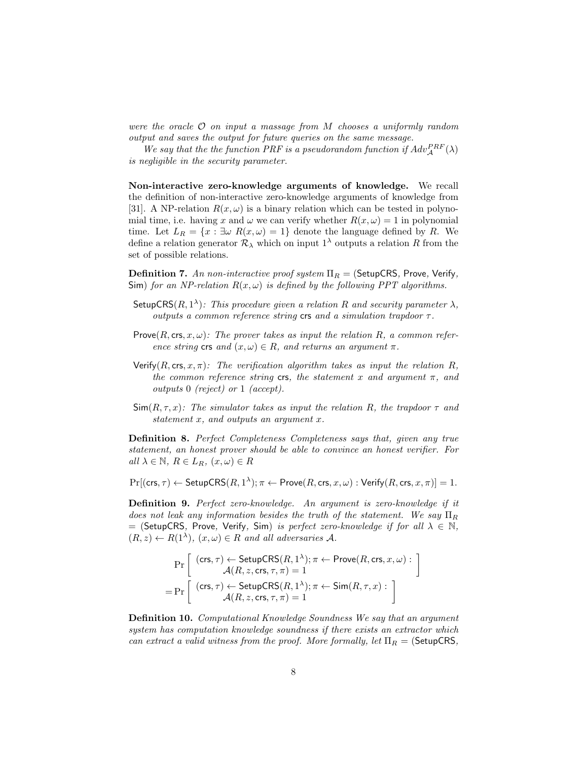were the oracle  $\mathcal O$  on input a massage from M chooses a uniformly random output and saves the output for future queries on the same message.

We say that the the function PRF is a pseudorandom function if  $Adv_{\mathcal{A}}^{PRF}(\lambda)$ is negligible in the security parameter.

Non-interactive zero-knowledge arguments of knowledge. We recall the definition of non-interactive zero-knowledge arguments of knowledge from [31]. A NP-relation  $R(x, \omega)$  is a binary relation which can be tested in polynomial time, i.e. having x and  $\omega$  we can verify whether  $R(x, \omega) = 1$  in polynomial time. Let  $L_R = \{x : \exists \omega \ R(x, \omega) = 1\}$  denote the language defined by R. We define a relation generator  $\mathcal{R}_{\lambda}$  which on input  $1^{\lambda}$  outputs a relation R from the set of possible relations.

**Definition 7.** An non-interactive proof system  $\Pi_R =$  (SetupCRS, Prove, Verify, Sim) for an NP-relation  $R(x, \omega)$  is defined by the following PPT algorithms.

- SetupCRS $(R, 1^{\lambda})$ : This procedure given a relation R and security parameter  $\lambda$ , outputs a common reference string  $\mathsf{crs}$  and a simulation trapdoor  $\tau$ .
- Prove $(R, \text{crs}, x, \omega)$ : The prover takes as input the relation R, a common reference string crs and  $(x, \omega) \in R$ , and returns an argument  $\pi$ .
- Verify(R, crs, x,  $\pi$ ): The verification algorithm takes as input the relation R, the common reference string crs, the statement x and argument  $\pi$ , and outputs 0 (reject) or 1 (accept).
- $\textsf{Sim}(R, \tau, x)$ : The simulator takes as input the relation R, the trapdoor  $\tau$  and statement x, and outputs an argument x.

Definition 8. Perfect Completeness Completeness says that, given any true statement, an honest prover should be able to convince an honest verifier. For all  $\lambda \in \mathbb{N}$ ,  $R \in L_R$ ,  $(x, \omega) \in R$ 

 $Pr[(\textsf{crs}, \tau) \leftarrow \textsf{SetupCRS}(R, 1^{\lambda}); \pi \leftarrow \textsf{Prove}(R, \textsf{crs}, x, \omega): \textsf{Verify}(R, \textsf{crs}, x, \pi)] = 1.$ 

Definition 9. Perfect zero-knowledge. An argument is zero-knowledge if it does not leak any information besides the truth of the statement. We say  $\Pi_R$ = (SetupCRS, Prove, Verify, Sim) is perfect zero-knowledge if for all  $\lambda \in \mathbb{N}$ ,  $(R, z) \leftarrow R(1^{\lambda}), (x, \omega) \in R$  and all adversaries A.

$$
\Pr\left[\begin{array}{c}(\mathsf{crs},\tau) \leftarrow \mathsf{SetupCRS}(R,1^{\lambda}); \pi \leftarrow \mathsf{Prove}(R,\mathsf{crs},x,\omega): \\\mathcal{A}(R,z,\mathsf{crs},\tau,\pi)=1\\\ \mathsf{Pr}\left[\begin{array}{c}(\mathsf{crs},\tau) \leftarrow \mathsf{SetupCRS}(R,1^{\lambda}); \pi \leftarrow \mathsf{Sim}(R,\tau,x): \\\mathcal{A}(R,z,\mathsf{crs},\tau,\pi)=1\end{array}\right]\end{array}\right]
$$

Definition 10. Computational Knowledge Soundness We say that an argument system has computation knowledge soundness if there exists an extractor which can extract a valid witness from the proof. More formally, let  $\Pi_R =$  (SetupCRS,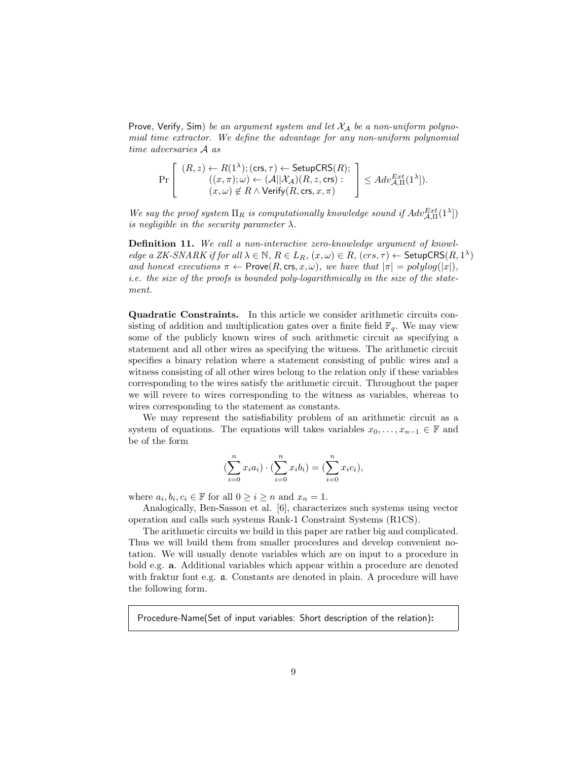Prove, Verify, Sim) be an argument system and let  $X_A$  be a non-uniform polynomial time extractor. We define the advantage for any non-uniform polynomial time adversaries A as

$$
\Pr\left[\begin{array}{c}(R,z)\leftarrow R(1^{\lambda});(\mathsf{crs},\tau)\leftarrow\mathsf{SetupCRS}(R);\\((x,\pi);\omega)\leftarrow(\mathcal{A}||\mathcal{X}_{\mathcal{A}})(R,z,\mathsf{crs}):\\(x,\omega)\not\in R\wedge\mathsf{Verify}(R,\mathsf{crs},x,\pi)\end{array}\right]\leq Adv_{\mathcal{A},\Pi}^{Ext}(1^{\lambda}]).
$$

We say the proof system  $\Pi_R$  is computationally knowledge sound if  $Adv_{\mathcal{A},\Pi}^{Ext}(1^{\lambda})$ is negligible in the security parameter  $\lambda$ .

Definition 11. We call a non-interactive zero-knowledge argument of knowledge a ZK-SNARK if for all  $\lambda \in \mathbb{N}$ ,  $R \in L_R$ ,  $(x, \omega) \in R$ ,  $(crs, \tau) \leftarrow$  SetupCRS $(R, 1^{\lambda})$ and honest executions  $\pi \leftarrow \text{Prove}(R, \text{crs}, x, \omega)$ , we have that  $|\pi| = polylog(|x|)$ , i.e. the size of the proofs is bounded poly-logarithmically in the size of the statement.

Quadratic Constraints. In this article we consider arithmetic circuits consisting of addition and multiplication gates over a finite field  $\mathbb{F}_q$ . We may view some of the publicly known wires of such arithmetic circuit as specifying a statement and all other wires as specifying the witness. The arithmetic circuit specifies a binary relation where a statement consisting of public wires and a witness consisting of all other wires belong to the relation only if these variables corresponding to the wires satisfy the arithmetic circuit. Throughout the paper we will revere to wires corresponding to the witness as variables, whereas to wires corresponding to the statement as constants.

We may represent the satisfiability problem of an arithmetic circuit as a system of equations. The equations will takes variables  $x_0, \ldots, x_{n-1} \in \mathbb{F}$  and be of the form

$$
(\sum_{i=0}^{n} x_i a_i) \cdot (\sum_{i=0}^{n} x_i b_i) = (\sum_{i=0}^{n} x_i c_i),
$$

where  $a_i, b_i, c_i \in \mathbb{F}$  for all  $0 \geq i \geq n$  and  $x_n = 1$ .

Analogically, Ben-Sasson et al. [6], characterizes such systems using vector operation and calls such systems Rank-1 Constraint Systems (R1CS).

The arithmetic circuits we build in this paper are rather big and complicated. Thus we will build them from smaller procedures and develop convenient notation. We will usually denote variables which are on input to a procedure in bold e.g. a. Additional variables which appear within a procedure are denoted with fraktur font e.g. a. Constants are denoted in plain. A procedure will have the following form.

Procedure-Name(Set of input variables: Short description of the relation):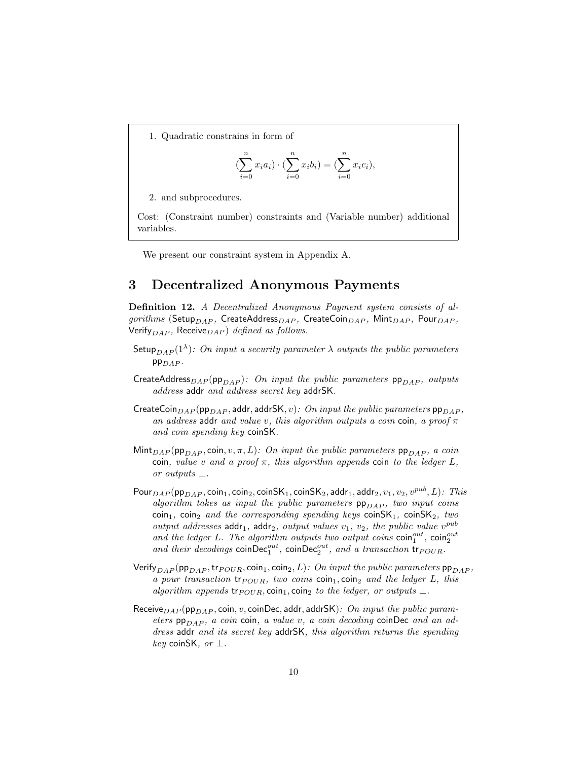1. Quadratic constrains in form of

$$
(\sum_{i=0}^{n} x_i a_i) \cdot (\sum_{i=0}^{n} x_i b_i) = (\sum_{i=0}^{n} x_i c_i),
$$

2. and subprocedures.

Cost: (Constraint number) constraints and (Variable number) additional variables.

We present our constraint system in Appendix A.

### 3 Decentralized Anonymous Payments

Definition 12. A Decentralized Anonymous Payment system consists of algorithms (Setup<sub>DAP</sub>, CreateAddress<sub>DAP</sub>, CreateCoin<sub>DAP</sub>, Mint<sub>DAP</sub>, Pour<sub>DAP</sub>, Verify<sub>DAP</sub>, Receive<sub>DAP</sub>) defined as follows.

- Setup $_{DAP}(1^{\lambda})$ : On input a security parameter  $\lambda$  outputs the public parameters  $PP_{DAP}$ .
- CreateAddress<sub>DAP</sub>(pp<sub>DAP</sub>): On input the public parameters  $pp_{DAP}$ , outputs address addr and address secret key addrSK.
- CreateCoin $_{DAP}$  (pp $_{DAP}$ , addr, addrSK, v): On input the public parameters pp $_{DAP}$ , an address addr and value v, this algorithm outputs a coin coin, a proof  $\pi$ and coin spending key coinSK.
- Mint<sub>DAP</sub> (pp<sub>DAP</sub>, coin,  $v, \pi, L$ ): On input the public parameters pp<sub>DAP</sub>, a coin coin, value v and a proof  $\pi$ , this algorithm appends coin to the ledger L, or outputs ⊥.
- $\mathsf{Pour}_{DAP}(\mathsf{pp}_{DAP}, \mathsf{coin}_1, \mathsf{coin}_2, \mathsf{coinSK}_1, \mathsf{coinSK}_2, \mathsf{addr}_1, \mathsf{addr}_2, v_1, v_2, v^{pub}, L)$ : This algorithm takes as input the public parameters  $pp_{DAP}$ , two input coins  $\text{coin}_1$ ,  $\text{coin}_2$  and the corresponding spending keys  $\text{coinSK}_1$ ,  $\text{coinSK}_2$ , two output addresses  $\text{addr}_1$ ,  $\text{addr}_2$ ,  $\text{output values } v_1$ ,  $v_2$ , the public value  $v^{\text{pub}}$ and the ledger L. The algorithm outputs two output coins  $\text{coin}_1^{\text{out}}$ ,  $\text{coin}_2^{\text{out}}$ <br>and their decodings  $\text{coinDec}_1^{\text{out}}$ ,  $\text{coinDec}_2^{\text{out}}$ , and a transaction  $\text{tr}_{POUR}$ .
- Verify<sub>DAP</sub> (pp<sub>DAP</sub>, tr<sub>POUR</sub>, coin<sub>1</sub>, coin<sub>2</sub>, L): On input the public parameters pp<sub>DAP</sub>, a pour transaction  ${\rm tr}_{POUR}$ , two coins  ${\rm coin}_1, {\rm coin}_2$  and the ledger L, this algorithm appends tr $_{POUR}$ , coin<sub>1</sub>, coin<sub>2</sub> to the ledger, or outputs  $\perp$ .
- Receive $_{DAP}$  (pp $_{DAP}$ , coin,  $v$ , coinDec, addr, addrSK): On input the public parameters  $pp_{DAP}$ , a coin coin, a value v, a coin decoding coinDec and an address addr and its secret key addrSK, this algorithm returns the spending  $key$  coinSK, or  $\perp$ .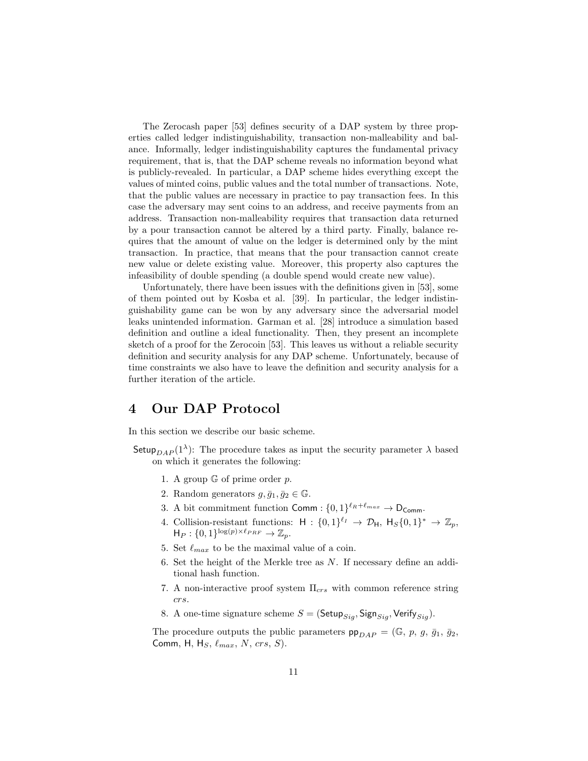The Zerocash paper [53] defines security of a DAP system by three properties called ledger indistinguishability, transaction non-malleability and balance. Informally, ledger indistinguishability captures the fundamental privacy requirement, that is, that the DAP scheme reveals no information beyond what is publicly-revealed. In particular, a DAP scheme hides everything except the values of minted coins, public values and the total number of transactions. Note, that the public values are necessary in practice to pay transaction fees. In this case the adversary may sent coins to an address, and receive payments from an address. Transaction non-malleability requires that transaction data returned by a pour transaction cannot be altered by a third party. Finally, balance requires that the amount of value on the ledger is determined only by the mint transaction. In practice, that means that the pour transaction cannot create new value or delete existing value. Moreover, this property also captures the infeasibility of double spending (a double spend would create new value).

Unfortunately, there have been issues with the definitions given in [53], some of them pointed out by Kosba et al. [39]. In particular, the ledger indistinguishability game can be won by any adversary since the adversarial model leaks unintended information. Garman et al. [28] introduce a simulation based definition and outline a ideal functionality. Then, they present an incomplete sketch of a proof for the Zerocoin [53]. This leaves us without a reliable security definition and security analysis for any DAP scheme. Unfortunately, because of time constraints we also have to leave the definition and security analysis for a further iteration of the article.

### 4 Our DAP Protocol

In this section we describe our basic scheme.

- Setup<sub>DAP</sub>(1<sup> $\lambda$ </sup>): The procedure takes as input the security parameter  $\lambda$  based on which it generates the following:
	- 1. A group  $\mathbb G$  of prime order p.
	- 2. Random generators  $q, \bar{q}_1, \bar{q}_2 \in \mathbb{G}$ .
	- 3. A bit commitment function Comm :  $\{0,1\}^{\ell_R+\ell_{max}} \to D_{\text{Comm}}$ .
	- 4. Collision-resistant functions:  $H: \{0,1\}^{\ell_I} \to \mathcal{D}_H$ ,  $H_S\{0,1\}^* \to \mathbb{Z}_p$ ,  $H_P: \{0,1\}^{\log(p)\times \ell_{PRF}} \to \mathbb{Z}_p.$
	- 5. Set  $\ell_{max}$  to be the maximal value of a coin.
	- 6. Set the height of the Merkle tree as N. If necessary define an additional hash function.
	- 7. A non-interactive proof system  $\Pi_{crs}$  with common reference string crs.
	- 8. A one-time signature scheme  $S = ($ Setup $_{Siq}$ , Sign $_{Siq}$ , Verify $_{Siq}$ ).

The procedure outputs the public parameters  $pp_{DAP} = (\mathbb{G}, p, g, \bar{g}_1, \bar{g}_2,$ Comm, H, H<sub>S</sub>,  $\ell_{max}$ , N, crs, S).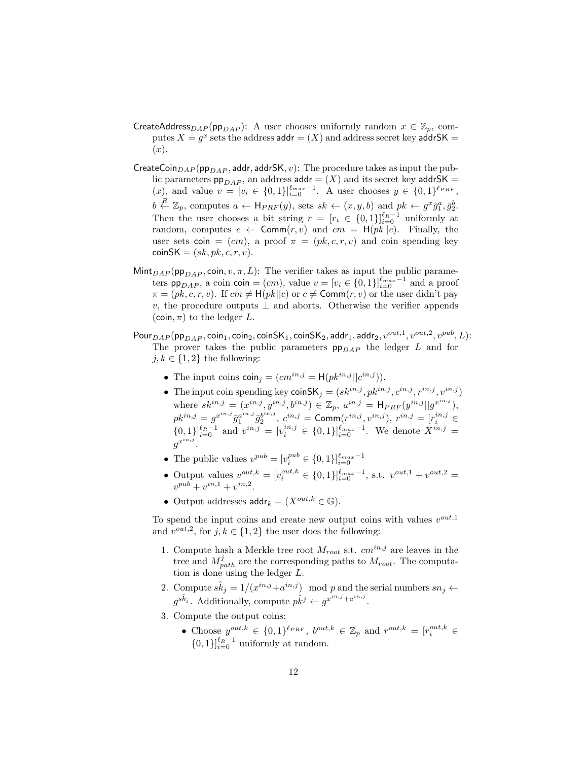- CreateAddress<sub>DAP</sub> (pp<sub>DAP</sub>): A user chooses uniformly random  $x \in \mathbb{Z}_p$ , computes  $X = g^x$  sets the address  $\mathsf{addr} = (X)$  and address secret key  $\mathsf{addrSK} =$  $(x).$
- CreateCoin $_{DAP}$  (pp $_{DAP}$ , addr, addrSK, v): The procedure takes as input the public parameters  $pp_{DAP}$ , an address addr =  $(X)$  and its secret key addrSK =  $(x)$ , and value  $v = [v_i \in \{0,1\}]_{i=0}^{\ell_{max}-1}$ . A user chooses  $y \in \{0,1\}^{\ell_{PRF}}$ ,  $b \stackrel{R}{\leftarrow} \mathbb{Z}_p$ , computes  $a \leftarrow \mathsf{H}_{PRF}(y)$ , sets  $sk \leftarrow (x, y, b)$  and  $pk \leftarrow g^x \overline{g}_1^a, \overline{g}_2^b$ . Then the user chooses a bit string  $r = [r_i \in \{0,1\}]_{i=0}^{\ell_R-1}$  uniformly at random, computes  $c \leftarrow \text{Comm}(r, v)$  and  $cm = H(pk||c)$ . Finally, the user sets coin =  $(cm)$ , a proof  $\pi = (pk, c, r, v)$  and coin spending key  $\text{coinSK} = (sk, pk, c, r, v).$
- $\text{Mint}_{DAP}$  (pp<sub>DAP</sub>, coin,  $v, \pi, L$ ): The verifier takes as input the public parameters pp<sub>DAP</sub>, a coin coin =  $(cm)$ , value  $v = [v_i \in \{0, 1\}]_{i=0}^{\ell_{max}-1}$  and a proof  $\pi = (pk, c, r, v)$ . If  $cm \neq H(pk||c)$  or  $c \neq \text{Comm}(r, v)$  or the user didn't pay v, the procedure outputs  $\perp$  and aborts. Otherwise the verifier appends (coin,  $\pi$ ) to the ledger L.
- $\mathsf{Pour}_{DAP}(\mathsf{pp}_{DAP}, \mathsf{coin}_1, \mathsf{coin}_2, \mathsf{coinSK}_1, \mathsf{coinSK}_2, \mathsf{addr}_1, \mathsf{addr}_2, v^{out,1}, v^{out,2}, v^{pub}, L)$ : The prover takes the public parameters  $pp_{DAP}$  the ledger L and for  $j, k \in \{1, 2\}$  the following:
	- The input coins  $\text{coin}_j = (cm^{in,j} = H(pk^{in,j} || c^{in,j})).$
	- The input coin spending key coinSK<sub>j</sub> =  $(sk^{in,j}, p k^{in,j}, c^{in,j}, r^{in,j}, v^{in,j})$ where  $sk^{in,j} = (x^{in,j}, y^{in,j}, b^{in,j}) \in \mathbb{Z}_p$ ,  $a^{in,j} = H_{PRF}(y^{in,j}||g^{x^{in,j}})$ ,  $pk^{in,j} = g^{x^{in,j}} \bar{g}^{a^{in,j}}_{1} \bar{g}^{b^{in,j}}_{2}, \ c^{in,j} = \mathsf{Comm}(r^{in,j}, v^{in,j}), \ r^{in,j} = [r^{in,j}_i \in$  $\{0,1\}\}_{i=0}^{\ell_R-1}$  and  $v^{in,j} = [v_i^{in,j} \in \{0,1\}\}_{i=0}^{\ell_{max}-1}$ . We denote  $X^{in,j}$  $g^{x^{in,j}}.$
	- The public values  $v^{pub} = [v_i^{pub} \in \{0, 1\}]_{i=0}^{\ell_{max}-1}$
	- Output values  $v^{out,k} = [v_i^{out,k} \in \{0,1\}]_{i=0}^{\ell_{max}-1}$ , s.t.  $v^{out,1} + v^{out,2} =$  $v^{pub} + v^{in,1} + v^{in,2}.$
	- Output addresses  $\text{addr}_k = (X^{out,k} \in \mathbb{G}).$

To spend the input coins and create new output coins with values  $v^{out,1}$ and  $v^{out,2}$ , for  $j, k \in \{1, 2\}$  the user does the following:

- 1. Compute hash a Merkle tree root  $M_{root}$  s.t.  $cm^{in,j}$  are leaves in the tree and  $M_{path}^j$  are the corresponding paths to  $M_{root}$ . The computation is done using the ledger L.
- 2. Compute  $s\hat{k}_j = 1/(x^{in,j}+a^{in,j}) \mod p$  and the serial numbers  $sn_j \leftarrow$  $g^{s\hat{k}_j}$ . Additionally, compute  $p\hat{k}^j \leftarrow g^{x^{in,j} + a^{in,j}}$ .
- 3. Compute the output coins:
	- Choose  $y^{out,k} \in \{0,1\}^{\ell_{PRF}}, b^{out,k} \in \mathbb{Z}_p$  and  $r^{out,k} = [r_i^{out,k} \in$  $\{0,1\}\}_{i=0}^{\ell_R-1}$  uniformly at random.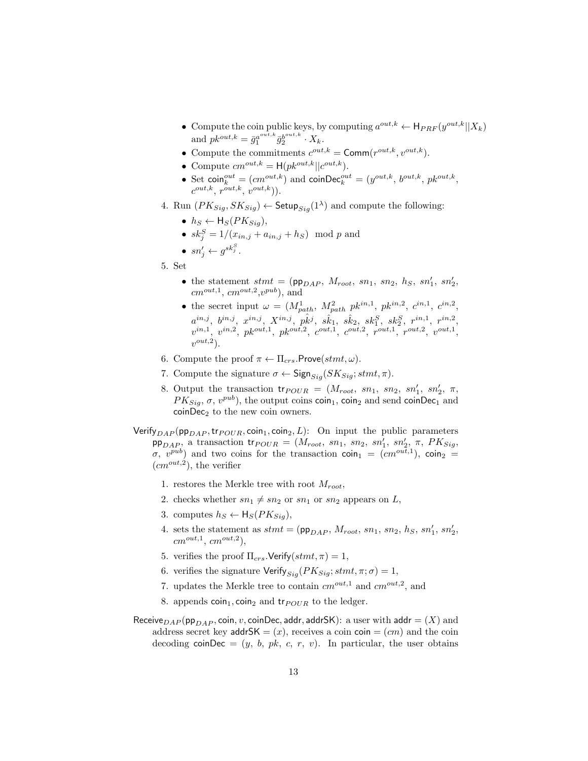- Compute the coin public keys, by computing  $a^{out,k} \leftarrow H_{PRF}(y^{out,k}||X_k)$ and  $pk^{out,k} = \bar{g}_1^{a^{out,k}} \bar{g}_2^{b^{out,k}} \cdot X_k$ .
- Compute the commitments  $c^{out,k} = \text{Comm}(r^{out,k}, v^{out,k}).$
- Compute  $cm^{out,k} = H(pk^{out,k} || c^{out,k}).$
- Set coin $e^{out} = (cm^{out,k})$  and coin $\text{Dec}_{k}^{out} = (y^{out,k}, b^{out,k}, p^{k^{out,k}})$  $c^{out,k}, r^{out,k}, v^{out,k})$ ).
- 4. Run  $(PK_{Sig}, SK_{Sig}) \leftarrow$  Setup $_{Sig}(1^{\lambda})$  and compute the following:
	- $h_S \leftarrow H_S(PK_{Sig}),$
	- $sk_j^S = 1/(x_{in,j} + a_{in,j} + h_S) \mod p$  and
	- $\bullet \; sn'_j \leftarrow g^{sk_j^S}.$
- 5. Set
	- the statement  $stmt = (pp<sub>DAP</sub>, M<sub>root</sub>, sn<sub>1</sub>, sn<sub>2</sub>, h<sub>S</sub>, sn'<sub>1</sub>, sn'<sub>2</sub>)$  $cm^{out,1}, cm^{out,2}, v^{pub}$ ), and
	- the secret input  $\omega = (M_{path}^1, M_{path}^2, pk^{in,1}, pk^{in,2}, c^{in,1}, c^{in,2},$  $a^{in,j},\,\,b^{in,j},\,\,x^{in,j},\,\,X^{in,j},\,\,p\hat{k}^j,\,\,s\hat{k}_1,\,\,s\hat{k}_2,\,\,sk_1^S,\,\,sk_2^S,\,\,r^{in,1},\,\,r^{in,2},$  $v^{in,1}, v^{in,2}, p k^{out,1}, p k^{out,2}, c^{out,1}, c^{out,2}, r^{out,1}, r^{out,2}, v^{out,1},$  $v^{out,2}$ ).
- 6. Compute the proof  $\pi \leftarrow \Pi_{crs}$ . Prove $(stmt, \omega)$ .
- 7. Compute the signature  $\sigma \leftarrow$  Sign $_{Siq}(SK_{Siq}; \text{stmt}, \pi)$ .
- 8. Output the transaction  $tr_{POUR} = (M_{root}, sn_1, sn_2, sn'_1, sn'_2, \pi,$  $PK_{Sig}, \sigma, v^{pub}$ , the output coins coin<sub>1</sub>, coin<sub>2</sub> and send coinDec<sub>1</sub> and  $\text{coinDec}_2$  to the new coin owners.

Verify<sub>DAP</sub> (pp<sub>DAP</sub>, tr<sub>POUR</sub>, coin<sub>1</sub>, coin<sub>2</sub>, L): On input the public parameters pp<sub>DAP</sub>, a transaction tr<sub>POUR</sub> = ( $M_{root}$ ,  $sn_1$ ,  $sn_2$ ,  $sn'_1$ ,  $sn'_2$ ,  $\pi$ ,  $PK_{Sig}$ , σ,  $v^{pub}$ ) and two coins for the transaction coin<sub>1</sub> =  $(cm^{out,1})$ , coin<sub>2</sub> =  $(cm^{out,2})$ , the verifier

- 1. restores the Merkle tree with root  $M_{root}$ ,
- 2. checks whether  $sn_1 \neq sn_2$  or  $sn_1$  or  $sn_2$  appears on L,
- 3. computes  $h_S \leftarrow H_S(PK_{Siq})$ ,
- 4. sets the statement as  $stmt = (pp_{DAP}, M_{root}, sn_1, sn_2, h_S, sn'_1, sn'_2)$  $cm^{out,1}, cm^{out,2}),$
- 5. verifies the proof  $\Pi_{crs}$ . Verify $(stmt, \pi) = 1$ ,
- 6. verifies the signature Verify<sub>Sig</sub>( $PK_{Sig}$ ; stmt,  $\pi$ ;  $\sigma$ ) = 1,
- 7. updates the Merkle tree to contain  $cm^{out,1}$  and  $cm^{out,2}$ , and
- 8. appends  $\text{coin}_1$ ,  $\text{coin}_2$  and  $\text{tr}_{POUR}$  to the ledger.
- Receive $_{DAP}$  (pp<sub>DAP</sub>, coin, v, coinDec, addr, addrSK): a user with addr = (X) and address secret key addrSK =  $(x)$ , receives a coin coin =  $(cm)$  and the coin decoding coinDec =  $(y, b, pk, c, r, v)$ . In particular, the user obtains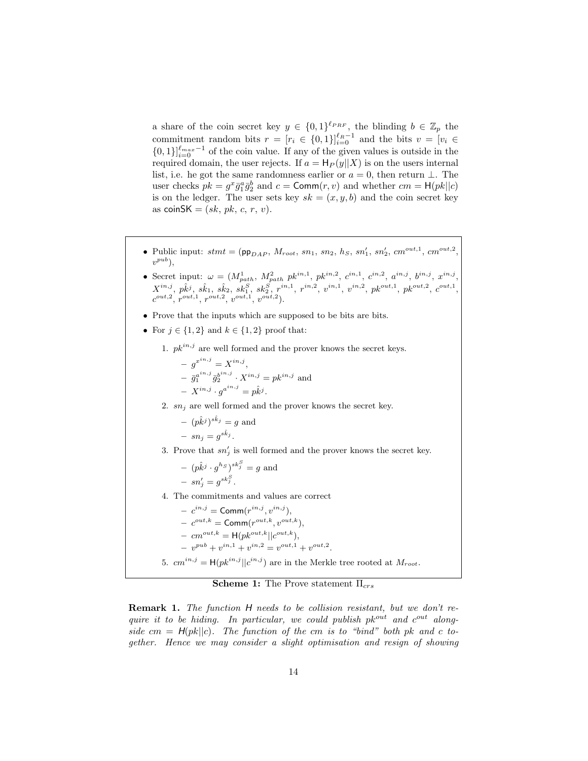a share of the coin secret key  $y \in \{0,1\}^{\ell_{PRF}}$ , the blinding  $b \in \mathbb{Z}_p$  the commitment random bits  $r = [r_i \in \{0,1\}]_{i=0}^{\ell_R-1}$  and the bits  $v = [v_i \in$  $\{0,1\}\}_{i=0}^{\ell_{max}-1}$  of the coin value. If any of the given values is outside in the required domain, the user rejects. If  $a = H_P(y||X)$  is on the users internal list, i.e. he got the same randomness earlier or  $a = 0$ , then return  $\perp$ . The user checks  $pk = g^x \bar{g}_1^a \bar{g}_2^b$  and  $c = \text{Comm}(r, v)$  and whether  $cm = \text{H}(pk||c)$ is on the ledger. The user sets key  $sk = (x, y, b)$  and the coin secret key as coinSK =  $(sk, pk, c, r, v)$ .

- Public input:  $stm = (pp_{DAP}, M_{root}, sn_1, sn_2, h_S, sn'_1, sn'_2, cm^{out,1}, cm^{out,2},$  $v^{pub}$ ),
- Secret input:  $\omega = (M_{path}^1, M_{path}^2, p k^{in,1}, p k^{in,2}, c^{in,1}, c^{in,2}, a^{in,j}, b^{in,j}, x^{in,j},$  $X^{in,j},\ p\hat{k}^j,\ \hat{s k_1},\ \hat{s k_2},\ \hat{s k_1^S},\ \hat{s k_2^S},\ r^{in,1},\ r^{in,2},\ v^{in,1},\ v^{in,2},\ p k^{out,1},\ p k^{out,2},\ c^{out,1},$  $c^{out,2}, r^{out,1}, r^{out,2}, v^{out,1}, v^{out,2}).$
- Prove that the inputs which are supposed to be bits are bits.
- For  $j \in \{1,2\}$  and  $k \in \{1,2\}$  proof that:

1.  $pk^{in,j}$  are well formed and the prover knows the secret keys.

- 
$$
g^{x^{in,j}} = X^{in,j}
$$
,  
\n-  $\bar{g}_1^{a^{in,j}} \bar{g}_2^{b^{in,j}} \cdot X^{in,j} = p k^{in,j}$  and  
\n-  $X^{in,j} \cdot g^{a^{in,j}} = p \hat{k}^j$ .

2.  $sn_i$  are well formed and the prover knows the secret key.

$$
-(p\hat{k}^{j})^{s\hat{k}_{j}} = g
$$
 and  

$$
- sn_{j} = g^{s\hat{k}_{j}}.
$$

3. Prove that  $sn'_j$  is well formed and the prover knows the secret key.

$$
- (p\hat{k}^j \cdot g^{h_S})^{sk_j^S} = g
$$
 and  

$$
- sn_j' = g^{sk_j^S}.
$$

4. The commitments and values are correct

$$
- c^{in,j} = \text{Comm}(r^{in,j}, v^{in,j}),
$$

$$
- c^{out,k} = \text{Comm}(r^{out,k}, v^{out,k}),
$$

$$
- cm^{out,k} = \mathsf{H}(pk^{out,k}||c^{out,k}),
$$

 $-v^{pub}+v^{in,1}+v^{in,2}=v^{out,1}+v^{out,2}.$ 

5.  $cm^{in,j} = H(pk^{in,j} || c^{in,j})$  are in the Merkle tree rooted at  $M_{root}$ .

**Scheme 1:** The Prove statement  $\Pi_{crs}$ 

Remark 1. The function H needs to be collision resistant, but we don't require it to be hiding. In particular, we could publish  $pk^{out}$  and  $c^{out}$  alongside cm =  $H(pk||c)$ . The function of the cm is to "bind" both pk and c together. Hence we may consider a slight optimisation and resign of showing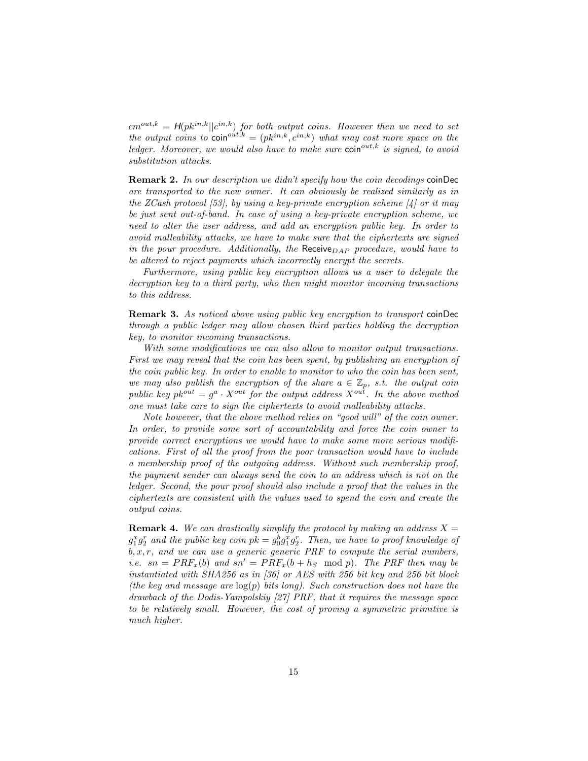$cm^{out,k} = H(pk^{in,k}||c^{in,k})$  for both output coins. However then we need to set the output coins to  $\text{coin}^{out,k} = (pk^{in,k}, c^{in,k})$  what may cost more space on the ledger. Moreover, we would also have to make sure  $\text{coin}^{\text{out},k}$  is signed, to avoid substitution attacks.

Remark 2. In our description we didn't specify how the coin decodings coinDec are transported to the new owner. It can obviously be realized similarly as in the ZCash protocol [53], by using a key-private encryption scheme [4] or it may be just sent out-of-band. In case of using a key-private encryption scheme, we need to alter the user address, and add an encryption public key. In order to avoid malleability attacks, we have to make sure that the ciphertexts are signed in the pour procedure. Additionally, the  $\text{Receive}_{DAP}$  procedure, would have to be altered to reject payments which incorrectly encrypt the secrets.

Furthermore, using public key encryption allows us a user to delegate the decryption key to a third party, who then might monitor incoming transactions to this address.

Remark 3. As noticed above using public key encryption to transport coinDec through a public ledger may allow chosen third parties holding the decryption key, to monitor incoming transactions.

With some modifications we can also allow to monitor output transactions. First we may reveal that the coin has been spent, by publishing an encryption of the coin public key. In order to enable to monitor to who the coin has been sent, we may also publish the encryption of the share  $a \in \mathbb{Z}_p$ , s.t. the output coin public key  $pk^{out} = g^a \cdot X^{out}$  for the output address  $X^{out}$ . In the above method one must take care to sign the ciphertexts to avoid malleability attacks.

Note however, that the above method relies on "good will" of the coin owner. In order, to provide some sort of accountability and force the coin owner to provide correct encryptions we would have to make some more serious modifications. First of all the proof from the poor transaction would have to include a membership proof of the outgoing address. Without such membership proof, the payment sender can always send the coin to an address which is not on the ledger. Second, the pour proof should also include a proof that the values in the ciphertexts are consistent with the values used to spend the coin and create the output coins.

**Remark 4.** We can drastically simplify the protocol by making an address  $X =$  $g_1^x g_2^r$  and the public key coin  $pk = g_0^b g_1^x g_2^r$ . Then, we have to proof knowledge of  $b, x, r$ , and we can use a generic generic PRF to compute the serial numbers, *i.e.*  $sn = PRF<sub>x</sub>(b)$  and  $sn' = PRF<sub>x</sub>(b + h<sub>S</sub> \mod p)$ . The PRF then may be instantiated with SHA256 as in [36] or AES with 256 bit key and 256 bit block (the key and message are  $log(p)$  bits long). Such construction does not have the drawback of the Dodis-Yampolskiy [27] PRF, that it requires the message space to be relatively small. However, the cost of proving a symmetric primitive is much higher.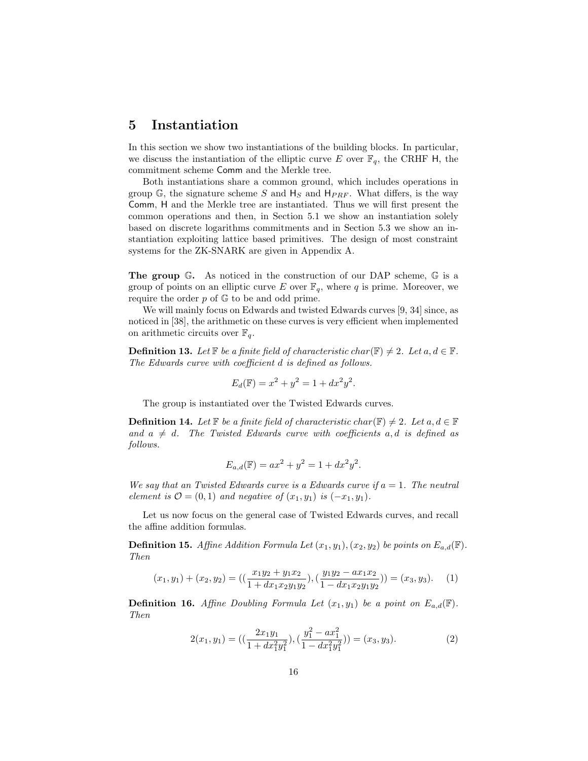### 5 Instantiation

In this section we show two instantiations of the building blocks. In particular, we discuss the instantiation of the elliptic curve E over  $\mathbb{F}_q$ , the CRHF H, the commitment scheme Comm and the Merkle tree.

Both instantiations share a common ground, which includes operations in group  $\mathbb{G}$ , the signature scheme S and  $H_S$  and  $H_{PRF}$ . What differs, is the way Comm, H and the Merkle tree are instantiated. Thus we will first present the common operations and then, in Section 5.1 we show an instantiation solely based on discrete logarithms commitments and in Section 5.3 we show an instantiation exploiting lattice based primitives. The design of most constraint systems for the ZK-SNARK are given in Appendix A.

The group G. As noticed in the construction of our DAP scheme, G is a group of points on an elliptic curve E over  $\mathbb{F}_q$ , where q is prime. Moreover, we require the order  $p$  of  $\mathbb{G}$  to be and odd prime.

We will mainly focus on Edwards and twisted Edwards curves [9, 34] since, as noticed in [38], the arithmetic on these curves is very efficient when implemented on arithmetic circuits over  $\mathbb{F}_q$ .

**Definition 13.** Let  $\mathbb{F}$  be a finite field of characteristic char( $\mathbb{F}$ )  $\neq 2$ . Let  $a, d \in \mathbb{F}$ . The Edwards curve with coefficient d is defined as follows.

$$
E_d(\mathbb{F}) = x^2 + y^2 = 1 + dx^2 y^2
$$

.

The group is instantiated over the Twisted Edwards curves.

**Definition 14.** Let  $\mathbb{F}$  be a finite field of characteristic char( $\mathbb{F}$ )  $\neq$  2. Let  $a, d \in \mathbb{F}$ and  $a \neq d$ . The Twisted Edwards curve with coefficients a, d is defined as follows.

$$
E_{a,d}(\mathbb{F}) = ax^2 + y^2 = 1 + dx^2y^2.
$$

We say that an Twisted Edwards curve is a Edwards curve if  $a = 1$ . The neutral element is  $\mathcal{O} = (0, 1)$  and negative of  $(x_1, y_1)$  is  $(-x_1, y_1)$ .

Let us now focus on the general case of Twisted Edwards curves, and recall the affine addition formulas.

**Definition 15.** Affine Addition Formula Let  $(x_1, y_1), (x_2, y_2)$  be points on  $E_{a,d}(\mathbb{F})$ . Then

$$
(x_1, y_1) + (x_2, y_2) = \left( \left( \frac{x_1 y_2 + y_1 x_2}{1 + dx_1 x_2 y_1 y_2} \right), \left( \frac{y_1 y_2 - ax_1 x_2}{1 - dx_1 x_2 y_1 y_2} \right) \right) = (x_3, y_3). \tag{1}
$$

**Definition 16.** Affine Doubling Formula Let  $(x_1, y_1)$  be a point on  $E_{a,d}(\mathbb{F})$ . Then

$$
2(x_1, y_1) = \left( \left( \frac{2x_1 y_1}{1 + dx_1^2 y_1^2} \right), \left( \frac{y_1^2 - ax_1^2}{1 - dx_1^2 y_1^2} \right) \right) = (x_3, y_3). \tag{2}
$$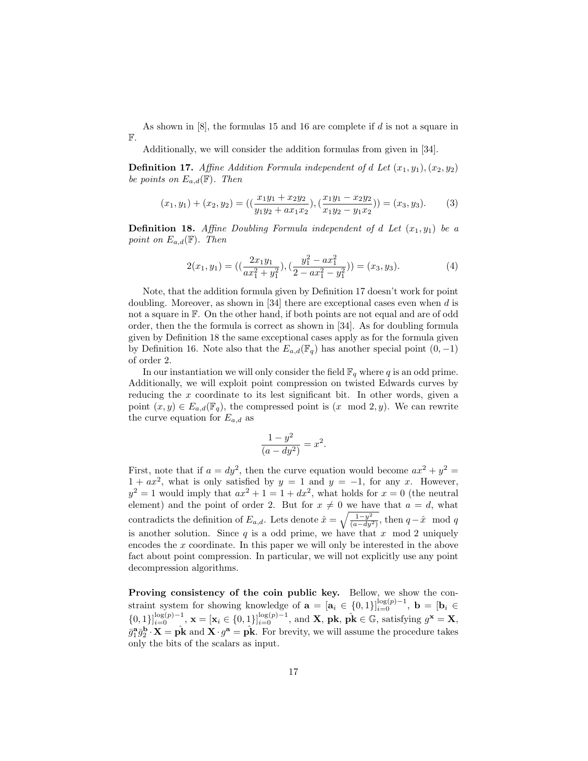As shown in  $[8]$ , the formulas 15 and 16 are complete if  $d$  is not a square in F.

Additionally, we will consider the addition formulas from given in [34].

**Definition 17.** Affine Addition Formula independent of d Let  $(x_1, y_1), (x_2, y_2)$ be points on  $E_{a,d}(\mathbb{F})$ . Then

$$
(x_1, y_1) + (x_2, y_2) = \left( \left( \frac{x_1 y_1 + x_2 y_2}{y_1 y_2 + a x_1 x_2} \right), \left( \frac{x_1 y_1 - x_2 y_2}{x_1 y_2 - y_1 x_2} \right) \right) = (x_3, y_3). \tag{3}
$$

**Definition 18.** Affine Doubling Formula independent of d Let  $(x_1, y_1)$  be a point on  $E_{a,d}(\mathbb{F})$ . Then

$$
2(x_1, y_1) = \left( \left( \frac{2x_1y_1}{ax_1^2 + y_1^2} \right), \left( \frac{y_1^2 - ax_1^2}{2 - ax_1^2 - y_1^2} \right) \right) = (x_3, y_3). \tag{4}
$$

Note, that the addition formula given by Definition 17 doesn't work for point doubling. Moreover, as shown in [34] there are exceptional cases even when d is not a square in F. On the other hand, if both points are not equal and are of odd order, then the the formula is correct as shown in [34]. As for doubling formula given by Definition 18 the same exceptional cases apply as for the formula given by Definition 16. Note also that the  $E_{a,d}(\mathbb{F}_q)$  has another special point  $(0, -1)$ of order 2.

In our instantiation we will only consider the field  $\mathbb{F}_q$  where q is an odd prime. Additionally, we will exploit point compression on twisted Edwards curves by reducing the x coordinate to its lest significant bit. In other words, given a point  $(x, y) \in E_{a,d}(\mathbb{F}_q)$ , the compressed point is  $(x \mod 2, y)$ . We can rewrite the curve equation for  $E_{a,d}$  as

$$
\frac{1-y^2}{(a-dy^2)} = x^2.
$$

First, note that if  $a = dy^2$ , then the curve equation would become  $ax^2 + y^2 =$  $1 + ax^2$ , what is only satisfied by  $y = 1$  and  $y = -1$ , for any x. However,  $y^2 = 1$  would imply that  $ax^2 + 1 = 1 + dx^2$ , what holds for  $x = 0$  (the neutral element) and the point of order 2. But for  $x \neq 0$  we have that  $a = d$ , what contradicts the definition of  $E_{a,d}$ . Lets denote  $\hat{x} = \sqrt{\frac{1-y^2}{(a-dy^2)}}$ , then  $q-\hat{x} \mod q$ is another solution. Since  $q$  is a odd prime, we have that  $x \mod 2$  uniquely encodes the x coordinate. In this paper we will only be interested in the above fact about point compression. In particular, we will not explicitly use any point decompression algorithms.

Proving consistency of the coin public key. Bellow, we show the constraint system for showing knowledge of  $\mathbf{a} = [\mathbf{a}_i \in \{0,1\}]_{i=0}^{\log(p)-1}$ ,  $\mathbf{b} = [\mathbf{b}_i \in$  $\{0,1\}\}_{i=0}^{\log(p)-1}$ ,  $\mathbf{x} = [\mathbf{x}_i \in \{0,1\}\}_{i=0}^{\log(p)-1}$ , and **X**,  $\mathbf{pk}, \hat{\mathbf{pk}} \in \mathbb{G}$ , satisfying  $g^{\mathbf{x}} = \mathbf{X}$ ,  $\bar{g}_1^{\bf a} \bar{g}_2^{\bf b} \cdot {\bf X} = \hat{\bf p} {\bf \hat{k}}$  and  ${\bf X} \cdot g^{\bf a} = \hat{\bf p} {\bf \hat{k}}$ . For brevity, we will assume the procedure takes only the bits of the scalars as input.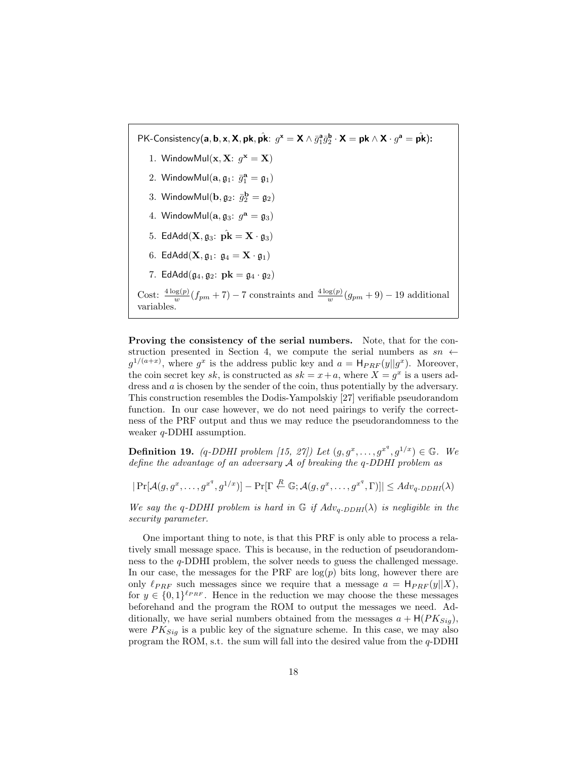PK-Consistency(a, b, x, X, pk,  $\hat{\mathbf{p}}\mathbf{k}$ :  $g^{\mathbf{x}} = \mathbf{X} \wedge \bar{g}_1^{\mathbf{a}} \bar{g}_2^{\mathbf{b}} \cdot \mathbf{X} = \mathbf{p}\mathbf{k} \wedge \mathbf{X} \cdot g^{\mathbf{a}} = \hat{\mathbf{p}}\hat{\mathbf{k}}$ ): 1. Window $Mult(\mathbf{x}, \mathbf{X}: g^{\mathbf{x}} = \mathbf{X})$ 2. Window $\textsf{Mul}(\mathbf{a}, \mathfrak{g}_1; \; \bar{g}_1^\mathbf{a} = \mathfrak{g}_1)$ 3. Window $\textsf{Mul}(\textbf{b}, \mathfrak{g}_2; \; \bar{g}_2^{\textbf{b}} = \mathfrak{g}_2)$ 4. Window $\text{Mul}(\mathbf{a}, \mathfrak{g}_3; g^{\mathbf{a}} = \mathfrak{g}_3)$ 5. EdAdd $(\mathbf{X}, \mathfrak{g}_3: \ \hat{\mathbf{pk}} = \mathbf{X} \cdot \mathfrak{g}_3)$ 6. EdAdd $(\mathbf{X}, \mathfrak{g}_1: \mathfrak{g}_4 = \mathbf{X} \cdot \mathfrak{g}_1)$ 7. EdAdd $(\mathfrak{g}_4, \mathfrak{g}_2: \mathbf{pk} = \mathfrak{g}_4 \cdot \mathfrak{g}_2)$ Cost:  $\frac{4 \log(p)}{w} (f_{pm} + 7) - 7$  constraints and  $\frac{4 \log(p)}{w} (g_{pm} + 9) - 19$  additional variables.

Proving the consistency of the serial numbers. Note, that for the construction presented in Section 4, we compute the serial numbers as  $sn \leftarrow$  $g^{1/(a+x)}$ , where  $g^x$  is the address public key and  $a = H_{PRF}(y||g^x)$ . Moreover, the coin secret key sk, is constructed as  $sk = x + a$ , where  $X = g^x$  is a users address and a is chosen by the sender of the coin, thus potentially by the adversary. This construction resembles the Dodis-Yampolskiy [27] verifiable pseudorandom function. In our case however, we do not need pairings to verify the correctness of the PRF output and thus we may reduce the pseudorandomness to the weaker q-DDHI assumption.

**Definition 19.** (q-DDHI problem [15, 27]) Let  $(g, g^x, \ldots, g^{x^q}, g^{1/x}) \in \mathbb{G}$ . We define the advantage of an adversary A of breaking the q-DDHI problem as

 $|\Pr[\mathcal{A}(g, g^x, \dots, g^{x^q}, g^{1/x})] - \Pr[\Gamma \stackrel{R}{\leftarrow} \mathbb{G}; \mathcal{A}(g, g^x, \dots, g^{x^q}, \Gamma)]| \leq Adv_{q\text{-}DDHI}(\lambda)$ 

We say the q-DDHI problem is hard in  $\mathbb G$  if  $Adv_{q-DDHI}(\lambda)$  is negligible in the security parameter.

One important thing to note, is that this PRF is only able to process a relatively small message space. This is because, in the reduction of pseudorandomness to the q-DDHI problem, the solver needs to guess the challenged message. In our case, the messages for the PRF are  $log(p)$  bits long, however there are only  $\ell_{PRF}$  such messages since we require that a message  $a = H_{PRF}(y||X)$ , for  $y \in \{0,1\}^{\ell_{PRF}}$ . Hence in the reduction we may choose the these messages beforehand and the program the ROM to output the messages we need. Additionally, we have serial numbers obtained from the messages  $a + H(PK_{Sig})$ , were  $PK_{Sig}$  is a public key of the signature scheme. In this case, we may also program the ROM, s.t. the sum will fall into the desired value from the  $q$ -DDHI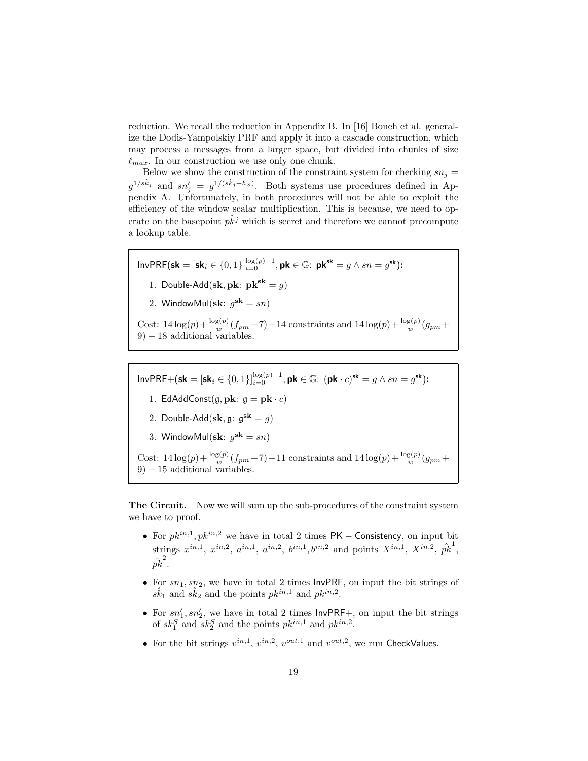reduction. We recall the reduction in Appendix B. In [16] Boneh et al. generalize the Dodis-Yampolskiy PRF and apply it into a cascade construction, which may process a messages from a larger space, but divided into chunks of size  $\ell_{max}$ . In our construction we use only one chunk.

Below we show the construction of the constraint system for checking  $sn_i =$  $g^{1/s\hat{k}_j}$  and  $sn'_j = g^{1/(s\hat{k}_j+h_s)}$ . Both systems use procedures defined in Appendix A. Unfortunately, in both procedures will not be able to exploit the efficiency of the window scalar multiplication. This is because, we need to operate on the basepoint  $p\overline{k}j$  which is secret and therefore we cannot precompute a lookup table.

 $InvPRF(\mathsf{sk} = [\mathsf{sk}_i \in \{0, 1\}]_{i=0}^{\log(p)-1}, \mathsf{pk} \in \mathbb{G}$ :  $\mathsf{pk}^{\mathsf{sk}} = g \wedge sn = g^{\mathsf{sk}}$ ): 1. Double-Add(sk, pk:  $pk^{sk} = g$ ) 2. WindowMul(s $\mathbf{k}: g^{\mathbf{sk}} = sn$ ) Cost:  $14\log(p) + \frac{\log(p)}{w}(f_{pm}+7) - 14$  constraints and  $14\log(p) + \frac{\log(p)}{w}(g_{pm}+$ 9) − 18 additional variables.

 $InvPRF+(sk = [sk_i \in \{0,1\}]_{i=0}^{\log(p)-1}, pk \in \mathbb{G}: (pk \cdot c)^{sk} = g \wedge sn = g^{sk}$ : 1. EdAddConst $(g, \mathbf{pk}: g = \mathbf{pk} \cdot c)$ 2. Double-Add $(\mathbf{sk}, \mathfrak{g}: \mathfrak{g}^{\mathbf{sk}} = g)$ 3. WindowMul(s $\mathbf{k}: g^{\mathbf{sk}} = sn$ ) Cost:  $14\log(p) + \frac{\log(p)}{w}(f_{pm}+7) - 11$  constraints and  $14\log(p) + \frac{\log(p)}{w}(g_{pm}+$  $9$ )  $-15$  additional variables.

The Circuit. Now we will sum up the sub-procedures of the constraint system we have to proof.

- For  $pk^{in,1}, pk^{in,2}$  we have in total 2 times PK Consistency, on input bit strings  $x^{in,1}$ ,  $x^{in,2}$ ,  $a^{in,1}$ ,  $a^{in,2}$ ,  $b^{in,1}$ ,  $b^{in,2}$  and points  $X^{in,1}$ ,  $X^{in,2}$ ,  $\hat{pk}^1$ ,  $\hat{pk}^2$  .
- For  $sn_1, sn_2$ , we have in total 2 times  $InvPRF$ , on input the bit strings of  $s\hat{k}_1$  and  $s\hat{k}_2$  and the points  $pk^{in,1}$  and  $pk^{in,2}$ .
- For  $sn'_1, sn'_2$ , we have in total 2 times  $InvPRF_+$ , on input the bit strings of  $sk_1^S$  and  $sk_2^S$  and the points  $pk^{in,1}$  and  $pk^{in,2}$ .
- For the bit strings  $v^{in,1}$ ,  $v^{in,2}$ ,  $v^{out,1}$  and  $v^{out,2}$ , we run CheckValues.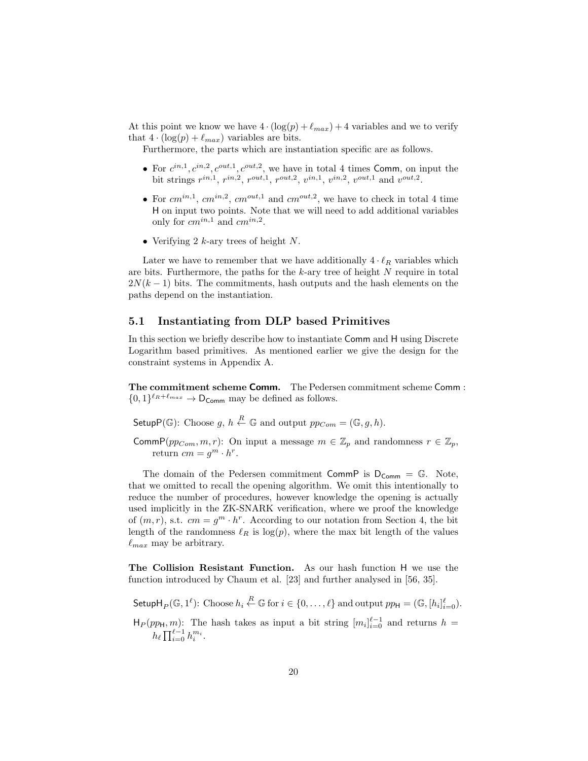At this point we know we have  $4 \cdot (\log(p) + \ell_{max}) + 4$  variables and we to verify that  $4 \cdot (\log(p) + \ell_{max})$  variables are bits.

Furthermore, the parts which are instantiation specific are as follows.

- For  $c^{in,1}, c^{in,2}, c^{out,1}, c^{out,2}$ , we have in total 4 times Comm, on input the bit strings  $r^{in,1}$ ,  $r^{in,2}$ ,  $r^{out,1}$ ,  $r^{out,2}$ ,  $v^{in,1}$ ,  $v^{in,2}$ ,  $v^{out,1}$  and  $v^{out,2}$ .
- For  $cm^{in,1}$ ,  $cm^{in,2}$ ,  $cm^{out,1}$  and  $cm^{out,2}$ , we have to check in total 4 time H on input two points. Note that we will need to add additional variables only for  $cm^{in,1}$  and  $cm^{in,2}$ .
- Verifying 2  $k$ -ary trees of height N.

Later we have to remember that we have additionally  $4 \cdot \ell_R$  variables which are bits. Furthermore, the paths for the k-ary tree of height N require in total  $2N(k-1)$  bits. The commitments, hash outputs and the hash elements on the paths depend on the instantiation.

#### 5.1 Instantiating from DLP based Primitives

In this section we briefly describe how to instantiate Comm and H using Discrete Logarithm based primitives. As mentioned earlier we give the design for the constraint systems in Appendix A.

The commitment scheme Comm. The Pedersen commitment scheme Comm :  $\{0,1\}^{\ell_R+\ell_{max}} \to \mathsf{D}_{\mathsf{Comm}}$  may be defined as follows.

Setup $P(\mathbb{G})$ : Choose  $g, h \stackrel{R}{\leftarrow} \mathbb{G}$  and output  $pp_{Com} = (\mathbb{G}, g, h)$ .

CommP( $pp_{Com}, m, r$ ): On input a message  $m \in \mathbb{Z}_p$  and randomness  $r \in \mathbb{Z}_p$ , return  $cm = g^m \cdot h^r$ .

The domain of the Pedersen commitment CommP is  $D_{Comm} = \mathbb{G}$ . Note, that we omitted to recall the opening algorithm. We omit this intentionally to reduce the number of procedures, however knowledge the opening is actually used implicitly in the ZK-SNARK verification, where we proof the knowledge of  $(m, r)$ , s.t.  $cm = g^m \cdot h^r$ . According to our notation from Section 4, the bit length of the randomness  $\ell_R$  is log(p), where the max bit length of the values  $\ell_{max}$  may be arbitrary.

The Collision Resistant Function. As our hash function H we use the function introduced by Chaum et al. [23] and further analysed in [56, 35].

Setup $\mathsf{H}_P(\mathbb{G},1^{\ell})$ : Choose  $h_i \stackrel{R}{\leftarrow} \mathbb{G}$  for  $i \in \{0,\ldots,\ell\}$  and output  $pp_{\mathsf{H}} = (\mathbb{G}, [h_i]_{i=0}^{\ell}).$ 

 $H_P(pp_H, m)$ : The hash takes as input a bit string  $[m_i]_{i=0}^{\ell-1}$  and returns  $h =$  $h_{\ell} \prod_{i=0}^{\ell-1} h_i^{m_i}$ .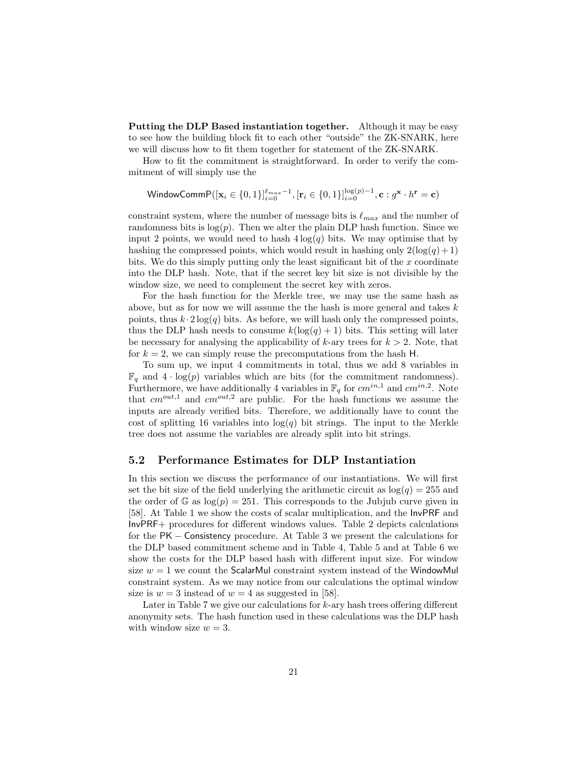Putting the DLP Based instantiation together. Although it may be easy to see how the building block fit to each other "outside" the ZK-SNARK, here we will discuss how to fit them together for statement of the ZK-SNARK.

How to fit the commitment is straightforward. In order to verify the commitment of will simply use the

$$
\textsf{WindowCommP}([\mathbf{x}_i \in \{0, 1\}]_{i=0}^{\ell_{max}-1}, [\mathbf{r}_i \in \{0, 1\}]_{i=0}^{\log(p)-1}, \mathbf{c} : g^{\mathbf{x}} \cdot h^{\mathbf{r}} = \mathbf{c})
$$

constraint system, where the number of message bits is  $\ell_{max}$  and the number of randomness bits is  $log(p)$ . Then we alter the plain DLP hash function. Since we input 2 points, we would need to hash  $4\log(q)$  bits. We may optimise that by hashing the compressed points, which would result in hashing only  $2(\log(q) + 1)$ bits. We do this simply putting only the least significant bit of the  $x$  coordinate into the DLP hash. Note, that if the secret key bit size is not divisible by the window size, we need to complement the secret key with zeros.

For the hash function for the Merkle tree, we may use the same hash as above, but as for now we will assume the the hash is more general and takes  $k$ points, thus  $k \cdot 2 \log(q)$  bits. As before, we will hash only the compressed points, thus the DLP hash needs to consume  $k(\log(q) + 1)$  bits. This setting will later be necessary for analysing the applicability of  $k$ -ary trees for  $k > 2$ . Note, that for  $k = 2$ , we can simply reuse the precomputations from the hash H.

To sum up, we input 4 commitments in total, thus we add 8 variables in  $\mathbb{F}_q$  and  $4 \cdot \log(p)$  variables which are bits (for the commitment randomness). Furthermore, we have additionally 4 variables in  $\mathbb{F}_q$  for  $cm^{in,1}$  and  $cm^{in,2}$ . Note that  $cm^{out,1}$  and  $cm^{out,2}$  are public. For the hash functions we assume the inputs are already verified bits. Therefore, we additionally have to count the cost of splitting 16 variables into  $log(q)$  bit strings. The input to the Merkle tree does not assume the variables are already split into bit strings.

#### 5.2 Performance Estimates for DLP Instantiation

In this section we discuss the performance of our instantiations. We will first set the bit size of the field underlying the arithmetic circuit as  $log(q) = 255$  and the order of G as  $log(p) = 251$ . This corresponds to the Jubjub curve given in [58]. At Table 1 we show the costs of scalar multiplication, and the InvPRF and InvPRF+ procedures for different windows values. Table 2 depicts calculations for the PK − Consistency procedure. At Table 3 we present the calculations for the DLP based commitment scheme and in Table 4, Table 5 and at Table 6 we show the costs for the DLP based hash with different input size. For window size  $w = 1$  we count the ScalarMul constraint system instead of the WindowMul constraint system. As we may notice from our calculations the optimal window size is  $w = 3$  instead of  $w = 4$  as suggested in [58].

Later in Table 7 we give our calculations for k-ary hash trees offering different anonymity sets. The hash function used in these calculations was the DLP hash with window size  $w = 3$ .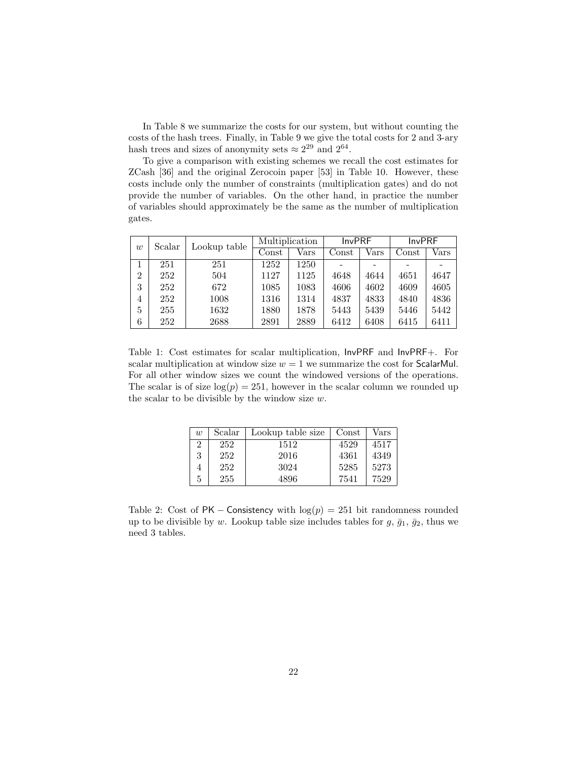In Table 8 we summarize the costs for our system, but without counting the costs of the hash trees. Finally, in Table 9 we give the total costs for 2 and 3-ary hash trees and sizes of anonymity sets  $\approx 2^{29}$  and  $2^{64}$ .

To give a comparison with existing schemes we recall the cost estimates for ZCash [36] and the original Zerocoin paper [53] in Table 10. However, these costs include only the number of constraints (multiplication gates) and do not provide the number of variables. On the other hand, in practice the number of variables should approximately be the same as the number of multiplication gates.

| w | Scalar | Lookup table | Multiplication         |            | <b>InvPRF</b> |            | <b>InvPRF</b> |      |
|---|--------|--------------|------------------------|------------|---------------|------------|---------------|------|
|   |        |              | $\operatorname{Const}$ | $\rm Vars$ | Const         | $\rm Vars$ | Const         | Vars |
|   | 251    | 251          | 1252                   | 1250       |               |            |               |      |
| 2 | 252    | 504          | 1127                   | 1125       | 4648          | 4644       | 4651          | 4647 |
| 3 | 252    | 672          | 1085                   | 1083       | 4606          | 4602       | 4609          | 4605 |
| 4 | 252    | 1008         | 1316                   | 1314       | 4837          | 4833       | 4840          | 4836 |
| 5 | 255    | 1632         | 1880                   | 1878       | 5443          | 5439       | 5446          | 5442 |
| 6 | 252    | 2688         | 2891                   | 2889       | 6412          | 6408       | 6415          | 6411 |

Table 1: Cost estimates for scalar multiplication, InvPRF and InvPRF+. For scalar multiplication at window size  $w = 1$  we summarize the cost for ScalarMul. For all other window sizes we count the windowed versions of the operations. The scalar is of size  $log(p) = 251$ , however in the scalar column we rounded up the scalar to be divisible by the window size w.

| $\overline{w}$ | Scalar | Lookup table size | Const | Vars |
|----------------|--------|-------------------|-------|------|
| $\overline{2}$ | 252    | 1512              | 4529  | 4517 |
| 3              | 252    | 2016              | 4361  | 4349 |
| 4              | 252    | 3024              | 5285  | 5273 |
| 5              | 255    | 4896              | 7541  | 7529 |

Table 2: Cost of PK – Consistency with  $log(p) = 251$  bit randomness rounded up to be divisible by w. Lookup table size includes tables for  $g, \bar{g}_1, \bar{g}_2$ , thus we need 3 tables.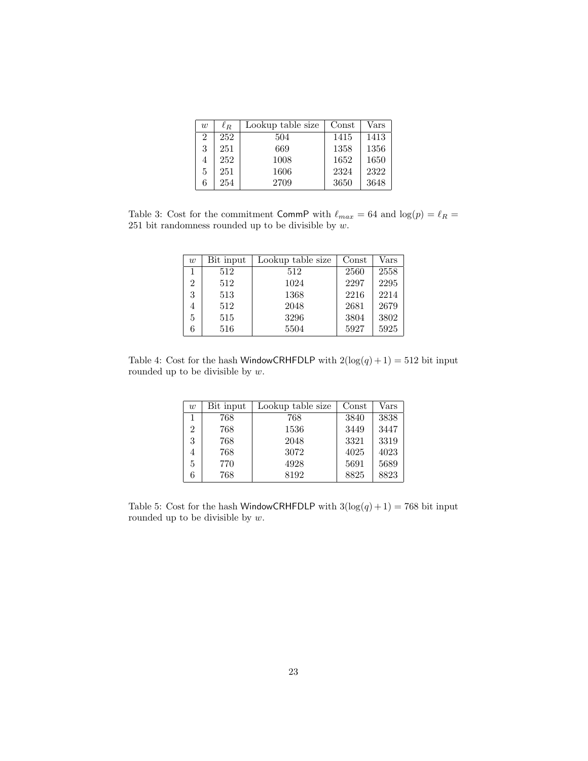| w | $\ell_R$ | Lookup table size | Const | $\rm Vars$ |
|---|----------|-------------------|-------|------------|
| 2 | 252      | 504               | 1415  | 1413       |
| 3 | 251      | 669               | 1358  | 1356       |
| 4 | 252      | 1008              | 1652  | 1650       |
| 5 | 251      | 1606              | 2324  | 2322       |
| 6 | 254      | 2709              | 3650  | 3648       |

Table 3: Cost for the commitment CommP with  $\ell_{max} = 64$  and  $\log(p) = \ell_R =$ 251 bit randomness rounded up to be divisible by  $w$ .

| w | Bit input | Lookup table size | Const | Vars |
|---|-----------|-------------------|-------|------|
|   | 512       | 512               | 2560  | 2558 |
| 2 | 512       | 1024              | 2297  | 2295 |
| 3 | 513       | 1368              | 2216  | 2214 |
|   | 512       | 2048              | 2681  | 2679 |
| 5 | 515       | 3296              | 3804  | 3802 |
| 6 | 516       | 5504              | 5927  | 5925 |

Table 4: Cost for the hash WindowCRHFDLP with  $2(\log(q) + 1) = 512$  bit input rounded up to be divisible by  $w$ .

| w              | Bit input | Lookup table size | Const | Vars |
|----------------|-----------|-------------------|-------|------|
|                | 768       | 768               | 3840  | 3838 |
| $\overline{2}$ | 768       | 1536              | 3449  | 3447 |
| 3              | 768       | 2048              | 3321  | 3319 |
| 4              | 768       | 3072              | 4025  | 4023 |
| 5              | 770       | 4928              | 5691  | 5689 |
| 6              | 768       | 8192              | 8825  | 8823 |

Table 5: Cost for the hash WindowCRHFDLP with  $3(\log(q) + 1) = 768$  bit input rounded up to be divisible by  $w$ .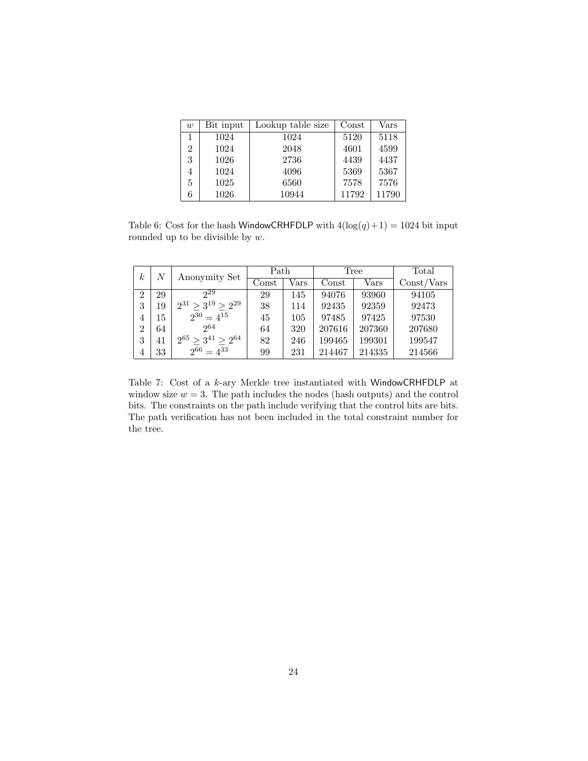| w  | Bit input | Lookup table size | Const | $\rm Vars$ |
|----|-----------|-------------------|-------|------------|
|    | 1024      | 1024              | 5120  | 5118       |
| 2  | 1024      | 2048              | 4601  | 4599       |
| 3  | 1026      | 2736              | 4439  | 4437       |
| 4  | 1024      | 4096              | 5369  | 5367       |
| 5. | 1025      | 6560              | 7578  | 7576       |
| 6  | 1026      | 10944             | 11792 | 11790      |

Table 6: Cost for the hash WindowCRHFDLP with  $4(\log(q)+1) = 1024$  bit input rounded up to be divisible by  $w$ .

| $\boldsymbol{k}$ | N  | Anonymity Set                  | Path                   |      | Tree   |            | Total      |
|------------------|----|--------------------------------|------------------------|------|--------|------------|------------|
|                  |    |                                | $\operatorname{Const}$ | Vars | Const  | $\rm Vars$ | Const/Vars |
| $\overline{2}$   | 29 | 29                             | 29                     | 145  | 94076  | 93960      | 94105      |
| 3                | 19 | $2^{31}$ > $3^{19}$ > $2^{29}$ | 38                     | 114  | 92435  | 92359      | 92473      |
| 4                | 15 | $2^{30} = 4^{15}$              | 45                     | 105  | 97485  | 97425      | 97530      |
| $\overline{2}$   | 64 | 264                            | 64                     | 320  | 207616 | 207360     | 207680     |
| 3                | 41 | $2^{65} > 3^{41} > 2^{64}$     | 82                     | 246  | 199465 | 199301     | 199547     |
| 4                | 33 | $2^{66} = 4^{33}$              | 99                     | 231  | 214467 | 214335     | 214566     |

Table 7: Cost of a k-ary Merkle tree instantiated with WindowCRHFDLP at window size  $w = 3$ . The path includes the nodes (hash outputs) and the control bits. The constraints on the path include verifying that the control bits are bits. The path verification has not been included in the total constraint number for the tree.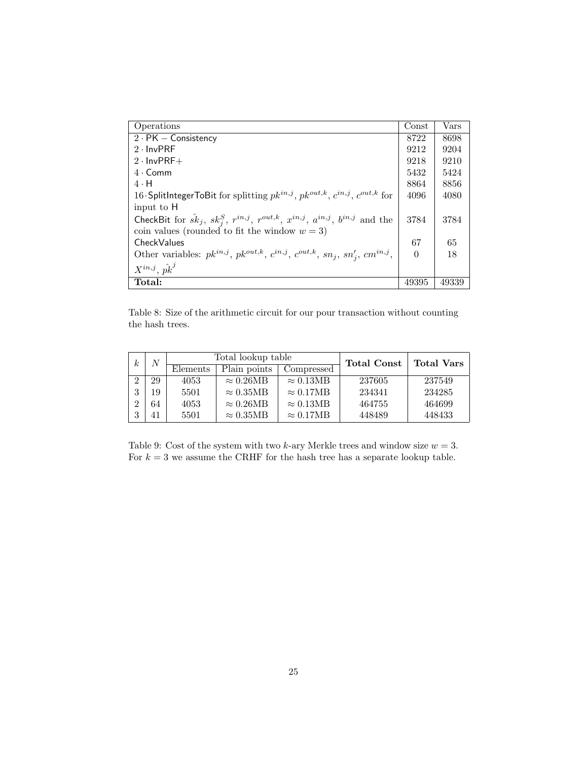| Operations                                                                                                     | Const    | $\rm Vars$ |
|----------------------------------------------------------------------------------------------------------------|----------|------------|
| $2 \cdot PK - Consistency$                                                                                     | 8722     | 8698       |
| $2 \cdot \text{InvPRF}$                                                                                        | 9212     | 9204       |
| $2 \cdot \text{InvPRF} +$                                                                                      | 9218     | 9210       |
| $4 \cdot \text{Comm}$                                                                                          | 5432     | 5424       |
| $4 \cdot H$                                                                                                    | 8864     | 8856       |
| 16 SplitIntegerToBit for splitting $pk^{in,j}$ , $pk^{out,k}$ , $c^{in,j}$ , $c^{out,k}$ for                   | 4096     | 4080       |
| input to H                                                                                                     |          |            |
| CheckBit for $\hat{sk}_j$ , $sk_j^S$ , $r^{in,j}$ , $r^{out,k}$ , $x^{in,j}$ , $a^{in,j}$ , $b^{in,j}$ and the | 3784     | 3784       |
| coin values (rounded to fit the window $w = 3$ )                                                               |          |            |
| CheckValues                                                                                                    | 67       | 65         |
| Other variables: $pk^{in,j}$ , $pk^{out,k}$ , $c^{in,j}$ , $c^{out,k}$ , $sn_j$ , $sn'_j$ , $cm^{in,j}$ ,      | $\Omega$ | 18         |
| $X^{in,j}, \hat{pk}^j$                                                                                         |          |            |
| Total:                                                                                                         | 49395    | 49339      |

Table 8: Size of the arithmetic circuit for our pour transaction without counting the hash trees.

| k.       | $\boldsymbol{N}$ | Total lookup table |                  |                  | <b>Total Const</b> | <b>Total Vars</b> |
|----------|------------------|--------------------|------------------|------------------|--------------------|-------------------|
|          |                  | Elements           | Plain points     | Compressed       |                    |                   |
|          | 29               | 4053               | $\approx 0.26MB$ | $\approx 0.13MB$ | 237605             | 237549            |
| $\Omega$ | 19               | 5501               | $\approx 0.35MB$ | $\approx 0.17MB$ | 234341             | 234285            |
|          | 64               | 4053               | $\approx 0.26MB$ | $\approx 0.13MB$ | 464755             | 464699            |
|          | 41               | 5501               | $\approx 0.35MB$ | $\approx 0.17MB$ | 448489             | 448433            |

Table 9: Cost of the system with two k-ary Merkle trees and window size  $w = 3$ . For  $k=3$  we assume the CRHF for the hash tree has a separate lookup table.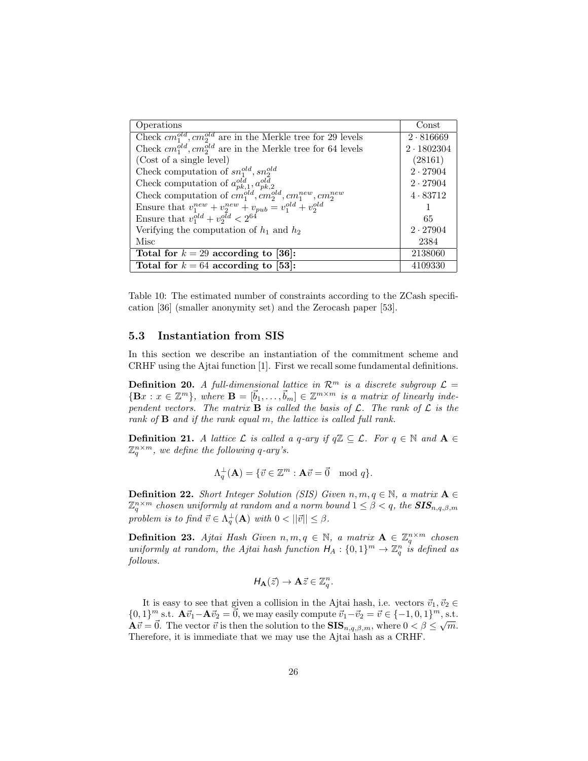| Operations                                                             | Const             |
|------------------------------------------------------------------------|-------------------|
| Check $cm_1^{old}$ , $cm_2^{old}$ are in the Merkle tree for 29 levels | 2.816669          |
| Check $cm_1^{old}$ , $cm_2^{old}$ are in the Merkle tree for 64 levels | $2 \cdot 1802304$ |
| (Cost of a single level)                                               | (28161)           |
| Check computation of $sn_1^{old}, sn_2^{old}$                          | $2 \cdot 27904$   |
| Check computation of $a_{pk,1}^{old}, a_{pk,2}^{old}$                  | $2 \cdot 27904$   |
| Check computation of $cm_1^{old}, cm_2^{old}, cm_1^{new}, cm_2^{new}$  | 4.83712           |
| Ensure that $v_1^{new} + v_2^{new} + v_{pub} = v_1^{old} + v_2^{old}$  |                   |
| Ensure that $v_1^{old} + v_2^{old} < 2^{64}$                           | 65                |
| Verifying the computation of $h_1$ and $h_2$                           | $2 \cdot 27904$   |
| Misc                                                                   | 2384              |
| Total for $k = 29$ according to [36]:                                  | 2138060           |
| Total for $k = 64$ according to [53]:                                  | 4109330           |

Table 10: The estimated number of constraints according to the ZCash specification [36] (smaller anonymity set) and the Zerocash paper [53].

#### 5.3 Instantiation from SIS

In this section we describe an instantiation of the commitment scheme and CRHF using the Ajtai function [1]. First we recall some fundamental definitions.

**Definition 20.** A full-dimensional lattice in  $\mathcal{R}^m$  is a discrete subgroup  $\mathcal{L} =$  $\{Bx : x \in \mathbb{Z}^m\}$ , where  $B = [\vec{b}_1, \ldots, \vec{b}_m] \in \mathbb{Z}^{m \times m}$  is a matrix of linearly independent vectors. The matrix **B** is called the basis of  $\mathcal{L}$ . The rank of  $\mathcal{L}$  is the rank of  $\bf{B}$  and if the rank equal m, the lattice is called full rank.

**Definition 21.** A lattice  $\mathcal L$  is called a q-ary if  $q\mathbb{Z} \subseteq \mathcal L$ . For  $q \in \mathbb N$  and  $\mathbf A \in$  $\mathbb{Z}_q^{n \times m}$ , we define the following q-ary's.

$$
\Lambda_q^{\perp}(\mathbf{A}) = \{ \vec{v} \in \mathbb{Z}^m : \mathbf{A}\vec{v} = \vec{0} \mod q \}.
$$

**Definition 22.** Short Integer Solution (SIS) Given  $n, m, q \in \mathbb{N}$ , a matrix  $A \in$  $\mathbb{Z}_q^{n\times m}$  chosen uniformly at random and a norm bound  $1\leq \beta < q,$  the  $\text{SIS}_{n,q,\beta,m}$ problem is to find  $\vec{v} \in \Lambda_q^{\perp}(\mathbf{A})$  with  $0 < ||\vec{v}|| \leq \beta$ .

**Definition 23.** Ajtai Hash Given  $n, m, q \in \mathbb{N}$ , a matrix  $\mathbf{A} \in \mathbb{Z}_q^{n \times m}$  chosen uniformly at random, the Ajtai hash function  $H_A: \{0,1\}^m \to \mathbb{Z}_q^n$  is defined as follows.

$$
H_{\mathbf{A}}(\vec{z}) \to \mathbf{A}\vec{z} \in \mathbb{Z}_q^n.
$$

It is easy to see that given a collision in the Ajtai hash, i.e. vectors  $\vec{v}_1, \vec{v}_2 \in$  $\{0, 1\}^m$  s.t.  $\mathbf{A} \vec{v}_1 - \mathbf{A} \vec{v}_2 = \vec{0}$ , we may easily compute  $\vec{v}_1 - \vec{v}_2 = \vec{v} \in \{-1, 0, 1\}^m$ , s.t.  $\mathbf{A}\vec{v} = \vec{0}$ . The vector  $\vec{v}$  is then the solution to the  $\mathbf{SIS}_{n,q,\beta,m}$ , where  $0 < \beta \leq \sqrt{m}$ . Therefore, it is immediate that we may use the Ajtai hash as a CRHF.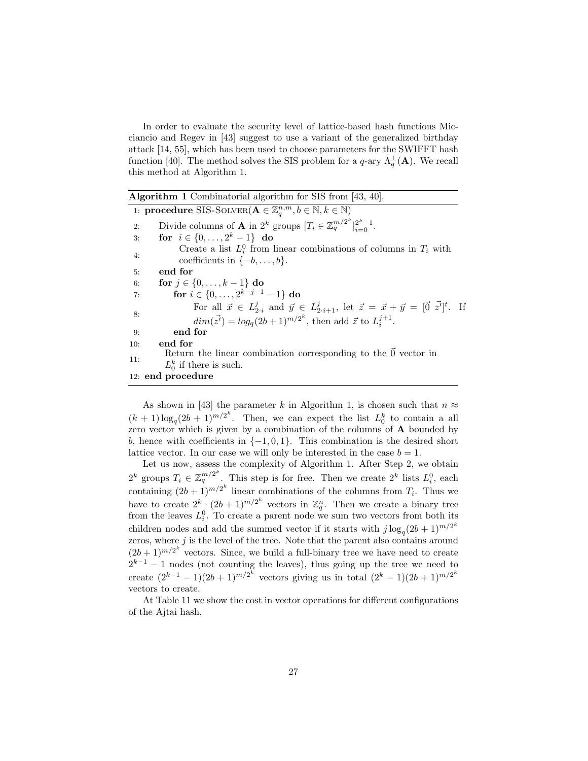In order to evaluate the security level of lattice-based hash functions Micciancio and Regev in [43] suggest to use a variant of the generalized birthday attack [14, 55], which has been used to choose parameters for the SWIFFT hash function [40]. The method solves the SIS problem for a  $q$ -ary  $\Lambda_q^{\perp}(\mathbf{A})$ . We recall this method at Algorithm 1.

| <b>Algorithm 1</b> Combinatorial algorithm for SIS from $[43, 40]$ .                                                                                                                                                |
|---------------------------------------------------------------------------------------------------------------------------------------------------------------------------------------------------------------------|
| 1: <b>procedure</b> SIS-SOLVER( $\mathbf{A} \in \mathbb{Z}_a^{n,m}, b \in \mathbb{N}, k \in \mathbb{N}$ )                                                                                                           |
| Divide columns of <b>A</b> in $2^k$ groups $[T_i \in \mathbb{Z}_q^{m/2^k}]_{i=0}^{2^k-1}$ .<br>2:                                                                                                                   |
| for $i \in \{0, \ldots, 2^k - 1\}$ do<br>3:                                                                                                                                                                         |
| Create a list $L_i^0$ from linear combinations of columns in $T_i$ with<br>4:<br>coefficients in $\{-b, \ldots, b\}.$                                                                                               |
| end for<br>5:                                                                                                                                                                                                       |
| for $j \in \{0, , k-1\}$ do<br>6:                                                                                                                                                                                   |
| for $i \in \{0, \ldots, 2^{k-j-1} - 1\}$ do<br>7:                                                                                                                                                                   |
| For all $\vec{x} \in L_{2,i}^j$ and $\vec{y} \in L_{2,i+1}^j$ , let $\vec{z} = \vec{x} + \vec{y} = [\vec{0} \ \vec{z}]^t$ . If<br>8:<br>$dim(\vec{z'}) = log_a(2b+1)^{m/2^k}$ , then add $\vec{z}$ to $L_i^{j+1}$ . |
| end for<br>9:                                                                                                                                                                                                       |
| end for<br>10:                                                                                                                                                                                                      |
| Return the linear combination corresponding to the $\vec{0}$ vector in<br>11:                                                                                                                                       |
| $L_0^k$ if there is such.                                                                                                                                                                                           |
| 12: end procedure                                                                                                                                                                                                   |

As shown in [43] the parameter k in Algorithm 1, is chosen such that  $n \approx$  $(k+1)\log_q(2b+1)^{m/2^k}$ . Then, we can expect the list  $L_0^k$  to contain a all zero vector which is given by a combination of the columns of A bounded by b, hence with coefficients in  $\{-1,0,1\}$ . This combination is the desired short lattice vector. In our case we will only be interested in the case  $b = 1$ .

Let us now, assess the complexity of Algorithm 1. After Step 2, we obtain  $2^k$  groups  $T_i \in \mathbb{Z}_q^{m/2^k}$ . This step is for free. Then we create  $2^k$  lists  $L_i^0$ , each containing  $(2b+1)^{m/2^k}$  linear combinations of the columns from  $T_i$ . Thus we have to create  $2^k \cdot (2b+1)^{m/2^k}$  vectors in  $\mathbb{Z}_q^n$ . Then we create a binary tree from the leaves  $L_i^0$ . To create a parent node we sum two vectors from both its children nodes and add the summed vector if it starts with  $j \log_q(2b+1)^{m/2^k}$ zeros, where  $j$  is the level of the tree. Note that the parent also contains around  $(2b+1)^{m/2^k}$  vectors. Since, we build a full-binary tree we have need to create  $2^{k-1} - 1$  nodes (not counting the leaves), thus going up the tree we need to create  $(2^{k-1} - 1)(2b+1)^{m/2^k}$  vectors giving us in total  $(2^k - 1)(2b+1)^{m/2^k}$ vectors to create.

At Table 11 we show the cost in vector operations for different configurations of the Ajtai hash.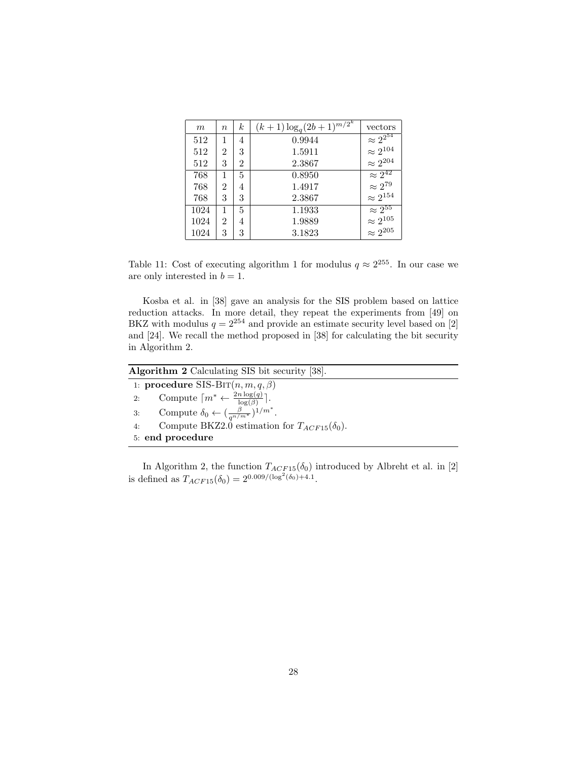| m    | $\, n$         | k              | $(k+1)\log_q(2b+1)^{m/2^k}$ | vectors              |
|------|----------------|----------------|-----------------------------|----------------------|
| 512  | 1              | 4              | 0.9944                      | $\approx 2^{2^{54}}$ |
| 512  | $\overline{2}$ | 3              | 1.5911                      | $\approx 2^{104}$    |
| 512  | 3              | $\overline{2}$ | 2.3867                      | $\approx 2^{204}$    |
| 768  | 1              | 5              | 0.8950                      | $\approx 2^{42}$     |
| 768  | 2              | 4              | 1.4917                      | $\approx 2^{79}$     |
| 768  | 3              | 3              | 2.3867                      | $\approx 2^{154}$    |
| 1024 |                | 5              | 1.1933                      | $\approx 2^{55}$     |
| 1024 | $\overline{2}$ | 4              | 1.9889                      | $\approx 2^{105}$    |
| 1024 | 3              | 3              | 3.1823                      | $\approx 2^{205}$    |

Table 11: Cost of executing algorithm 1 for modulus  $q \approx 2^{255}$ . In our case we are only interested in  $b = 1$ .

Kosba et al. in [38] gave an analysis for the SIS problem based on lattice reduction attacks. In more detail, they repeat the experiments from [49] on BKZ with modulus  $q = 2^{254}$  and provide an estimate security level based on [2] and [24]. We recall the method proposed in [38] for calculating the bit security in Algorithm 2.

| <b>Algorithm 2</b> Calculating SIS bit security [38].                         |  |
|-------------------------------------------------------------------------------|--|
| 1: procedure SIS-BIT $(n, m, q, \beta)$                                       |  |
| Compute $\lceil m^* \leftarrow \frac{2n \log(q)}{\log(\beta)} \rceil$ .<br>2: |  |
| 3: Compute $\delta_0 \leftarrow (\frac{\beta}{q^{n/m^*}})^{1/m^*}.$           |  |
| Compute BKZ2.0 estimation for $T_{ACF15}(\delta_0)$ .<br>4:                   |  |
| 5: end procedure                                                              |  |

In Algorithm 2, the function  $T_{ACF15}(\delta_0)$  introduced by Albreht et al. in [2] is defined as  $T_{ACF15}(\delta_0) = 2^{0.009/(\log^2(\delta_0)+4.1)}$ .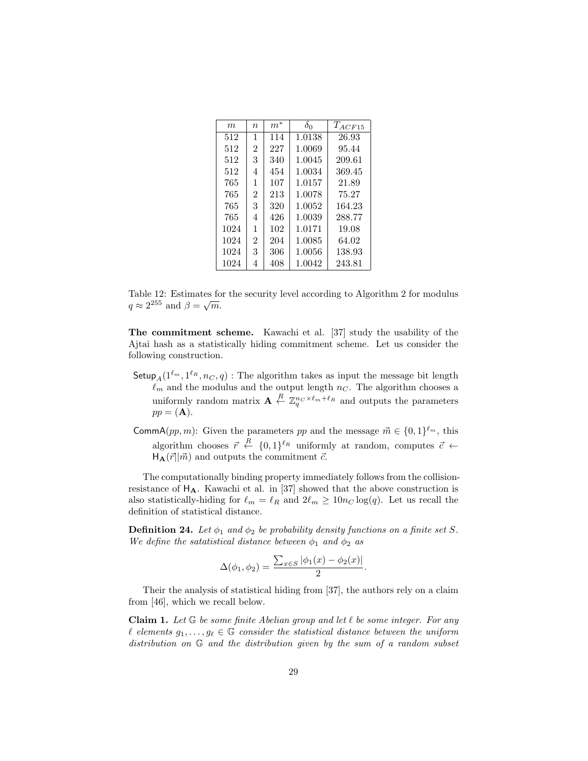| m    | $\it{n}$       | $m^\ast$ | $\delta_0$ | $T_{ACF15}$ |
|------|----------------|----------|------------|-------------|
| 512  | 1              | 114      | 1.0138     | 26.93       |
| 512  | $\overline{2}$ | 227      | 1.0069     | 95.44       |
| 512  | 3              | 340      | 1.0045     | 209.61      |
| 512  | 4              | 454      | 1.0034     | 369.45      |
| 765  | 1              | 107      | 1.0157     | 21.89       |
| 765  | $\overline{2}$ | 213      | 1.0078     | 75.27       |
| 765  | 3              | 320      | 1.0052     | 164.23      |
| 765  | 4              | 426      | 1.0039     | 288.77      |
| 1024 | 1              | 102      | 1.0171     | 19.08       |
| 1024 | $\overline{2}$ | 204      | 1.0085     | 64.02       |
| 1024 | 3              | 306      | $1.0056\,$ | 138.93      |
| 1024 | 4              | 408      | 1.0042     | 243.81      |

Table 12: Estimates for the security level according to Algorithm 2 for modulus Table 12: Estimates to<br> $q \approx 2^{255}$  and  $\beta = \sqrt{m}$ .

The commitment scheme. Kawachi et al. [37] study the usability of the Ajtai hash as a statistically hiding commitment scheme. Let us consider the following construction.

- $\mathsf{Setup}_{A}(1^{\ell_m},1^{\ell_R},n_C,q)$ : The algorithm takes as input the message bit length  $\ell_m$  and the modulus and the output length  $n_c$ . The algorithm chooses a uniformly random matrix  $\mathbf{A} \stackrel{R}{\leftarrow} \mathbb{Z}_q^{n_C \times \ell_m + \ell_R}$  and outputs the parameters  $pp = (A).$
- **CommA** $(pp, m)$ : Given the parameters pp and the message  $\vec{m} \in \{0, 1\}^{\ell_m}$ , this algorithm chooses  $\vec{r} \stackrel{R}{\leftarrow} \{0,1\}^{\ell_R}$  uniformly at random, computes  $\vec{c} \leftarrow$  $H_A(\vec{r}||\vec{m})$  and outputs the commitment  $\vec{c}$ .

The computationally binding property immediately follows from the collisionresistance of  $H_A$ . Kawachi et al. in [37] showed that the above construction is also statistically-hiding for  $\ell_m = \ell_R$  and  $2\ell_m \ge 10n_C \log(q)$ . Let us recall the definition of statistical distance.

**Definition 24.** Let  $\phi_1$  and  $\phi_2$  be probability density functions on a finite set S. We define the satatistical distance between  $\phi_1$  and  $\phi_2$  as

$$
\Delta(\phi_1, \phi_2) = \frac{\sum_{x \in S} |\phi_1(x) - \phi_2(x)|}{2}.
$$

Their the analysis of statistical hiding from [37], the authors rely on a claim from [46], which we recall below.

**Claim 1.** Let  $G$  be some finite Abelian group and let  $\ell$  be some integer. For any  $\ell$  elements  $g_1, \ldots, g_\ell \in \mathbb{G}$  consider the statistical distance between the uniform distribution on G and the distribution given by the sum of a random subset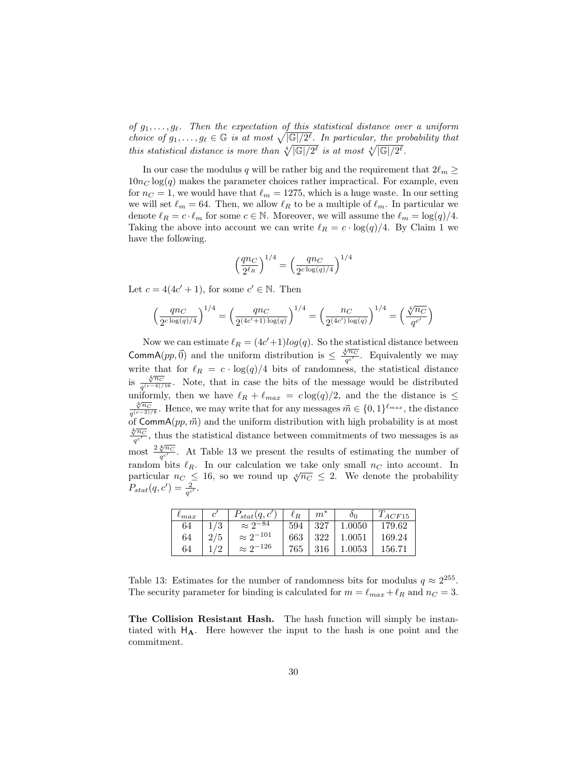of  $g_1, \ldots, g_\ell$ . Then the expectation of this statistical distance over a uniform choice of  $g_1, \ldots, g_\ell \in \mathbb{G}$  is at most  $\sqrt{|\mathbb{G}|/2^{\ell}}$ . In particular, the probability that this statistical distance is more than  $\sqrt[4]{\mathbb{G}/2^{\ell}}$  is at most  $\sqrt[4]{\mathbb{G}/2^{\ell}}$ .

In our case the modulus q will be rather big and the requirement that  $2\ell_m \ge$  $10n<sub>C</sub> \log(q)$  makes the parameter choices rather impractical. For example, even for  $n_c = 1$ , we would have that  $\ell_m = 1275$ , which is a huge waste. In our setting we will set  $\ell_m = 64$ . Then, we allow  $\ell_R$  to be a multiple of  $\ell_m$ . In particular we denote  $\ell_R = c \cdot \ell_m$  for some  $c \in \mathbb{N}$ . Moreover, we will assume the  $\ell_m = \log(q)/4$ . Taking the above into account we can write  $\ell_R = c \cdot \log(q)/4$ . By Claim 1 we have the following.

$$
\left(\frac{q n_C}{2^{\ell_R}}\right)^{1/4} = \left(\frac{q n_C}{2^{c \log(q)/4}}\right)^{1/4}
$$

Let  $c = 4(4c' + 1)$ , for some  $c' \in \mathbb{N}$ . Then

$$
\left(\frac{qnc}{2^{c\log(q)/4}}\right)^{1/4}=\left(\frac{qnc}{2^{(4c'+1)\log(q)}}\right)^{1/4}=\left(\frac{nc}{2^{(4c')\log(q)}}\right)^{1/4}=\left(\frac{\sqrt[4]{nc}}{q^{c'}}\right)^{1/4}=\left(\frac{\sqrt[4]{nc}}{q^{c'}}\right)^{1/4}=\left(\frac{\sqrt[4]{nc}}{q^{c'}}\right)^{1/4}=\left(\frac{\sqrt[4]{nc}}{q^{c'}}\right)^{1/4}=\left(\frac{\sqrt[4]{nc}}{q^{c'}}\right)^{1/4}=\left(\frac{\sqrt[4]{nc}}{q^{c'}}\right)^{1/4}=\left(\frac{\sqrt[4]{nc}}{q^{c'}}\right)^{1/4}=\left(\frac{\sqrt[4]{nc}}{q^{c'}}\right)^{1/4}=\left(\frac{\sqrt[4]{nc}}{q^{c'}}\right)^{1/4}=\left(\frac{\sqrt[4]{nc}}{q^{c'}}\right)^{1/4}=\left(\frac{\sqrt[4]{nc}}{q^{c'}}\right)^{1/4}=\left(\frac{\sqrt[4]{nc}}{q^{c'}}\right)^{1/4}=\left(\frac{\sqrt[4]{nc}}{q^{c'}}\right)^{1/4}=\left(\frac{\sqrt[4]{nc}}{q^{c'}}\right)^{1/4}=\left(\frac{\sqrt[4]{nc}}{q^{c'}}\right)^{1/4}=\left(\frac{\sqrt[4]{nc}}{q^{c'}}\right)^{1/4}=\left(\frac{\sqrt[4]{nc}}{q^{c'}}\right)^{1/4}=\left(\frac{\sqrt[4]{nc}}{q^{c'}}\right)^{1/4}=\left(\frac{\sqrt[4]{nc}}{q^{c'}}\right)^{1/4}=\left(\frac{\sqrt[4]{nc}}{q^{c'}}\right)^{1/4}=\left(\frac{\sqrt[4]{nc}}{q^{c'}}\right)^{1/4}=\left(\frac{\sqrt[4]{nc}}{q^{c'}}\right)^{1/4}=\left(\frac{\sqrt[4]{nc}}{q^{c'}}\right)^{1/4}=\left(\frac{\sqrt[4]{nc}}{q^{c'}}\right)^{1/4}=\left(\frac{\sqrt[4]{nc}}{q^{c'}}\right)^{1/4}=\left(\frac{\sqrt[4]{nc}}{q^{c'}}\right)^{1/4}=\left(\frac{\sqrt[4]{nc}}{q^{c'}}\right)^{1/4}=\left(\frac{\sqrt[4]{nc}}{q^{c'}}\right)^{1/4}=\left(\frac{\sqrt[4]{nc}}
$$

Now we can estimate  $\ell_R = (4c'+1)log(q)$ . So the statistical distance between CommA(pp, $\vec{0}$ ) and the uniform distribution is  $\leq \frac{\sqrt{n_C}}{c'}$  $\frac{\gamma n_C}{q^{c'}}$ . Equivalently we may write that for  $\ell_R = c \cdot \log(q)/4$  bits of randomness, the statistical distance  $\frac{\sqrt[4]{n_C}}{\sqrt[4]{n_C}}$  $\frac{\partial^{n} C}{q^{(c-4)/16}}$ . Note, that in case the bits of the message would be distributed uniformly, then we have  $\ell_R + \ell_{max} = c \log(q)/2$ , and the the distance is  $\leq$  $\frac{4}{nc}$  $\frac{\sqrt[n]{n_C}}{q^{(c-2)/8}}$ . Hence, we may write that for any messages  $\vec{m} \in \{0,1\}^{\ell_{max}}$ , the distance of  $CommA(pp, \vec{m})$  and the uniform distribution with high probability is at most  $rac{4}{\sqrt[n]{n_C}}$  $\frac{\partial^{n} C}{\partial q^{c'}}$ , thus the statistical distance between commitments of two messages is as  $\frac{q^{\circ}}{\text{most}}$   $\frac{2\sqrt[4]{n_C}}{q^{\circ}}$  $\frac{\partial^{n} C}{\partial q^{c'}}$ . At Table 13 we present the results of estimating the number of random bits  $\ell_R$ . In our calculation we take only small  $n_C$  into account. In particular  $n_C \leq 16$ , so we round up  $\sqrt[4]{n_C} \leq 2$ . We denote the probability  $P_{stat}(q, c') = \frac{2}{q^{c'}}$ .

| $\iota_{max}$ |     | $P_{stat}(q, c')$  | $\ell_R$ | $m^*$ | οo         | ACF15  |
|---------------|-----|--------------------|----------|-------|------------|--------|
| 64            | €   | $\approx 2^{-84}$  | 594      | 327   | 1.0050     | 179.62 |
| 64            | 2/5 | $\approx 2^{-101}$ | 663      | 322   | 1.0051     | 169.24 |
| 64            |     | $\approx 2^{-126}$ | 765      |       | $1.0053\,$ | 156.71 |

Table 13: Estimates for the number of randomness bits for modulus  $q \approx 2^{255}$ . The security parameter for binding is calculated for  $m = \ell_{max} + \ell_R$  and  $n_C = 3$ .

The Collision Resistant Hash. The hash function will simply be instantiated with  $H_A$ . Here however the input to the hash is one point and the commitment.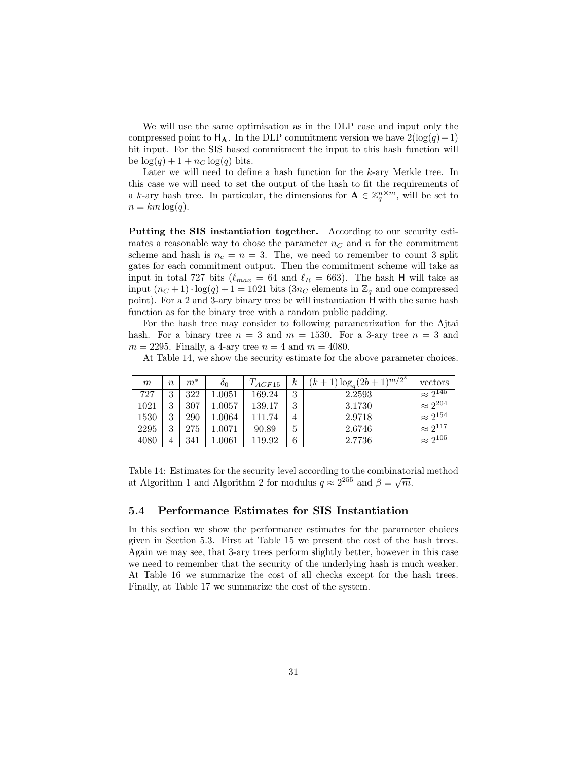We will use the same optimisation as in the DLP case and input only the compressed point to  $H_A$ . In the DLP commitment version we have  $2(\log(q) + 1)$ bit input. For the SIS based commitment the input to this hash function will be  $\log(q) + 1 + n_C \log(q)$  bits.

Later we will need to define a hash function for the k-ary Merkle tree. In this case we will need to set the output of the hash to fit the requirements of a k-ary hash tree. In particular, the dimensions for  $\mathbf{A} \in \mathbb{Z}_q^{n \times m}$ , will be set to  $n = km \log(q)$ .

Putting the SIS instantiation together. According to our security estimates a reasonable way to chose the parameter  $n<sub>C</sub>$  and n for the commitment scheme and hash is  $n_c = n = 3$ . The, we need to remember to count 3 split gates for each commitment output. Then the commitment scheme will take as input in total 727 bits ( $\ell_{max} = 64$  and  $\ell_R = 663$ ). The hash H will take as input  $(n_C + 1) \cdot \log(q) + 1 = 1021$  bits  $(3n_C$  elements in  $\mathbb{Z}_q$  and one compressed point). For a 2 and 3-ary binary tree be will instantiation H with the same hash function as for the binary tree with a random public padding.

For the hash tree may consider to following parametrization for the Ajtai hash. For a binary tree  $n = 3$  and  $m = 1530$ . For a 3-ary tree  $n = 3$  and  $m = 2295$ . Finally, a 4-ary tree  $n = 4$  and  $m = 4080$ .

At Table 14, we show the security estimate for the above parameter choices.

| m    | $\boldsymbol{n}$ | $m^*$ | $\delta_0$ | $T_{ACF15}$ | $\kappa$ | $(k+1)\log_q(2b+1)^{m/2^k}$ | vectors                      |
|------|------------------|-------|------------|-------------|----------|-----------------------------|------------------------------|
| 727  | 3                | 322   | $1.0051\,$ | 169.24      | 3        | 2.2593                      | $\approx \overline{2^{145}}$ |
| 1021 | 3                | 307   | $1.0057\,$ | 139.17      | 3        | 3.1730                      | $\approx 2^{204}$            |
| 1530 | 3                | 290   | $1.0064\,$ | 111.74      | 4        | 2.9718                      | $\approx 2^{154}$            |
| 2295 | 3                | 275   | 1.0071     | 90.89       | 5        | 2.6746                      | $\approx 2^{117}$            |
| 4080 |                  | 341   | $1.0061\,$ | 119.92      | 6        | 2.7736                      | $\approx 2^{105}$            |

Table 14: Estimates for the security level according to the combinatorial method at Algorithm 1 and Algorithm 2 for modulus  $q \approx 2^{255}$  and  $\beta = \sqrt{m}$ .

#### 5.4 Performance Estimates for SIS Instantiation

In this section we show the performance estimates for the parameter choices given in Section 5.3. First at Table 15 we present the cost of the hash trees. Again we may see, that 3-ary trees perform slightly better, however in this case we need to remember that the security of the underlying hash is much weaker. At Table 16 we summarize the cost of all checks except for the hash trees. Finally, at Table 17 we summarize the cost of the system.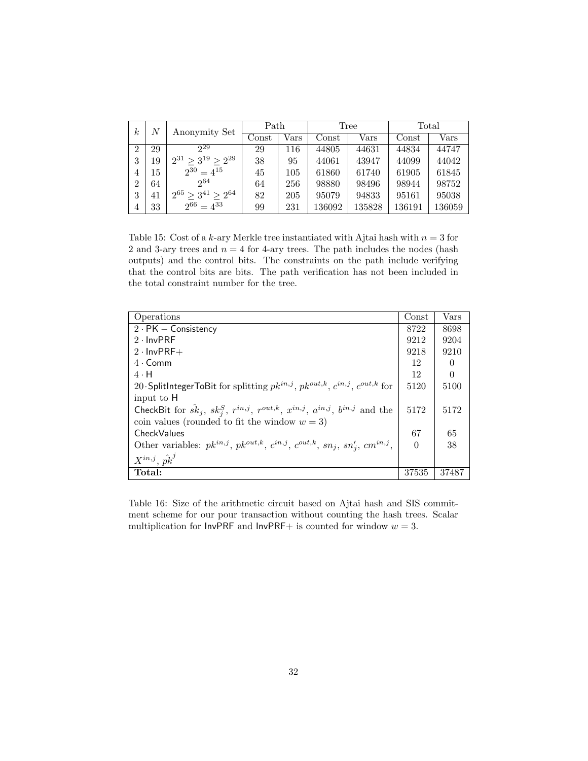| $\boldsymbol{k}$ | N  | Anonymity Set              | Path  |      |                        | Tree       |                  | Total      |
|------------------|----|----------------------------|-------|------|------------------------|------------|------------------|------------|
|                  |    |                            | Const | Vars | $\operatorname{Const}$ | $\rm Vars$ | $\mathrm{Const}$ | $\rm Vars$ |
| $\overline{2}$   | 29 | 29                         | 29    | 116  | 44805                  | 44631      | 44834            | 44747      |
| 3                | 19 | $2^{31} > 3^{19} > 2^{29}$ | 38    | 95   | 44061                  | 43947      | 44099            | 44042      |
| 4                | 15 | $2^{30} = 4^{15}$          | 45    | 105  | 61860                  | 61740      | 61905            | 61845      |
| 2                | 64 | 2064                       | 64    | 256  | 98880                  | 98496      | 98944            | 98752      |
| 3                | 41 | 265<br>$> 3^{41} > 2^{64}$ | 82    | 205  | 95079                  | 94833      | 95161            | 95038      |
| 4                | 33 | $2^{66} = 4^{33}$          | 99    | 231  | 136092                 | 135828     | 136191           | 136059     |

Table 15: Cost of a k-ary Merkle tree instantiated with Ajtai hash with  $n = 3$  for 2 and 3-ary trees and  $n = 4$  for 4-ary trees. The path includes the nodes (hash outputs) and the control bits. The constraints on the path include verifying that the control bits are bits. The path verification has not been included in the total constraint number for the tree.

| Operations                                                                                                     | Const | Vars             |
|----------------------------------------------------------------------------------------------------------------|-------|------------------|
| $2 \cdot PK - Consistency$                                                                                     | 8722  | 8698             |
| $2 \cdot \text{InvPRF}$                                                                                        | 9212  | 9204             |
| $2 \cdot$ InvPRF+                                                                                              | 9218  | 9210             |
| $4 \cdot$ Comm                                                                                                 | 12    | $\left( \right)$ |
| $4 \cdot H$                                                                                                    | 12    | $\Omega$         |
| 20 SplitIntegerToBit for splitting $pk^{in,j}$ , $pk^{out,k}$ , $c^{in,j}$ , $c^{out,k}$ for                   | 5120  | 5100             |
| input to H                                                                                                     |       |                  |
| CheckBit for $\hat{sk}_j$ , $sk_j^S$ , $r^{in,j}$ , $r^{out,k}$ , $x^{in,j}$ , $a^{in,j}$ , $b^{in,j}$ and the | 5172  | 5172             |
| coin values (rounded to fit the window $w = 3$ )                                                               |       |                  |
| CheckValues                                                                                                    | 67    | 65               |
| Other variables: $pk^{in,j}$ , $pk^{out,k}$ , $c^{in,j}$ , $c^{out,k}$ , $sn_j$ , $sn'_j$ , $cm^{in,j}$ ,      |       | 38               |
| $X^{in,j}, \hat{pk}^j$                                                                                         |       |                  |
| Total:                                                                                                         | 37535 | 37487            |

Table 16: Size of the arithmetic circuit based on Ajtai hash and SIS commitment scheme for our pour transaction without counting the hash trees. Scalar multiplication for  $InvPRF$  and  $InvPRF+$  is counted for window  $w = 3$ .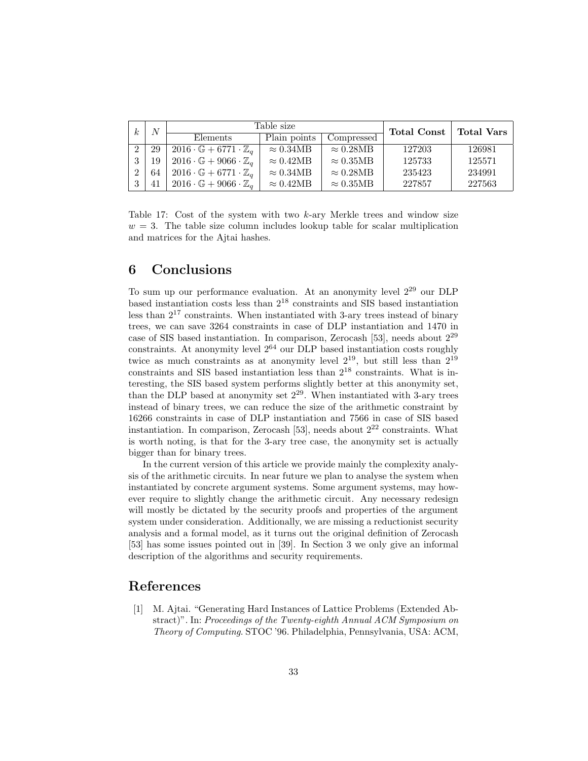| k.            | N  |                                                   | Table size       |                  | <b>Total Const</b> | <b>Total Vars</b> |
|---------------|----|---------------------------------------------------|------------------|------------------|--------------------|-------------------|
|               |    | Elements                                          | Plain points     | Compressed       |                    |                   |
| 2             | 29 | $2016 \cdot \mathbb{G} + 6771 \cdot \mathbb{Z}_q$ | $\approx 0.34MB$ | $\approx 0.28MB$ | 127203             | 126981            |
| 3             | 19 | $2016 \cdot \mathbb{G} + 9066 \cdot \mathbb{Z}_q$ | $\approx 0.42MB$ | $\approx 0.35MB$ | 125733             | 125571            |
| $\mathcal{D}$ | 64 | $2016 \cdot \mathbb{G} + 6771 \cdot \mathbb{Z}_q$ | $\approx 0.34MB$ | $\approx 0.28MB$ | 235423             | 234991            |
|               | 41 | $2016 \cdot \mathbb{G} + 9066 \cdot \mathbb{Z}_q$ | $\approx 0.42MB$ | $\approx 0.35MB$ | 227857             | 227563            |

Table 17: Cost of the system with two  $k$ -ary Merkle trees and window size  $w = 3$ . The table size column includes lookup table for scalar multiplication and matrices for the Ajtai hashes.

## 6 Conclusions

To sum up our performance evaluation. At an anonymity level 2<sup>29</sup> our DLP based instantiation costs less than 2<sup>18</sup> constraints and SIS based instantiation less than  $2^{17}$  constraints. When instantiated with 3-ary trees instead of binary trees, we can save 3264 constraints in case of DLP instantiation and 1470 in case of SIS based instantiation. In comparison, Zerocash [53], needs about 2<sup>29</sup> constraints. At anonymity level  $2^{64}$  our DLP based instantiation costs roughly twice as much constraints as at anonymity level  $2^{19}$ , but still less than  $2^{19}$ constraints and SIS based instantiation less than 2<sup>18</sup> constraints. What is interesting, the SIS based system performs slightly better at this anonymity set, than the DLP based at anonymity set  $2^{29}$ . When instantiated with 3-ary trees instead of binary trees, we can reduce the size of the arithmetic constraint by 16266 constraints in case of DLP instantiation and 7566 in case of SIS based instantiation. In comparison, Zerocash [53], needs about  $2^{22}$  constraints. What is worth noting, is that for the 3-ary tree case, the anonymity set is actually bigger than for binary trees.

In the current version of this article we provide mainly the complexity analysis of the arithmetic circuits. In near future we plan to analyse the system when instantiated by concrete argument systems. Some argument systems, may however require to slightly change the arithmetic circuit. Any necessary redesign will mostly be dictated by the security proofs and properties of the argument system under consideration. Additionally, we are missing a reductionist security analysis and a formal model, as it turns out the original definition of Zerocash [53] has some issues pointed out in [39]. In Section 3 we only give an informal description of the algorithms and security requirements.

## References

[1] M. Ajtai. "Generating Hard Instances of Lattice Problems (Extended Abstract)". In: Proceedings of the Twenty-eighth Annual ACM Symposium on Theory of Computing. STOC '96. Philadelphia, Pennsylvania, USA: ACM,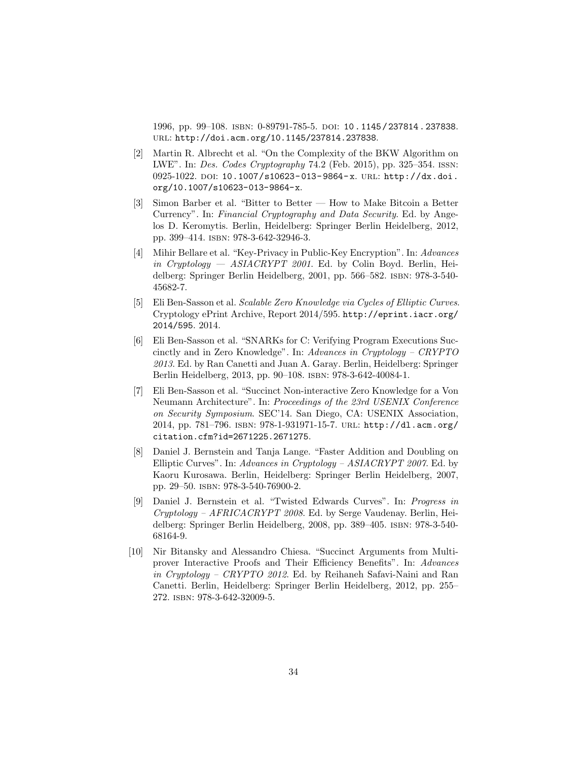1996, pp. 99–108. isbn: 0-89791-785-5. doi: 10 . 1145 / 237814 . 237838. url: http://doi.acm.org/10.1145/237814.237838.

- [2] Martin R. Albrecht et al. "On the Complexity of the BKW Algorithm on LWE". In: Des. Codes Cryptography 74.2 (Feb. 2015), pp. 325–354. issn: 0925-1022. DOI: 10.1007/s10623-013-9864-x. URL: http://dx.doi. org/10.1007/s10623-013-9864-x.
- [3] Simon Barber et al. "Bitter to Better How to Make Bitcoin a Better Currency". In: Financial Cryptography and Data Security. Ed. by Angelos D. Keromytis. Berlin, Heidelberg: Springer Berlin Heidelberg, 2012, pp. 399–414. isbn: 978-3-642-32946-3.
- [4] Mihir Bellare et al. "Key-Privacy in Public-Key Encryption". In: Advances in Cryptology — ASIACRYPT 2001. Ed. by Colin Boyd. Berlin, Heidelberg: Springer Berlin Heidelberg, 2001, pp. 566–582. isbn: 978-3-540- 45682-7.
- [5] Eli Ben-Sasson et al. Scalable Zero Knowledge via Cycles of Elliptic Curves. Cryptology ePrint Archive, Report 2014/595. http://eprint.iacr.org/ 2014/595. 2014.
- [6] Eli Ben-Sasson et al. "SNARKs for C: Verifying Program Executions Succinctly and in Zero Knowledge". In: Advances in Cryptology – CRYPTO 2013. Ed. by Ran Canetti and Juan A. Garay. Berlin, Heidelberg: Springer Berlin Heidelberg, 2013, pp. 90–108. isbn: 978-3-642-40084-1.
- [7] Eli Ben-Sasson et al. "Succinct Non-interactive Zero Knowledge for a Von Neumann Architecture". In: Proceedings of the 23rd USENIX Conference on Security Symposium. SEC'14. San Diego, CA: USENIX Association, 2014, pp. 781–796. isbn: 978-1-931971-15-7. url: http://dl.acm.org/ citation.cfm?id=2671225.2671275.
- [8] Daniel J. Bernstein and Tanja Lange. "Faster Addition and Doubling on Elliptic Curves". In: Advances in Cryptology – ASIACRYPT 2007. Ed. by Kaoru Kurosawa. Berlin, Heidelberg: Springer Berlin Heidelberg, 2007, pp. 29–50. isbn: 978-3-540-76900-2.
- [9] Daniel J. Bernstein et al. "Twisted Edwards Curves". In: Progress in Cryptology – AFRICACRYPT 2008. Ed. by Serge Vaudenay. Berlin, Heidelberg: Springer Berlin Heidelberg, 2008, pp. 389–405. isbn: 978-3-540- 68164-9.
- [10] Nir Bitansky and Alessandro Chiesa. "Succinct Arguments from Multiprover Interactive Proofs and Their Efficiency Benefits". In: Advances in Cryptology – CRYPTO 2012. Ed. by Reihaneh Safavi-Naini and Ran Canetti. Berlin, Heidelberg: Springer Berlin Heidelberg, 2012, pp. 255– 272. isbn: 978-3-642-32009-5.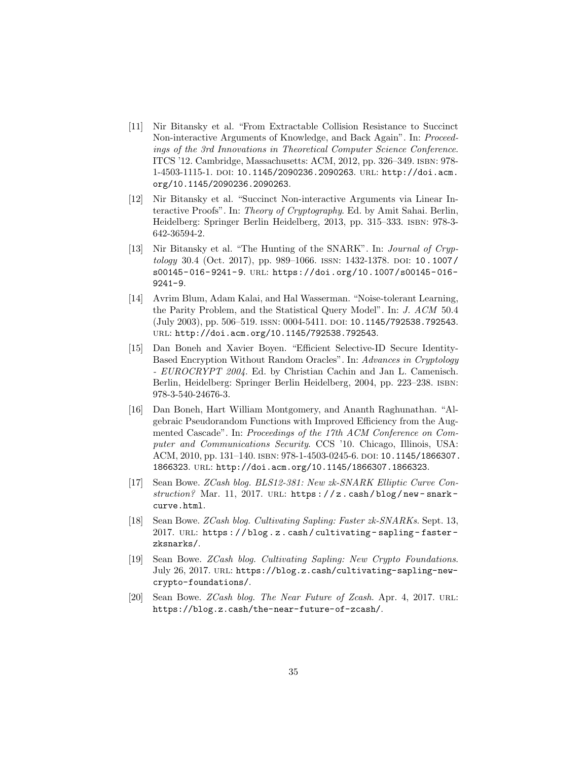- [11] Nir Bitansky et al. "From Extractable Collision Resistance to Succinct Non-interactive Arguments of Knowledge, and Back Again". In: Proceedings of the 3rd Innovations in Theoretical Computer Science Conference. ITCS '12. Cambridge, Massachusetts: ACM, 2012, pp. 326–349. isbn: 978- 1-4503-1115-1. doi: 10.1145/2090236.2090263. url: http://doi.acm. org/10.1145/2090236.2090263.
- [12] Nir Bitansky et al. "Succinct Non-interactive Arguments via Linear Interactive Proofs". In: Theory of Cryptography. Ed. by Amit Sahai. Berlin, Heidelberg: Springer Berlin Heidelberg, 2013, pp. 315–333. isbn: 978-3- 642-36594-2.
- [13] Nir Bitansky et al. "The Hunting of the SNARK". In: Journal of Cryp $tology$  30.4 (Oct. 2017), pp. 989–1066. ISSN: 1432-1378. DOI: 10.1007/ s00145- 016- 9241- 9. url: https://doi.org/10.1007/s00145- 016- 9241-9.
- [14] Avrim Blum, Adam Kalai, and Hal Wasserman. "Noise-tolerant Learning, the Parity Problem, and the Statistical Query Model". In: J. ACM 50.4 (July 2003), pp. 506–519. ISSN: 0004-5411. DOI: 10.1145/792538.792543. url: http://doi.acm.org/10.1145/792538.792543.
- [15] Dan Boneh and Xavier Boyen. "Efficient Selective-ID Secure Identity-Based Encryption Without Random Oracles". In: Advances in Cryptology - EUROCRYPT 2004. Ed. by Christian Cachin and Jan L. Camenisch. Berlin, Heidelberg: Springer Berlin Heidelberg, 2004, pp. 223–238. isbn: 978-3-540-24676-3.
- [16] Dan Boneh, Hart William Montgomery, and Ananth Raghunathan. "Algebraic Pseudorandom Functions with Improved Efficiency from the Augmented Cascade". In: Proceedings of the 17th ACM Conference on Computer and Communications Security. CCS '10. Chicago, Illinois, USA: ACM, 2010, pp. 131–140. isbn: 978-1-4503-0245-6. doi: 10.1145/1866307. 1866323. url: http://doi.acm.org/10.1145/1866307.1866323.
- [17] Sean Bowe. ZCash blog. BLS12-381: New zk-SNARK Elliptic Curve Con $struction?$  Mar. 11, 2017. URL: https://z.cash/blog/new-snarkcurve.html.
- [18] Sean Bowe. ZCash blog. Cultivating Sapling: Faster zk-SNARKs. Sept. 13, 2017. URL: https://blog.z.cash/cultivating-sapling-fasterzksnarks/.
- [19] Sean Bowe. ZCash blog. Cultivating Sapling: New Crypto Foundations. July 26, 2017. url: https://blog.z.cash/cultivating-sapling-newcrypto-foundations/.
- [20] Sean Bowe. ZCash blog. The Near Future of Zcash. Apr. 4, 2017. URL: https://blog.z.cash/the-near-future-of-zcash/.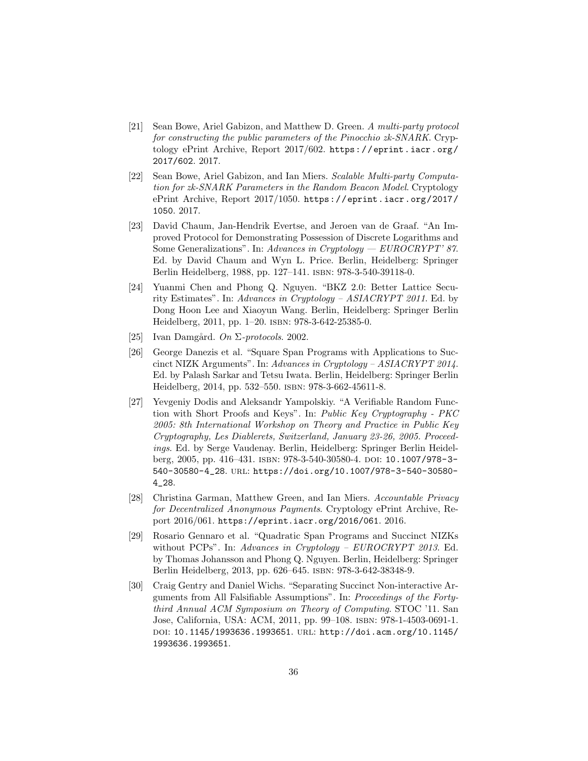- [21] Sean Bowe, Ariel Gabizon, and Matthew D. Green. A multi-party protocol for constructing the public parameters of the Pinocchio zk-SNARK. Cryptology ePrint Archive, Report 2017/602. https://eprint.iacr.org/ 2017/602. 2017.
- [22] Sean Bowe, Ariel Gabizon, and Ian Miers. Scalable Multi-party Computation for zk-SNARK Parameters in the Random Beacon Model. Cryptology ePrint Archive, Report 2017/1050. https://eprint.iacr.org/2017/ 1050. 2017.
- [23] David Chaum, Jan-Hendrik Evertse, and Jeroen van de Graaf. "An Improved Protocol for Demonstrating Possession of Discrete Logarithms and Some Generalizations". In: Advances in Cryptology —  $EUROCRYPT' 87$ . Ed. by David Chaum and Wyn L. Price. Berlin, Heidelberg: Springer Berlin Heidelberg, 1988, pp. 127–141. isbn: 978-3-540-39118-0.
- [24] Yuanmi Chen and Phong Q. Nguyen. "BKZ 2.0: Better Lattice Security Estimates". In: Advances in Cryptology – ASIACRYPT 2011. Ed. by Dong Hoon Lee and Xiaoyun Wang. Berlin, Heidelberg: Springer Berlin Heidelberg, 2011, pp. 1–20. isbn: 978-3-642-25385-0.
- [25] Ivan Damgård. On  $\Sigma$ -protocols. 2002.
- [26] George Danezis et al. "Square Span Programs with Applications to Succinct NIZK Arguments". In: Advances in Cryptology – ASIACRYPT 2014. Ed. by Palash Sarkar and Tetsu Iwata. Berlin, Heidelberg: Springer Berlin Heidelberg, 2014, pp. 532–550. isbn: 978-3-662-45611-8.
- [27] Yevgeniy Dodis and Aleksandr Yampolskiy. "A Verifiable Random Function with Short Proofs and Keys". In: Public Key Cryptography - PKC 2005: 8th International Workshop on Theory and Practice in Public Key Cryptography, Les Diablerets, Switzerland, January 23-26, 2005. Proceedings. Ed. by Serge Vaudenay. Berlin, Heidelberg: Springer Berlin Heidelberg, 2005, pp. 416-431. ISBN: 978-3-540-30580-4. DOI: 10.1007/978-3-540-30580-4\_28. url: https://doi.org/10.1007/978-3-540-30580- 4\_28.
- [28] Christina Garman, Matthew Green, and Ian Miers. Accountable Privacy for Decentralized Anonymous Payments. Cryptology ePrint Archive, Report 2016/061. https://eprint.iacr.org/2016/061. 2016.
- [29] Rosario Gennaro et al. "Quadratic Span Programs and Succinct NIZKs without PCPs". In: Advances in Cryptology –  $EUROCRYPT 2013$ . Ed. by Thomas Johansson and Phong Q. Nguyen. Berlin, Heidelberg: Springer Berlin Heidelberg, 2013, pp. 626–645. isbn: 978-3-642-38348-9.
- [30] Craig Gentry and Daniel Wichs. "Separating Succinct Non-interactive Arguments from All Falsifiable Assumptions". In: Proceedings of the Fortythird Annual ACM Symposium on Theory of Computing. STOC '11. San Jose, California, USA: ACM, 2011, pp. 99–108. isbn: 978-1-4503-0691-1. doi: 10.1145/1993636.1993651. url: http://doi.acm.org/10.1145/ 1993636.1993651.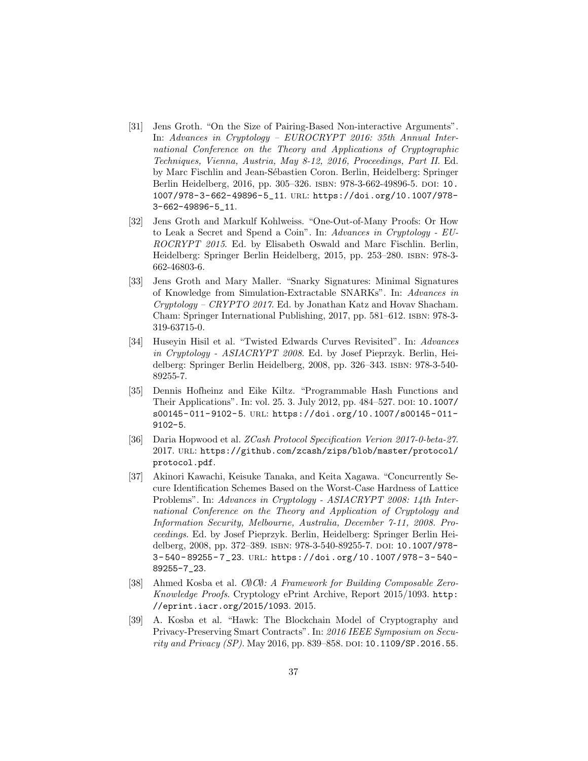- [31] Jens Groth. "On the Size of Pairing-Based Non-interactive Arguments". In: Advances in Cryptology – EUROCRYPT 2016: 35th Annual International Conference on the Theory and Applications of Cryptographic Techniques, Vienna, Austria, May 8-12, 2016, Proceedings, Part II. Ed. by Marc Fischlin and Jean-S´ebastien Coron. Berlin, Heidelberg: Springer Berlin Heidelberg, 2016, pp. 305-326. ISBN: 978-3-662-49896-5. DOI: 10. 1007/978-3-662-49896-5\_11. url: https://doi.org/10.1007/978- 3-662-49896-5\_11.
- [32] Jens Groth and Markulf Kohlweiss. "One-Out-of-Many Proofs: Or How to Leak a Secret and Spend a Coin". In: Advances in Cryptology - EU-ROCRYPT 2015. Ed. by Elisabeth Oswald and Marc Fischlin. Berlin, Heidelberg: Springer Berlin Heidelberg, 2015, pp. 253–280. isbn: 978-3- 662-46803-6.
- [33] Jens Groth and Mary Maller. "Snarky Signatures: Minimal Signatures of Knowledge from Simulation-Extractable SNARKs". In: Advances in Cryptology – CRYPTO 2017. Ed. by Jonathan Katz and Hovav Shacham. Cham: Springer International Publishing, 2017, pp. 581–612. isbn: 978-3- 319-63715-0.
- [34] Huseyin Hisil et al. "Twisted Edwards Curves Revisited". In: Advances in Cryptology - ASIACRYPT 2008. Ed. by Josef Pieprzyk. Berlin, Heidelberg: Springer Berlin Heidelberg, 2008, pp. 326–343. isbn: 978-3-540- 89255-7.
- [35] Dennis Hofheinz and Eike Kiltz. "Programmable Hash Functions and Their Applications". In: vol. 25. 3. July 2012, pp. 484–527. DOI: 10.1007/ s00145- 011- 9102- 5. url: https://doi.org/10.1007/s00145- 011- 9102-5.
- [36] Daria Hopwood et al. ZCash Protocol Specification Verion 2017-0-beta-27. 2017. url: https://github.com/zcash/zips/blob/master/protocol/ protocol.pdf.
- [37] Akinori Kawachi, Keisuke Tanaka, and Keita Xagawa. "Concurrently Secure Identification Schemes Based on the Worst-Case Hardness of Lattice Problems". In: Advances in Cryptology - ASIACRYPT 2008: 14th International Conference on the Theory and Application of Cryptology and Information Security, Melbourne, Australia, December 7-11, 2008. Proceedings. Ed. by Josef Pieprzyk. Berlin, Heidelberg: Springer Berlin Heidelberg, 2008, pp. 372–389. ISBN: 978-3-540-89255-7. DOI: 10.1007/978-3- 540- 89255- 7\_23. url: https://doi.org/10.1007/978- 3- 540- 89255-7\_23.
- [38] Ahmed Kosba et al. C∅C∅: A Framework for Building Composable Zero-Knowledge Proofs. Cryptology ePrint Archive, Report 2015/1093. http: //eprint.iacr.org/2015/1093. 2015.
- [39] A. Kosba et al. "Hawk: The Blockchain Model of Cryptography and Privacy-Preserving Smart Contracts". In: 2016 IEEE Symposium on Security and Privacy (SP). May 2016, pp. 839-858. DOI:  $10.1109/SP.2016.55$ .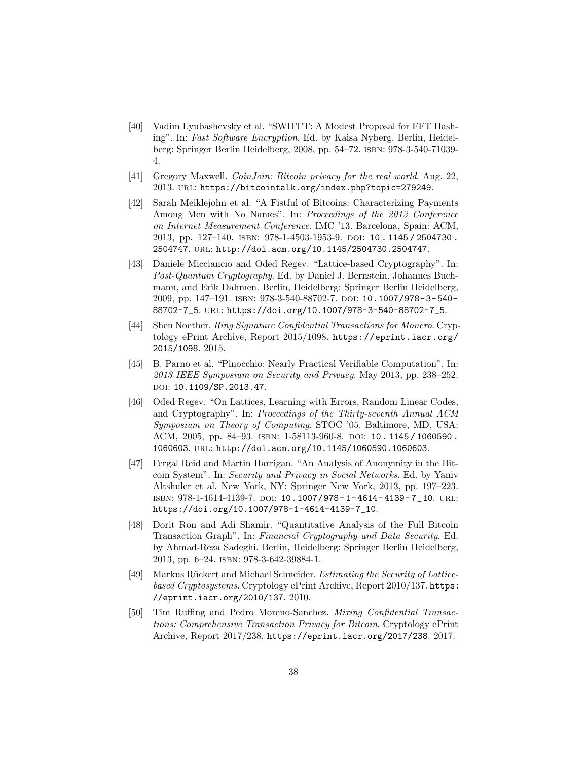- [40] Vadim Lyubashevsky et al. "SWIFFT: A Modest Proposal for FFT Hashing". In: Fast Software Encryption. Ed. by Kaisa Nyberg. Berlin, Heidelberg: Springer Berlin Heidelberg, 2008, pp. 54–72. isbn: 978-3-540-71039- 4.
- [41] Gregory Maxwell. CoinJoin: Bitcoin privacy for the real world. Aug. 22, 2013. url: https://bitcointalk.org/index.php?topic=279249.
- [42] Sarah Meiklejohn et al. "A Fistful of Bitcoins: Characterizing Payments Among Men with No Names". In: Proceedings of the 2013 Conference on Internet Measurement Conference. IMC '13. Barcelona, Spain: ACM, 2013, pp. 127–140. isbn: 978-1-4503-1953-9. doi: 10 . 1145 / 2504730 . 2504747. url: http://doi.acm.org/10.1145/2504730.2504747.
- [43] Daniele Micciancio and Oded Regev. "Lattice-based Cryptography". In: Post-Quantum Cryptography. Ed. by Daniel J. Bernstein, Johannes Buchmann, and Erik Dahmen. Berlin, Heidelberg: Springer Berlin Heidelberg, 2009, pp. 147–191. isbn: 978-3-540-88702-7. doi: 10.1007/978-3-540- 88702-7\_5. url: https://doi.org/10.1007/978-3-540-88702-7\_5.
- [44] Shen Noether. Ring Signature Confidential Transactions for Monero. Cryptology ePrint Archive, Report 2015/1098. https://eprint.iacr.org/ 2015/1098. 2015.
- [45] B. Parno et al. "Pinocchio: Nearly Practical Verifiable Computation". In: 2013 IEEE Symposium on Security and Privacy. May 2013, pp. 238–252. DOI: 10.1109/SP.2013.47.
- [46] Oded Regev. "On Lattices, Learning with Errors, Random Linear Codes, and Cryptography". In: Proceedings of the Thirty-seventh Annual ACM Symposium on Theory of Computing. STOC '05. Baltimore, MD, USA: ACM, 2005, pp. 84–93. isbn: 1-58113-960-8. doi: 10 . 1145 / 1060590 . 1060603. url: http://doi.acm.org/10.1145/1060590.1060603.
- [47] Fergal Reid and Martin Harrigan. "An Analysis of Anonymity in the Bitcoin System". In: Security and Privacy in Social Networks. Ed. by Yaniv Altshuler et al. New York, NY: Springer New York, 2013, pp. 197–223. isbn: 978-1-4614-4139-7. doi: 10.1007/978- 1- 4614- 4139- 7\_10. url: https://doi.org/10.1007/978-1-4614-4139-7\_10.
- [48] Dorit Ron and Adi Shamir. "Quantitative Analysis of the Full Bitcoin Transaction Graph". In: Financial Cryptography and Data Security. Ed. by Ahmad-Reza Sadeghi. Berlin, Heidelberg: Springer Berlin Heidelberg, 2013, pp. 6–24. isbn: 978-3-642-39884-1.
- [49] Markus Rückert and Michael Schneider. Estimating the Security of Latticebased Cryptosystems. Cryptology ePrint Archive, Report 2010/137. https: //eprint.iacr.org/2010/137. 2010.
- [50] Tim Ruffing and Pedro Moreno-Sanchez. Mixing Confidential Transactions: Comprehensive Transaction Privacy for Bitcoin. Cryptology ePrint Archive, Report 2017/238. https://eprint.iacr.org/2017/238. 2017.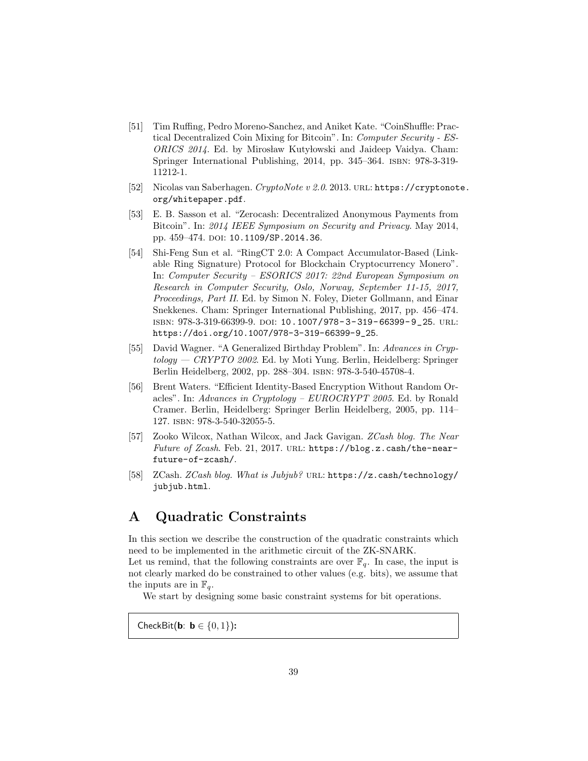- [51] Tim Ruffing, Pedro Moreno-Sanchez, and Aniket Kate. "CoinShuffle: Practical Decentralized Coin Mixing for Bitcoin". In: Computer Security - ES-ORICS 2014. Ed. by Mirosław Kutyłowski and Jaideep Vaidya. Cham: Springer International Publishing, 2014, pp. 345–364. isbn: 978-3-319- 11212-1.
- [52] Nicolas van Saberhagen. CryptoNote v 2.0. 2013. url: https://cryptonote. org/whitepaper.pdf.
- [53] E. B. Sasson et al. "Zerocash: Decentralized Anonymous Payments from Bitcoin". In: 2014 IEEE Symposium on Security and Privacy. May 2014, pp. 459-474. DOI: 10.1109/SP.2014.36.
- [54] Shi-Feng Sun et al. "RingCT 2.0: A Compact Accumulator-Based (Linkable Ring Signature) Protocol for Blockchain Cryptocurrency Monero". In: Computer Security – ESORICS 2017: 22nd European Symposium on Research in Computer Security, Oslo, Norway, September 11-15, 2017, Proceedings, Part II. Ed. by Simon N. Foley, Dieter Gollmann, and Einar Snekkenes. Cham: Springer International Publishing, 2017, pp. 456–474. isbn: 978-3-319-66399-9. doi: 10.1007/978- 3- 319- 66399- 9\_25. url: https://doi.org/10.1007/978-3-319-66399-9\_25.
- [55] David Wagner. "A Generalized Birthday Problem". In: Advances in Cryp $tology - C RYPTO 2002$ . Ed. by Moti Yung. Berlin, Heidelberg: Springer Berlin Heidelberg, 2002, pp. 288–304. isbn: 978-3-540-45708-4.
- [56] Brent Waters. "Efficient Identity-Based Encryption Without Random Oracles". In: Advances in Cryptology – EUROCRYPT 2005. Ed. by Ronald Cramer. Berlin, Heidelberg: Springer Berlin Heidelberg, 2005, pp. 114– 127. isbn: 978-3-540-32055-5.
- [57] Zooko Wilcox, Nathan Wilcox, and Jack Gavigan. ZCash blog. The Near Future of Zcash. Feb. 21, 2017. URL: https://blog.z.cash/the-nearfuture-of-zcash/.
- [58] ZCash. ZCash blog. What is Jubjub? URL: https://z.cash/technology/ jubjub.html.

# A Quadratic Constraints

In this section we describe the construction of the quadratic constraints which need to be implemented in the arithmetic circuit of the ZK-SNARK.

Let us remind, that the following constraints are over  $\mathbb{F}_q$ . In case, the input is not clearly marked do be constrained to other values (e.g. bits), we assume that the inputs are in  $\mathbb{F}_q$ .

We start by designing some basic constraint systems for bit operations.

CheckBit(**b**: **b**  $\in \{0, 1\}$ ):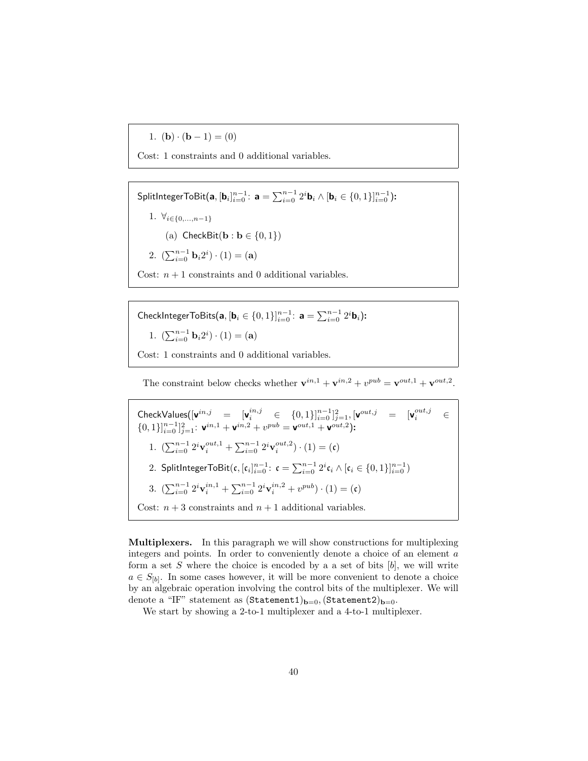1.  $$ 

Cost: 1 constraints and 0 additional variables.

SplitIntegerToBit $(\mathbf{a}, [\mathbf{b}_i]_{i=0}^{n-1}\colon \mathbf{a}=\sum_{i=0}^{n-1}2^i\mathbf{b}_i\wedge [\mathbf{b}_i\in\{0,1\}]_{i=0}^{n-1})$ : 1.  $\forall_{i\in\{0,\dots,n-1\}}$ (a) CheckBit( $\mathbf{b} : \mathbf{b} \in \{0, 1\}$ ) 2.  $(\sum_{i=0}^{n-1} \mathbf{b}_i 2^i) \cdot (1) = (\mathbf{a})$ Cost:  $n + 1$  constraints and 0 additional variables.

CheckIntegerToBits $(\mathbf{a}, [\mathbf{b}_i \in \{0, 1\}]_{i=0}^{n-1}$ :  $\mathbf{a} = \sum_{i=0}^{n-1} 2^i \mathbf{b}_i)$ : 1.  $(\sum_{i=0}^{n-1} \mathbf{b}_i 2^i) \cdot (1) = (\mathbf{a})$ Cost: 1 constraints and 0 additional variables.

The constraint below checks whether  $\mathbf{v}^{in,1} + \mathbf{v}^{in,2} + v^{pub} = \mathbf{v}^{out,1} + \mathbf{v}^{out,2}$ .

 $\textsf{CheckValues}([\textbf{v}^{in,j} \quad = \quad [\textbf{v}^{in,j}_i \quad \in \quad \{0,1\}]_{i=0}^{n-1}]_{j=1}^2, [\textbf{v}^{out,j} \quad = \quad [\textbf{v}^{out,j}_i \quad \in \quad$  $\{0,1\}\substack{\\i=0}^{n-1}\substack{\\j=1}^{2}$ :  $\mathbf{v}^{in,1} + \mathbf{v}^{in,2} + v^{pub} = \mathbf{v}^{out,1} + \mathbf{v}^{out,2}$ : 1.  $\left(\sum_{i=0}^{n-1} 2^i \mathbf{v}_i^{out,1} + \sum_{i=0}^{n-1} 2^i \mathbf{v}_i^{out,2}\right) \cdot (1) = (\mathfrak{c})$ 2. SplitIntegerToBit $({\mathfrak c}, [{\mathfrak c}_i]_{i=0}^{n-1}\colon {\mathfrak c} = \sum_{i=0}^{n-1} 2^i {\mathfrak c}_i \wedge [{\mathfrak c}_i \in \{0,1\}]_{i=0}^{n-1})$ 3.  $\left(\sum_{i=0}^{n-1} 2^i \mathbf{v}_i^{in,1} + \sum_{i=0}^{n-1} 2^i \mathbf{v}_i^{in,2} + v^{pub}\right) \cdot (1) = (\mathfrak{c})$ Cost:  $n + 3$  constraints and  $n + 1$  additional variables.

Multiplexers. In this paragraph we will show constructions for multiplexing integers and points. In order to conveniently denote a choice of an element a form a set S where the choice is encoded by a a set of bits  $[b]$ , we will write  $a \in S_{[b]}$ . In some cases however, it will be more convenient to denote a choice by an algebraic operation involving the control bits of the multiplexer. We will denote a "IF" statement as  $(\text{Statement1})_{\mathbf{b}=0}$ ,  $(\text{Statement2})_{\mathbf{b}=0}$ .

We start by showing a 2-to-1 multiplexer and a 4-to-1 multiplexer.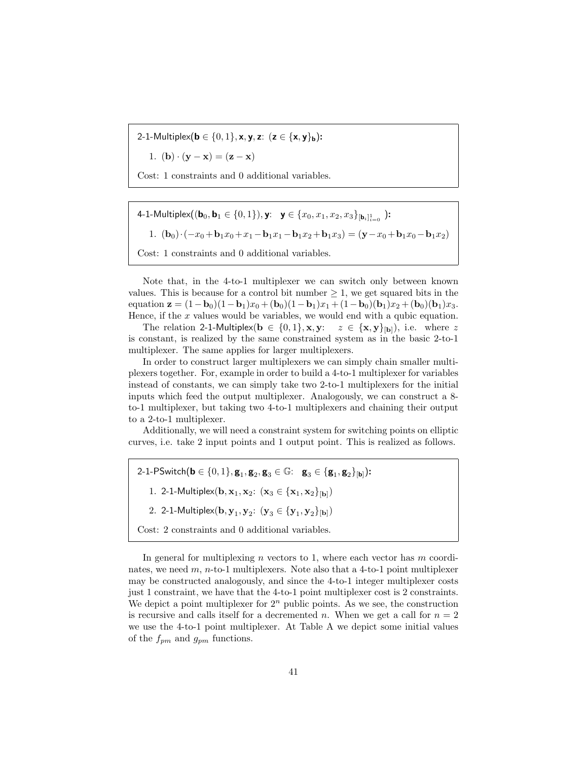2-1-Multiplex( $\mathbf{b} \in \{0, 1\}$ , x, y, z:  $(z \in \{\mathbf{x}, \mathbf{y}\}_{\mathbf{b}})$ :

1. (**b**)  $\cdot$  (**y** - **x**) = (**z** - **x**)

Cost: 1 constraints and 0 additional variables.

4-1-Multiplex $((\mathbf{b}_0, \mathbf{b}_1 \in \{0, 1\}), \mathbf{y}; \ \ \mathbf{y} \in \{x_0, x_1, x_2, x_3\}_{[\mathbf{b}_i]_{i=0}^1} )$ : 1.  $(b_0) \cdot (-x_0+b_1x_0+x_1-b_1x_1-b_1x_2+b_1x_3) = (\mathbf{y}-x_0+b_1x_0-b_1x_2)$ Cost: 1 constraints and 0 additional variables.

Note that, in the 4-to-1 multiplexer we can switch only between known values. This is because for a control bit number  $\geq 1$ , we get squared bits in the equation  $z = (1 - b_0)(1 - b_1)x_0 + (b_0)(1 - b_1)x_1 + (1 - b_0)(b_1)x_2 + (b_0)(b_1)x_3.$ Hence, if the  $x$  values would be variables, we would end with a qubic equation.

The relation 2-1-Multiplex( $\mathbf{b} \in \{0,1\}$ , **x**,  $\mathbf{y}: z \in \{\mathbf{x}, \mathbf{y}\}_{|\mathbf{b}|}$ ), i.e. where z is constant, is realized by the same constrained system as in the basic 2-to-1 multiplexer. The same applies for larger multiplexers.

In order to construct larger multiplexers we can simply chain smaller multiplexers together. For, example in order to build a 4-to-1 multiplexer for variables instead of constants, we can simply take two 2-to-1 multiplexers for the initial inputs which feed the output multiplexer. Analogously, we can construct a 8 to-1 multiplexer, but taking two 4-to-1 multiplexers and chaining their output to a 2-to-1 multiplexer.

Additionally, we will need a constraint system for switching points on elliptic curves, i.e. take 2 input points and 1 output point. This is realized as follows.

2-1-PSwitch $({\bf b}\in \{0,1\},{\bf g}_1,{\bf g}_2,{\bf g}_3\in\mathbb{G}$ :  ${\bf g}_3\in \{{\bf g}_1,{\bf g}_2\}_{[{\bf b}]})$ :

1. 2-1-Multiplex( ${\bf b}, {\bf x}_1, {\bf x}_2$ :  $({\bf x}_3 \in {\bf x}_1, {\bf x}_2\}_{[{\bf b}]})$ 

2. 2-1-Multiplex $({\bf b},{\bf y}_{1},{\bf y}_{2}\text{: }\left({\bf y}_{3}\in\{{\bf y}_{1},{\bf y}_{2}\}\textsubscript{[b]}\right)$ 

Cost: 2 constraints and 0 additional variables.

In general for multiplexing n vectors to 1, where each vector has  $m$  coordinates, we need  $m$ ,  $n$ -to-1 multiplexers. Note also that a 4-to-1 point multiplexer may be constructed analogously, and since the 4-to-1 integer multiplexer costs just 1 constraint, we have that the 4-to-1 point multiplexer cost is 2 constraints. We depict a point multiplexer for  $2^n$  public points. As we see, the construction is recursive and calls itself for a decremented n. When we get a call for  $n = 2$ we use the 4-to-1 point multiplexer. At Table A we depict some initial values of the  $f_{pm}$  and  $g_{pm}$  functions.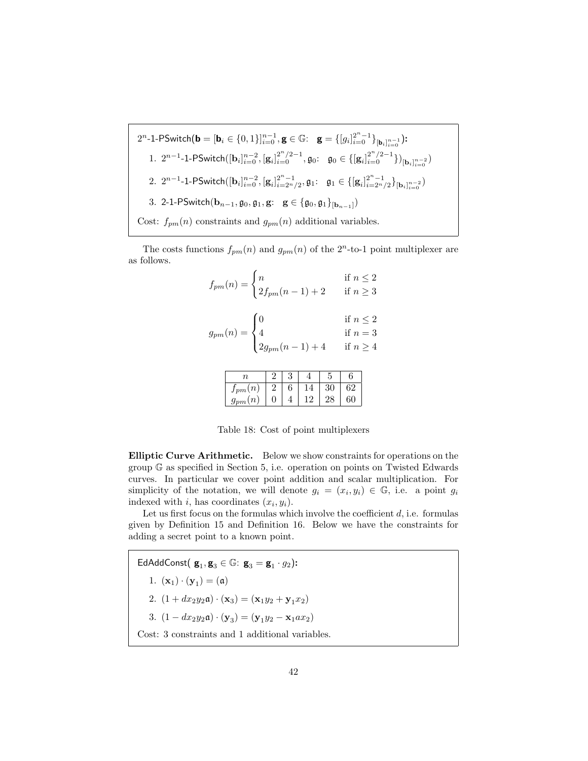$$
2^{n} - 1 - P \text{Switch}(\mathbf{b} = [\mathbf{b}_{i} \in \{0, 1\}]_{i=0}^{n-1}, \mathbf{g} \in \mathbb{G}: \quad \mathbf{g} = \{ [g_{i}]_{i=0}^{2^{n} - 1} \}_{[\mathbf{b}_{i}]_{i=0}^{n-1}} \}
$$
\n
$$
1. \quad 2^{n-1} - 1 - P \text{Switch}([\mathbf{b}_{i}]_{i=0}^{n-2}, [\mathbf{g}_{i}]_{i=0}^{2^{n}/2 - 1}, \mathbf{g}_{0}: \quad \mathbf{g}_{0} \in \{ [\mathbf{g}_{i}]_{i=0}^{2^{n}/2 - 1} \})_{[\mathbf{b}_{i}]_{i=0}^{n-2}}
$$
\n
$$
2. \quad 2^{n-1} - 1 - P \text{Switch}([\mathbf{b}_{i}]_{i=0}^{n-2}, [\mathbf{g}_{i}]_{i=2^{n}/2}^{2^{n}-1}, \mathbf{g}_{1}: \quad \mathbf{g}_{1} \in \{ [\mathbf{g}_{i}]_{i=2^{n}/2}^{2^{n}-1} \}_{[\mathbf{b}_{i}]_{i=0}^{n-2}} \}
$$
\n
$$
3. \quad 2 - 1 - P \text{Switch}(\mathbf{b}_{n-1}, \mathbf{g}_{0}, \mathbf{g}_{1}, \mathbf{g}: \quad \mathbf{g} \in \{ \mathbf{g}_{0}, \mathbf{g}_{1} \}_{[\mathbf{b}_{n-1}]})
$$
\n
$$
\text{Cost}: \quad f_{pm}(n) \text{ constraints and } g_{pm}(n) \text{ additional variables.}
$$

The costs functions  $f_{pm}(n)$  and  $g_{pm}(n)$  of the  $2<sup>n</sup>$ -to-1 point multiplexer are as follows.

| $f_{pm}(n) = \begin{cases} n & \text{if } n \leq 2 \\ 2f_{pm}(n-1) + 2 & \text{if } n \geq 3 \end{cases}$          |  |
|--------------------------------------------------------------------------------------------------------------------|--|
| $g_{pm}(n) = \begin{cases} 0 & \dots \\ 4 & \text{if } n = 3 \\ 2g_{pm}(n-1) + 4 & \text{if } n \ge 4 \end{cases}$ |  |
|                                                                                                                    |  |

| $\it n$         |            |  |    |    |
|-----------------|------------|--|----|----|
| $J_{\it pm}(n)$ | $\epsilon$ |  |    | 52 |
| $g_{pm}(n)$     |            |  | 28 | 60 |

Table 18: Cost of point multiplexers

Elliptic Curve Arithmetic. Below we show constraints for operations on the group G as specified in Section 5, i.e. operation on points on Twisted Edwards curves. In particular we cover point addition and scalar multiplication. For simplicity of the notation, we will denote  $g_i = (x_i, y_i) \in \mathbb{G}$ , i.e. a point  $g_i$ indexed with i, has coordinates  $(x_i, y_i)$ .

Let us first focus on the formulas which involve the coefficient  $d$ , i.e. formulas given by Definition 15 and Definition 16. Below we have the constraints for adding a secret point to a known point.

EdAddConst $(\mathbf{g}_1, \mathbf{g}_3 \in \mathbb{G}: \mathbf{g}_3 = \mathbf{g}_1 \cdot g_2)$ : 1.  $({\bf x}_1) \cdot ({\bf y}_1) = (\mathfrak{a})$ 2.  $(1 + dx_2y_2\mathfrak{a}) \cdot (\mathbf{x}_3) = (\mathbf{x}_1y_2 + \mathbf{y}_1x_2)$ 3.  $(1 - dx_2y_2\mathfrak{a}) \cdot (\mathbf{y}_3) = (\mathbf{y}_1y_2 - \mathbf{x}_1ax_2)$ Cost: 3 constraints and 1 additional variables.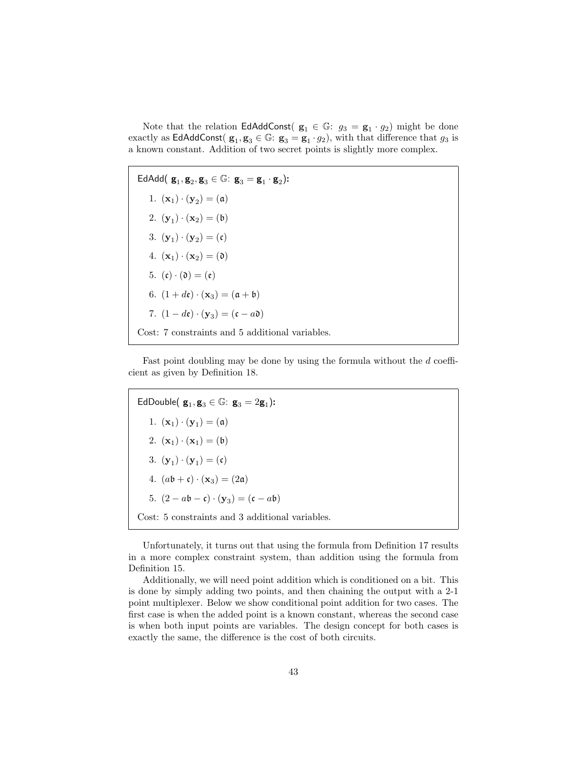Note that the relation  $\textsf{EdAddConst}(g_1 \in \mathbb{G}: g_3 = g_1 \cdot g_2)$  might be done exactly as EdAddConst( $g_1, g_3 \in \mathbb{G}$ :  $g_3 = g_1 \cdot g_2$ ), with that difference that  $g_3$  is a known constant. Addition of two secret points is slightly more complex.

EdAdd $(\mathbf{g}_1, \mathbf{g}_2, \mathbf{g}_3 \in \mathbb{G}: \mathbf{g}_3 = \mathbf{g}_1 \cdot \mathbf{g}_2)$ : 1.  $({\bf x}_1) \cdot ({\bf y}_2) = (\mathfrak{a})$ 2.  $({\bf y}_1) \cdot ({\bf x}_2) = (b)$ 3.  $(\mathbf{y}_1) \cdot (\mathbf{y}_2) = (\mathfrak{c})$ 4.  $(\mathbf{x}_1) \cdot (\mathbf{x}_2) = (\mathfrak{d})$ 5.  $(c) \cdot (0) = (c)$ 6.  $(1 + d\mathbf{e}) \cdot (\mathbf{x}_3) = (\mathbf{a} + \mathbf{b})$ 7.  $(1-d\mathfrak{e}) \cdot (\mathbf{y}_3) = (\mathfrak{c} - a\mathfrak{d})$ Cost: 7 constraints and 5 additional variables.

Fast point doubling may be done by using the formula without the d coefficient as given by Definition 18.

EdDouble $(\mathbf{g}_1, \mathbf{g}_3 \in \mathbb{G}: \mathbf{g}_3 = 2\mathbf{g}_1)$ : 1.  $({\bf x}_1) \cdot ({\bf y}_1) = (\mathfrak{a})$ 2.  $({\bf x}_1) \cdot ({\bf x}_1) = (b)$ 3.  $(\mathbf{y}_1) \cdot (\mathbf{y}_1) = (\mathfrak{c})$ 4.  $(ab + c) \cdot (\mathbf{x}_3) = (2\mathfrak{a})$ 5.  $(2 - a\mathfrak{b} - \mathfrak{c}) \cdot (\mathbf{y}_3) = (\mathfrak{c} - a\mathfrak{b})$ Cost: 5 constraints and 3 additional variables.

Unfortunately, it turns out that using the formula from Definition 17 results in a more complex constraint system, than addition using the formula from Definition 15.

Additionally, we will need point addition which is conditioned on a bit. This is done by simply adding two points, and then chaining the output with a 2-1 point multiplexer. Below we show conditional point addition for two cases. The first case is when the added point is a known constant, whereas the second case is when both input points are variables. The design concept for both cases is exactly the same, the difference is the cost of both circuits.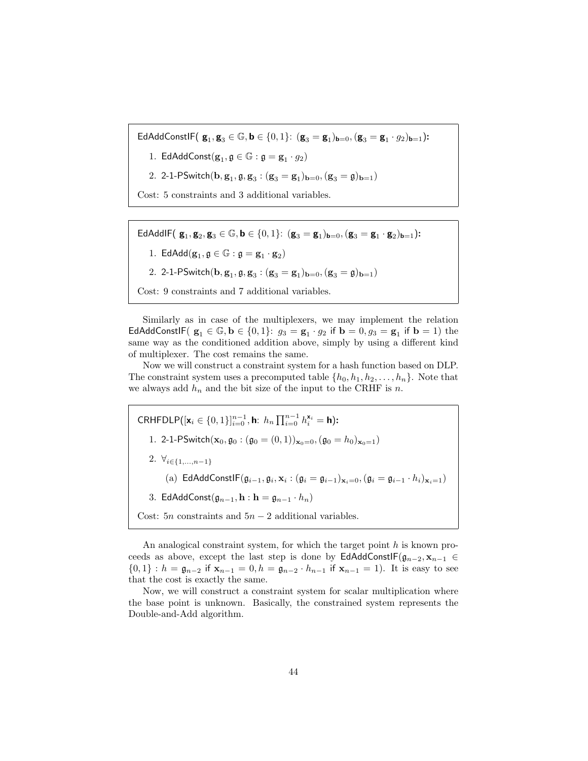$\mathsf{EdAddConst}$  $\mathsf{F}(\mathbf{g}_1, \mathbf{g}_3 \in \mathbb{G}, \mathbf{b} \in \{0,1\}$ :  $(\mathbf{g}_3 = \mathbf{g}_1)_{\mathbf{b}=0}, (\mathbf{g}_3 = \mathbf{g}_1 \cdot g_2)_{\mathbf{b}=1})$ :

1. EdAddConst $(\mathbf{g}_1, \mathfrak{g} \in \mathbb{G} : \mathfrak{g} = \mathbf{g}_1 \cdot g_2)$ 

2. 2-1-PSwitch $({\bf b},{\bf g}_1,{\frak g},{\bf g}_3:({\bf g}_3={\bf g}_1)_{{\bf b}=0},({\bf g}_3={\frak g})_{{\bf b}=1})$ 

Cost: 5 constraints and 3 additional variables.

 $\mathsf{EdAddIF}(\mathbf{g}_1, \mathbf{g}_2, \mathbf{g}_3 \in \mathbb{G}, \mathbf{b} \in \{0, 1\}: (\mathbf{g}_3 = \mathbf{g}_1)_{\mathbf{b}=0}, (\mathbf{g}_3 = \mathbf{g}_1 \cdot \mathbf{g}_2)_{\mathbf{b}=1})$ :

1.  $\mathsf{EdAdd}(\mathbf{g}_1, \mathfrak{g}\in \mathbb{G}:\mathfrak{g}=\mathbf{g}_1\cdot \mathbf{g}_2)$ 

2. 2-1-PSwitch $({\bf b},{\bf g}_1,{\frak g},{\bf g}_3:({\bf g}_3={\bf g}_1)_{{\bf b}=0},({\bf g}_3={\frak g})_{{\bf b}=1})$ 

Cost: 9 constraints and 7 additional variables.

Similarly as in case of the multiplexers, we may implement the relation EdAddConstlF $(g_1 \in \mathbb{G}, b \in \{0,1\}: g_3 = g_1 \cdot g_2$  if  $b = 0, g_3 = g_1$  if  $b = 1$ ) the same way as the conditioned addition above, simply by using a different kind of multiplexer. The cost remains the same.

Now we will construct a constraint system for a hash function based on DLP. The constraint system uses a precomputed table  $\{h_0, h_1, h_2, \ldots, h_n\}$ . Note that we always add  $h_n$  and the bit size of the input to the CRHF is n.

CRHFDLP([**x**<sub>i</sub> ∈ {0, 1}]<sup>n-1</sup><sub>i=0</sub></sub>, **h**:  $h_n \prod_{i=0}^{n-1} h_i^{x_i} = h$ ): 1. 2-1-PSwitch $(\mathbf{x}_0, \mathbf{g}_0 : (\mathbf{g}_0 = (0, 1))_{\mathbf{x}_0 = 0}, (\mathbf{g}_0 = h_0)_{\mathbf{x}_0 = 1})$ 2.  $\forall_{i\in\{1,...,n-1\}}$ (a)  $\mathsf{EdAddConstF}(\mathfrak{g}_{i-1}, \mathfrak{g}_{i}, \mathbf{x}_{i} : (\mathfrak{g}_{i} = \mathfrak{g}_{i-1})_{\mathbf{x}_{i}=0}, (\mathfrak{g}_{i} = \mathfrak{g}_{i-1} \cdot h_{i})_{\mathbf{x}_{i}=1})$ 3. EdAddConst $(\mathfrak{g}_{n-1}, \mathbf{h} : \mathbf{h} = \mathfrak{g}_{n-1} \cdot h_n)$ Cost: 5n constraints and  $5n - 2$  additional variables.

An analogical constraint system, for which the target point  $h$  is known proceeds as above, except the last step is done by EdAddConstIF $(g_{n-2}, x_{n-1} \in$  ${0,1} : h = \mathfrak{g}_{n-2}$  if  $\mathbf{x}_{n-1} = 0, h = \mathfrak{g}_{n-2} \cdot h_{n-1}$  if  $\mathbf{x}_{n-1} = 1$ ). It is easy to see that the cost is exactly the same.

Now, we will construct a constraint system for scalar multiplication where the base point is unknown. Basically, the constrained system represents the Double-and-Add algorithm.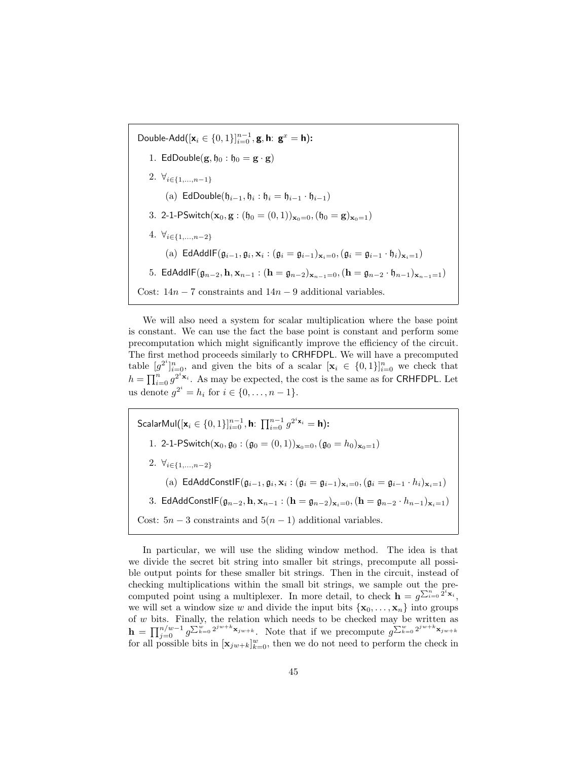Double-Add $([x_i \in \{0, 1\}]_{i=0}^{n-1}, g, h: g^x = h)$ : 1. EdDouble $(g, \mathfrak{h}_0 : \mathfrak{h}_0 = g \cdot g)$ 2.  $\forall_{i\in\{1,...,n-1\}}$ (a) EdDouble $(\mathfrak{h}_{i-1}, \mathfrak{h}_i : \mathfrak{h}_i = \mathfrak{h}_{i-1} \cdot \mathfrak{h}_{i-1})$ 3. 2-1-PSwitch $(\mathbf{x}_0, \mathbf{g} : (\mathfrak{h}_0 = (0, 1))_{\mathbf{x}_0 = 0}, (\mathfrak{h}_0 = \mathbf{g})_{\mathbf{x}_0 = 1})$ 4.  $\forall_{i\in\{1,...,n-2\}}$ (a)  $\mathsf{EdAddIF}(\mathfrak{g}_{i-1}, \mathfrak{g}_{i}, \mathbf{x}_{i} : (\mathfrak{g}_{i} = \mathfrak{g}_{i-1})_{\mathbf{x}_{i}=0}, (\mathfrak{g}_{i} = \mathfrak{g}_{i-1} \cdot \mathfrak{h}_{i})_{\mathbf{x}_{i}=1})$ 5. EdAddIF $(\mathfrak{g}_{n-2}, \mathbf{h}, \mathbf{x}_{n-1} : (\mathbf{h} = \mathfrak{g}_{n-2})_{\mathbf{x}_{n-1}=0}, (\mathbf{h} = \mathfrak{g}_{n-2} \cdot \mathfrak{h}_{n-1})_{\mathbf{x}_{n-1}=1})$ Cost:  $14n - 7$  constraints and  $14n - 9$  additional variables.

We will also need a system for scalar multiplication where the base point is constant. We can use the fact the base point is constant and perform some precomputation which might significantly improve the efficiency of the circuit. The first method proceeds similarly to CRHFDPL. We will have a precomputed table  $[g^{2^i}]_{i=0}^n$ , and given the bits of a scalar  $[\mathbf{x}_i \in \{0,1\}]_{i=0}^n$  we check that  $h = \prod_{i=0}^{n} g^{2^{i} \times i}$ . As may be expected, the cost is the same as for CRHFDPL. Let us denote  $g^{2^i} = h_i$  for  $i \in \{0, ..., n-1\}$ .

ScalarMul $([x_i \in \{0,1\}]_{i=0}^{n-1},$  h:  $\prod_{i=0}^{n-1} g^{2^i x_i} =$  h): 1. 2-1-PSwitch( $\mathbf{x}_0, \mathbf{g}_0$ : ( $\mathbf{g}_0 = (0, 1)$ ) $_{\mathbf{x}_0=0}$ , ( $\mathbf{g}_0 = h_0$ ) $_{\mathbf{x}_0=1}$ ) 2.  $\forall_{i\in\{1,...,n-2\}}$ (a)  $\mathsf{EdAddConstF}(\mathfrak{g}_{i-1}, \mathfrak{g}_{i}, \mathbf{x}_{i} : (\mathfrak{g}_{i} = \mathfrak{g}_{i-1})_{\mathbf{x}_{i}=0}, (\mathfrak{g}_{i} = \mathfrak{g}_{i-1} \cdot h_{i})_{\mathbf{x}_{i}=1})$ 3. EdAddConstIF $(\mathfrak{g}_{n-2}, \mathbf{h}, \mathbf{x}_{n-1} : (\mathbf{h} = \mathfrak{g}_{n-2})_{\mathbf{x}_i=0}, (\mathbf{h} = \mathfrak{g}_{n-2} \cdot h_{n-1})_{\mathbf{x}_i=1}]$ Cost:  $5n-3$  constraints and  $5(n-1)$  additional variables.

In particular, we will use the sliding window method. The idea is that we divide the secret bit string into smaller bit strings, precompute all possible output points for these smaller bit strings. Then in the circuit, instead of checking multiplications within the small bit strings, we sample out the precomputed point using a multiplexer. In more detail, to check  $\mathbf{h} = g^{\sum_{i=0}^{n} 2^{i} \mathbf{x}_i}$ , we will set a window size w and divide the input bits  $\{x_0, \ldots, x_n\}$  into groups of w bits. Finally, the relation which needs to be checked may be written as  $\mathbf{h} = \prod_{j=0}^{n/w-1} g^{\sum_{k=0}^w 2^{jw+k} \mathbf{x}_{jw+k}}$ . Note that if we precompute  $g^{\sum_{k=0}^w 2^{jw+k} \mathbf{x}_{jw+k}}$ for all possible bits in  $[\mathbf{x}_{jw+k}]_{k=0}^w$ , then we do not need to perform the check in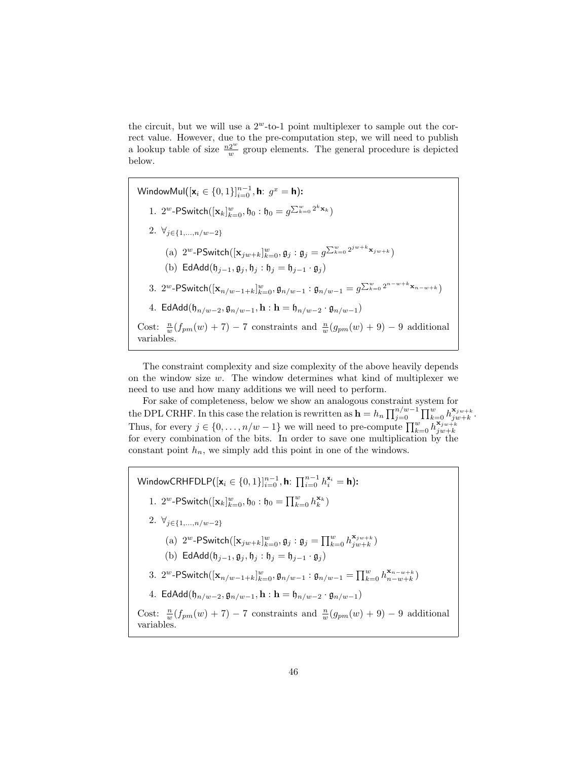the circuit, but we will use a  $2^w$ -to-1 point multiplexer to sample out the correct value. However, due to the pre-computation step, we will need to publish a lookup table of size  $\frac{n2^w}{w}$  $\frac{2^{\omega}}{w}$  group elements. The general procedure is depicted below.

WindowMul $\left([\mathsf{x}_i \in \{0,1\}]_{i=0}^{n-1}, \mathsf{h}: \ g^x = \mathsf{h} \right)$ : 1. 2<sup>w</sup>-PSwitch $([\mathbf{x}_k]_{k=0}^w, \mathfrak{h}_0 : \mathfrak{h}_0 = g^{\sum_{k=0}^w 2^k \mathbf{x}_k})$ 2.  $\forall_{j\in\{1,...,n/w-2\}}$ (a)  $2^w$ -PSwitch $([\mathbf{x}_{jw+k}]_{k=0}^w, \mathfrak{g}_j : \mathfrak{g}_j = g^{\sum_{k=0}^w 2^{jw+k} \mathbf{x}_{jw+k}})$ (b) EdAdd( $\mathfrak{h}_{j-1}, \mathfrak{g}_j, \mathfrak{h}_j : \mathfrak{h}_j = \mathfrak{h}_{j-1} \cdot \mathfrak{g}_j$ ) 3. 2<sup>w</sup>-PSwitch $([x_{n/w-1+k}]_{k=0}^w, \mathfrak{g}_{n/w-1} : \mathfrak{g}_{n/w-1} = g^{\sum_{k=0}^w 2^{n-w+k} \mathbf{x}_{n-w+k}})$ 4. EdAdd( $\mathfrak{h}_{n/w-2}, \mathfrak{g}_{n/w-1}, \mathbf{h} : \mathbf{h} = \mathfrak{h}_{n/w-2} \cdot \mathfrak{g}_{n/w-1}$ ) Cost:  $\frac{n}{w}(f_{pm}(w) + 7) - 7$  constraints and  $\frac{n}{w}(g_{pm}(w) + 9) - 9$  additional variables.

The constraint complexity and size complexity of the above heavily depends on the window size  $w$ . The window determines what kind of multiplexer we need to use and how many additions we will need to perform.

For sake of completeness, below we show an analogous constraint system for the DPL CRHF. In this case the relation is rewritten as  $\mathbf{h} = h_n \prod_{j=0}^{n/w-1} \prod_{k=0}^w h_{jw+k}^{x_{jw+k}}$ Thus, for every  $j \in \{0, \ldots, n/w - 1\}$  we will need to pre-compute  $\prod_{k=0}^{w} h_{jw+k}^{x_{jw+k}}$ for every combination of the bits. In order to save one multiplication by the constant point  $h_n$ , we simply add this point in one of the windows.

.

WindowCRHFDLP $([\mathsf{x}_{i} \in \{0,1\}]_{i=0}^{n-1}$ , h:  $\prod_{i=0}^{n-1} h_{i}^{\mathsf{x}_{i}} = \mathsf{h})$ : 1. 2<sup>*w*</sup>-PSwitch( $[\mathbf{x}_k]_{k=0}^w$ ,  $\mathfrak{h}_0 : \mathfrak{h}_0 = \prod_{k=0}^w h_k^{\mathbf{x}_k}$ ) 2.  $\forall_{j\in\{1,...,n/w-2\}}$ (a)  $2^w$ -PSwitch $([\mathbf{x}_{jw+k}]_{k=0}^w, \mathfrak{g}_j : \mathfrak{g}_j = \prod_{k=0}^w h_{jw+k}^{\mathbf{x}_{jw+k}})$ (b) EdAdd( $\mathfrak{h}_{i-1}, \mathfrak{g}_i, \mathfrak{h}_i : \mathfrak{h}_i = \mathfrak{h}_{i-1} \cdot \mathfrak{g}_i$ ) 3. 2<sup>w</sup>-PSwitch( $[\mathbf{x}_{n/w-1+k}]_{k=0}^w, \mathfrak{g}_{n/w-1} : \mathfrak{g}_{n/w-1} = \prod_{k=0}^w h_{n-w+k}^{x_{n-w+k}}$ ) 4. EdAdd( $\mathfrak{h}_{n/w-2}, \mathfrak{g}_{n/w-1}, \mathbf{h} : \mathbf{h} = \mathfrak{h}_{n/w-2} \cdot \mathfrak{g}_{n/w-1}$ ) Cost:  $\frac{n}{w}(f_{pm}(w) + 7) - 7$  constraints and  $\frac{n}{w}(g_{pm}(w) + 9) - 9$  additional variables.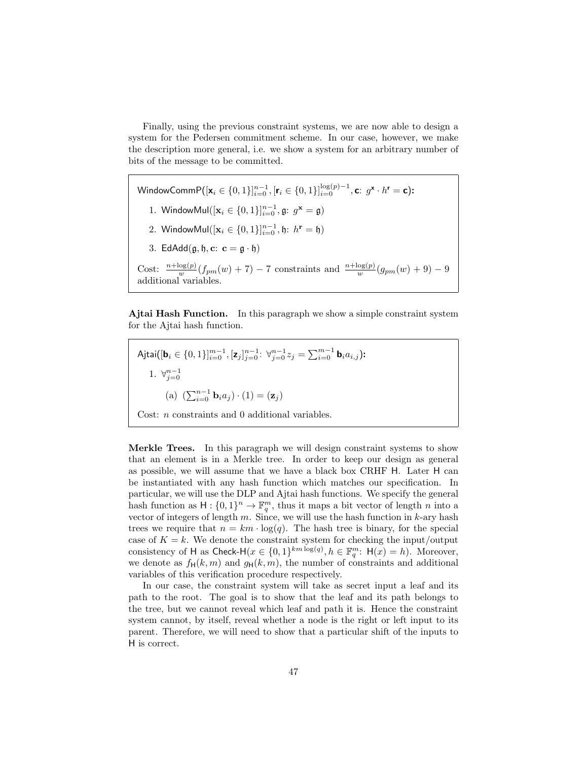Finally, using the previous constraint systems, we are now able to design a system for the Pedersen commitment scheme. In our case, however, we make the description more general, i.e. we show a system for an arbitrary number of bits of the message to be committed.

WindowComm $\mathsf{P}([\mathsf{x}_i \in \{0,1\}]_{i=0}^{n-1}, [\mathsf{r}_i \in \{0,1\}]_{i=0}^{\log(p)-1}, \mathsf{c}\colon g^\mathsf{x}\cdot h^\mathsf{r}=\mathsf{c})$ : 1. Window $\text{Mul}([\mathbf{x}_i \in \{0, 1\}]_{i=0}^{n-1}, \mathfrak{g}; g^{\mathbf{x}} = \mathfrak{g})$ 2. Window $\text{Mul}([\mathbf{x}_i \in \{0, 1\}]_{i=0}^{n-1}, \mathfrak{h}: h^{\mathbf{r}} = \mathfrak{h})$ 3. EdAdd $(\mathfrak{g}, \mathfrak{h}, \mathbf{c}: \mathbf{c} = \mathfrak{g} \cdot \mathfrak{h})$ Cost:  $\frac{n + \log(p)}{w}(f_{pm}(w) + 7) - 7$  constraints and  $\frac{n + \log(p)}{w}(g_{pm}(w) + 9) - 9$ additional variables.

Ajtai Hash Function. In this paragraph we show a simple constraint system for the Ajtai hash function.

Ajtai $([\mathbf{b}_i \in \{0,1\}]_{i=0}^{m-1}, [\mathbf{z}_j]_{j=0}^{n-1} \colon \forall_{j=0}^{m-1} z_j = \sum_{i=0}^{m-1} \mathbf{b}_i a_{i,j})$ : 1.  $\forall_{j=0}^{n-1}$ (a)  $(\sum_{i=0}^{n-1} \mathbf{b}_i a_j) \cdot (1) = (\mathbf{z}_j)$ Cost: n constraints and 0 additional variables.

Merkle Trees. In this paragraph we will design constraint systems to show that an element is in a Merkle tree. In order to keep our design as general as possible, we will assume that we have a black box CRHF H. Later H can be instantiated with any hash function which matches our specification. In particular, we will use the DLP and Ajtai hash functions. We specify the general hash function as  $H: \{0,1\}^n \to \mathbb{F}_q^m$ , thus it maps a bit vector of length n into a vector of integers of length  $m$ . Since, we will use the hash function in  $k$ -ary hash trees we require that  $n = km \cdot \log(q)$ . The hash tree is binary, for the special case of  $K = k$ . We denote the constraint system for checking the input/output consistency of H as Check-H $(x \in \{0,1\}^{km \log(q)}, h \in \mathbb{F}_q^m$ : H $(x) = h$ ). Moreover, we denote as  $f_H(k,m)$  and  $g_H(k,m)$ , the number of constraints and additional variables of this verification procedure respectively.

In our case, the constraint system will take as secret input a leaf and its path to the root. The goal is to show that the leaf and its path belongs to the tree, but we cannot reveal which leaf and path it is. Hence the constraint system cannot, by itself, reveal whether a node is the right or left input to its parent. Therefore, we will need to show that a particular shift of the inputs to H is correct.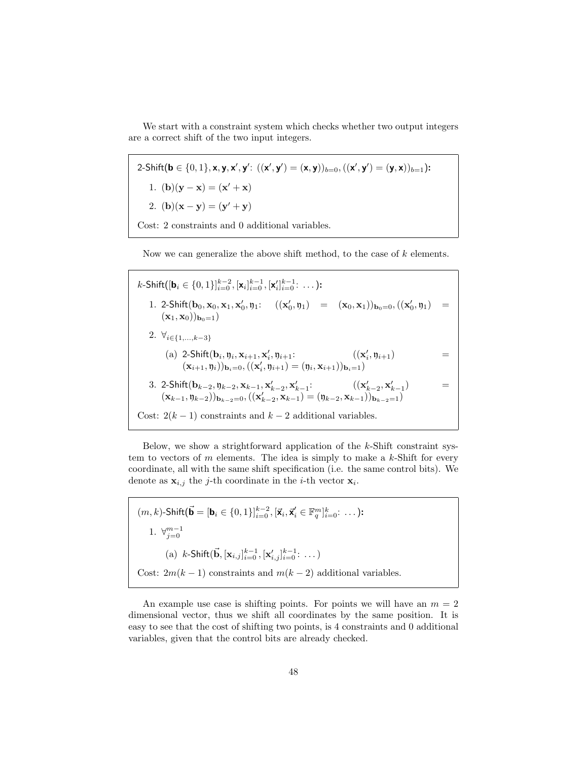We start with a constraint system which checks whether two output integers are a correct shift of the two input integers.

2-Shift( $\mathbf{b} \in \{0,1\}$ , x, y, x', y':  $((\mathbf{x}', \mathbf{y}') = (\mathbf{x}, \mathbf{y}))_{b=0}, ((\mathbf{x}', \mathbf{y}') = (\mathbf{y}, \mathbf{x}))_{b=1}$ ): 1. (**b**)(**y** – **x**) = (**x**' + **x**) 2. (**b**)(**x** - **y**) = (**y**' + **y**) Cost: 2 constraints and 0 additional variables.

Now we can generalize the above shift method, to the case of  $k$  elements.

 $k$ -Shift([**b**<sub>i</sub> ∈ {0, 1}] $_{i=0}^{k-2}$ , [**x**<sub>i</sub>] $_{i=0}^{k-1}$ , [**x**'<sub>i</sub>] $_{i=0}^{k-1}$ : ...): 1. 2-Shift( $b_0, x_0, x_1, x'_0, \eta_1$ :  $((x'_0, \eta_1) = (x_0, x_1))_{b_0=0}, ((x'_0, \eta_1) =$  $(\mathbf{x}_1, \mathbf{x}_0))_{\mathbf{b}_0=1}$ 2.  $\forall_{i\in\{1,...,k-3\}}$ (a) 2-Shift( $\mathbf{b}_i, \mathbf{y}_i, \mathbf{x}_{i+1}, \mathbf{x}'_i, \mathbf{y}_{i+1}$ :  $((\mathbf{x}'_i, \mathbf{y}_{i+1})$  =  $(\mathbf{x}_{i+1},\mathfrak{y}_{i}))_{\mathbf{b}_{i}=\mathbf{0}},((\mathbf{x}'_{i},\mathfrak{y}_{i+1})=(\mathfrak{y}_{i},\mathbf{x}_{i+1}))_{\mathbf{b}_{i}=\mathbf{1}})$ 3. 2-Shift $(b_{k-2}, y_{k-2}, x_{k-1}, x'_{k-2}, x'_{k-1}:$   $((x'_{k-2}, x'_{k-1}, x'_{k-1}, x'_{k-1}, x'_{k-1}, x'_{k-1}, x'_{k-1}))$  $\equiv$ Cost:  $2(k-1)$  constraints and  $k-2$  additional variables.

Below, we show a strightforward application of the  $k$ -Shift constraint system to vectors of  $m$  elements. The idea is simply to make a  $k$ -Shift for every coordinate, all with the same shift specification (i.e. the same control bits). We denote as  $\mathbf{x}_{i,j}$  the *j*-th coordinate in the *i*-th vector  $\mathbf{x}_i$ .

 $(m, k)$ -Shift $({\bf \vec{b}} = [{\bf b}_i \in \{0, 1\}]_{i=0}^{k-2}, [\vec{\bf x}_i, \vec{\bf x}_i' \in \mathbb{F}_q^m]_{i=0}^k$ : ...): 1.  $\forall_{j=0}^{m-1}$ (a)  $k$ -Shift( $\vec{b}$ ,  $[\mathbf{x}_{i,j}]_{i=0}^{k-1}$ ,  $[\mathbf{x}'_{i,j}]_{i=0}^{k-1}$ : ...) Cost:  $2m(k-1)$  constraints and  $m(k-2)$  additional variables.

An example use case is shifting points. For points we will have an  $m = 2$ dimensional vector, thus we shift all coordinates by the same position. It is easy to see that the cost of shifting two points, is 4 constraints and 0 additional variables, given that the control bits are already checked.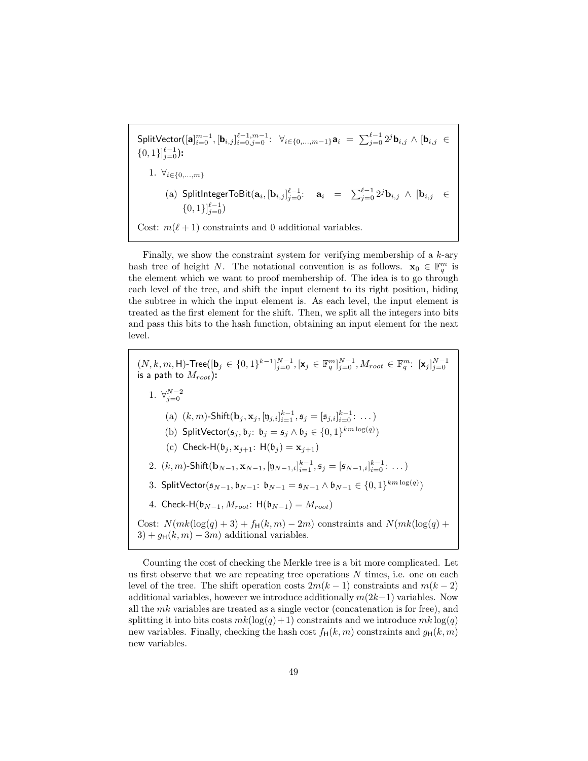$\mathsf{SplitVector}([\mathbf{a}]_{i=0}^{m-1}, [\mathbf{b}_{i,j}]_{i=0,j=0}^{\ell-1,m-1} \colon\,\, \forall_{i \in \{0,...,m-1\}} \mathbf{a}_i \;=\; \sum_{j=0}^{\ell-1} 2^j \mathbf{b}_{i,j} \,\wedge\, [\mathbf{b}_{i,j} \; \in$  $\{0,1\}\}_{j=0}^{\ell-1}$ ): 1.  $\forall_{i \in \{0,...,m\}}$  $\mathbf{a}_i$  SplitIntegerToBit $(\mathbf{a}_i, [\mathbf{b}_{i,j}]_{j=0}^{\ell-1}:\quad \mathbf{a}_i \;\;=\;\; \sum_{j=0}^{\ell-1} 2^j \mathbf{b}_{i,j} \;\wedge\; [\mathbf{b}_{i,j} \;\;\in\; \;$  $\{0,1\}\}_{j=0}^{\ell-1}$ Cost:  $m(\ell + 1)$  constraints and 0 additional variables.

Finally, we show the constraint system for verifying membership of a  $k$ -ary hash tree of height N. The notational convention is as follows.  $\mathbf{x}_0 \in \mathbb{F}_q^m$  is the element which we want to proof membership of. The idea is to go through each level of the tree, and shift the input element to its right position, hiding the subtree in which the input element is. As each level, the input element is treated as the first element for the shift. Then, we split all the integers into bits and pass this bits to the hash function, obtaining an input element for the next level.

 $(N, k, m, H)$ -Tree $([\mathbf{b}_j \in \{0, 1\}^{k-1}]_{j=0}^{N-1}, [\mathbf{x}_j \in \mathbb{F}_q^m]_{j=0}^{N-1}, M_{root} \in \mathbb{F}_q^m$ :  $[\mathbf{x}_j]_{j=0}^{N-1}$ is a path to  $M_{root}$ ): 1.  $\forall_{j=0}^{N-2}$ (a)  $(k, m)$ -Shift $(\mathbf{b}_j, \mathbf{x}_j, [\mathfrak{y}_{j,i}]_{i=1}^{k-1}, \mathfrak{s}_j = [\mathfrak{s}_{j,i}]_{i=0}^{k-1}: ...)$ (b) SplitVector $(\mathfrak{s}_j, \mathfrak{b}_j : \mathfrak{b}_j = \mathfrak{s}_j \wedge \mathfrak{b}_j \in \{0,1\}^{km \log(q)})$ (c) Check-H $(\mathfrak{b}_j, \mathbf{x}_{j+1}: H(\mathfrak{b}_j) = \mathbf{x}_{j+1})$ 2.  $(k, m)$ -Shift $(\mathbf{b}_{N-1}, \mathbf{x}_{N-1}, [\mathfrak{y}_{N-1,i}]_{i=1}^{k-1}, \mathfrak{s}_j = [\mathfrak{s}_{N-1,i}]_{i=0}^{k-1}: ...$ 3. SplitVector $(\mathfrak{s}_{N-1}, \mathfrak{b}_{N-1}: \mathfrak{b}_{N-1} = \mathfrak{s}_{N-1} \wedge \mathfrak{b}_{N-1} \in \{0,1\}^{km \log(q)})$ 4. Check-H $(\mathfrak{b}_{N-1}, M_{root}: H(\mathfrak{b}_{N-1}) = M_{root})$ Cost:  $N(mk(\log(q) + 3) + f_H(k, m) - 2m)$  constraints and  $N(mk(\log(q) + 3))$  $3 + g_H(k, m) - 3m$  additional variables.

Counting the cost of checking the Merkle tree is a bit more complicated. Let us first observe that we are repeating tree operations  $N$  times, i.e. one on each level of the tree. The shift operation costs  $2m(k-1)$  constraints and  $m(k-2)$ additional variables, however we introduce additionally  $m(2k-1)$  variables. Now all the  $mk$  variables are treated as a single vector (concatenation is for free), and splitting it into bits costs  $mk(\log(q) + 1)$  constraints and we introduce  $mk \log(q)$ new variables. Finally, checking the hash cost  $f_H(k, m)$  constraints and  $g_H(k, m)$ new variables.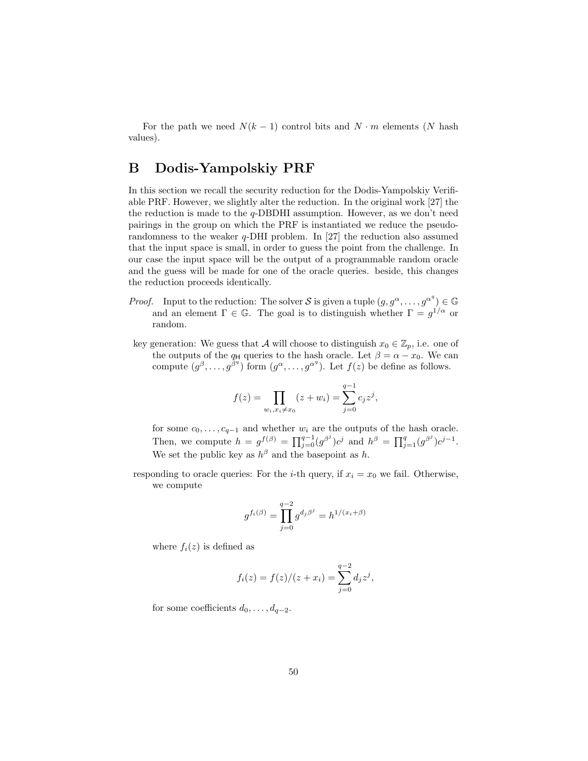For the path we need  $N(k-1)$  control bits and  $N \cdot m$  elements (N hash values).

# B Dodis-Yampolskiy PRF

In this section we recall the security reduction for the Dodis-Yampolskiy Verifiable PRF. However, we slightly alter the reduction. In the original work [27] the the reduction is made to the  $q$ -DBDHI assumption. However, as we don't need pairings in the group on which the PRF is instantiated we reduce the pseudorandomness to the weaker q-DHI problem. In [27] the reduction also assumed that the input space is small, in order to guess the point from the challenge. In our case the input space will be the output of a programmable random oracle and the guess will be made for one of the oracle queries. beside, this changes the reduction proceeds identically.

- *Proof.* Input to the reduction: The solver S is given a tuple  $(g, g^{\alpha}, \ldots, g^{\alpha^q}) \in \mathbb{G}$ and an element  $\Gamma \in \mathbb{G}$ . The goal is to distinguish whether  $\Gamma = g^{1/\alpha}$  or random.
- key generation: We guess that A will choose to distinguish  $x_0 \in \mathbb{Z}_p$ , i.e. one of the outputs of the  $q_H$  queries to the hash oracle. Let  $\beta = \alpha - x_0$ . We can compute  $(g^{\beta}, \ldots, g^{\beta^q})$  form  $(g^{\alpha}, \ldots, g^{\alpha^q})$ . Let  $f(z)$  be define as follows.

$$
f(z) = \prod_{w_i, x_i \neq x_0} (z + w_i) = \sum_{j=0}^{q-1} c_j z^j,
$$

for some  $c_0, \ldots, c_{q-1}$  and whether  $w_i$  are the outputs of the hash oracle. Then, we compute  $h = g^{f(\beta)} = \prod_{j=0}^{q-1} (g^{\beta^j})c^j$  and  $h^{\beta} = \prod_{j=1}^{q} (g^{\beta^j})c^{j-1}$ . We set the public key as  $h^{\beta}$  and the basepoint as h.

responding to oracle queries: For the *i*-th query, if  $x_i = x_0$  we fail. Otherwise, we compute

$$
g^{f_i(\beta)} = \prod_{j=0}^{q-2} g^{d_j \beta^j} = h^{1/(x_i + \beta)}
$$

where  $f_i(z)$  is defined as

$$
f_i(z) = f(z)/(z + x_i) = \sum_{j=0}^{q-2} d_j z^j
$$
,

for some coefficients  $d_0, \ldots, d_{q-2}$ .